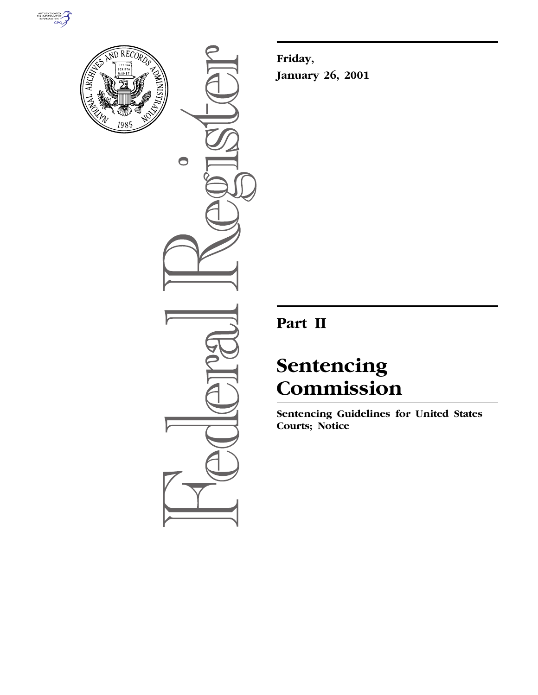



 $\bullet$ 

**Friday, January 26, 2001**

## **Part II**

# **Sentencing Commission**

**Sentencing Guidelines for United States Courts; Notice**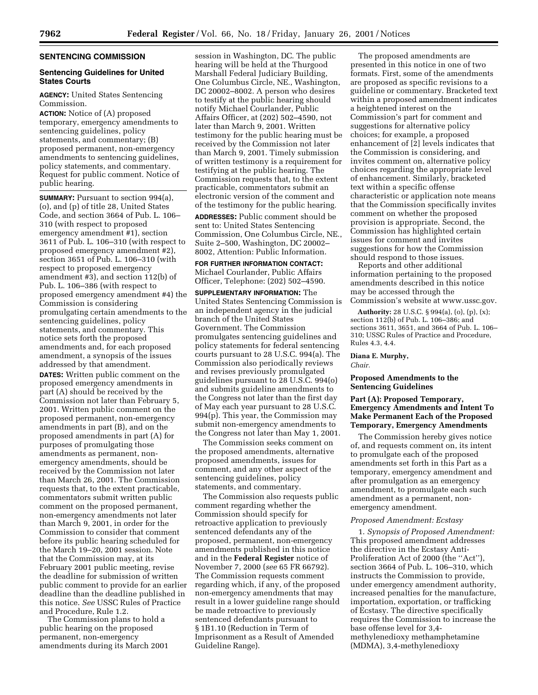#### **SENTENCING COMMISSION**

#### **Sentencing Guidelines for United States Courts**

**AGENCY:** United States Sentencing Commission.

**ACTION:** Notice of (A) proposed temporary, emergency amendments to sentencing guidelines, policy statements, and commentary; (B) proposed permanent, non-emergency amendments to sentencing guidelines, policy statements, and commentary. Request for public comment. Notice of public hearing.

**SUMMARY:** Pursuant to section 994(a), (o), and (p) of title 28, United States Code, and section 3664 of Pub. L. 106– 310 (with respect to proposed emergency amendment #1), section 3611 of Pub. L. 106–310 (with respect to proposed emergency amendment #2), section 3651 of Pub. L. 106–310 (with respect to proposed emergency amendment #3), and section 112(b) of Pub. L. 106–386 (with respect to proposed emergency amendment #4) the Commission is considering promulgating certain amendments to the sentencing guidelines, policy statements, and commentary. This notice sets forth the proposed amendments and, for each proposed amendment, a synopsis of the issues addressed by that amendment. **DATES:** Written public comment on the proposed emergency amendments in part (A) should be received by the Commission not later than February 5, 2001. Written public comment on the proposed permanent, non-emergency amendments in part (B), and on the proposed amendments in part (A) for purposes of promulgating those amendments as permanent, nonemergency amendments, should be received by the Commission not later than March 26, 2001. The Commission requests that, to the extent practicable, commentators submit written public comment on the proposed permanent, non-emergency amendments not later than March 9, 2001, in order for the Commission to consider that comment before its public hearing scheduled for the March 19–20, 2001 session. Note that the Commission may, at its February 2001 public meeting, revise the deadline for submission of written public comment to provide for an earlier deadline than the deadline published in this notice. *See* USSC Rules of Practice and Procedure, Rule 1.2.

The Commission plans to hold a public hearing on the proposed permanent, non-emergency amendments during its March 2001

session in Washington, DC. The public hearing will be held at the Thurgood Marshall Federal Judiciary Building, One Columbus Circle, NE., Washington, DC 20002–8002. A person who desires to testify at the public hearing should notify Michael Courlander, Public Affairs Officer, at (202) 502–4590, not later than March 9, 2001. Written testimony for the public hearing must be received by the Commission not later than March 9, 2001. Timely submission of written testimony is a requirement for testifying at the public hearing. The Commission requests that, to the extent practicable, commentators submit an electronic version of the comment and of the testimony for the public hearing.

**ADDRESSES:** Public comment should be sent to: United States Sentencing Commission, One Columbus Circle, NE., Suite 2–500, Washington, DC 20002– 8002, Attention: Public Information.

#### **FOR FURTHER INFORMATION CONTACT:** Michael Courlander, Public Affairs Officer, Telephone: (202) 502–4590.

**SUPPLEMENTARY INFORMATION:** The United States Sentencing Commission is an independent agency in the judicial branch of the United States Government. The Commission promulgates sentencing guidelines and policy statements for federal sentencing courts pursuant to 28 U.S.C. 994(a). The Commission also periodically reviews and revises previously promulgated guidelines pursuant to 28 U.S.C. 994(o) and submits guideline amendments to the Congress not later than the first day of May each year pursuant to 28 U.S.C. 994(p). This year, the Commission may submit non-emergency amendments to the Congress not later than May 1, 2001.

The Commission seeks comment on the proposed amendments, alternative proposed amendments, issues for comment, and any other aspect of the sentencing guidelines, policy statements, and commentary.

The Commission also requests public comment regarding whether the Commission should specify for retroactive application to previously sentenced defendants any of the proposed, permanent, non-emergency amendments published in this notice and in the **Federal Register** notice of November 7, 2000 (*see* 65 FR 66792). The Commission requests comment regarding which, if any, of the proposed non-emergency amendments that may result in a lower guideline range should be made retroactive to previously sentenced defendants pursuant to § 1B1.10 (Reduction in Term of Imprisonment as a Result of Amended Guideline Range).

The proposed amendments are presented in this notice in one of two formats. First, some of the amendments are proposed as specific revisions to a guideline or commentary. Bracketed text within a proposed amendment indicates a heightened interest on the Commission's part for comment and suggestions for alternative policy choices; for example, a proposed enhancement of [2] levels indicates that the Commission is considering, and invites comment on, alternative policy choices regarding the appropriate level of enhancement. Similarly, bracketed text within a specific offense characteristic or application note means that the Commission specifically invites comment on whether the proposed provision is appropriate. Second, the Commission has highlighted certain issues for comment and invites suggestions for how the Commission should respond to those issues.

Reports and other additional information pertaining to the proposed amendments described in this notice may be accessed through the Commission's website at www.ussc.gov.

**Authority:** 28 U.S.C. § 994(a), (o), (p), (x); section 112(b) of Pub. L. 106–386; and sections 3611, 3651, and 3664 of Pub. L. 106– 310; USSC Rules of Practice and Procedure, Rules 4.3, 4.4.

### **Diana E. Murphy,**

*Chair.*

#### **Proposed Amendments to the Sentencing Guidelines**

#### **Part (A): Proposed Temporary, Emergency Amendments and Intent To Make Permanent Each of the Proposed Temporary, Emergency Amendments**

The Commission hereby gives notice of, and requests comment on, its intent to promulgate each of the proposed amendments set forth in this Part as a temporary, emergency amendment and after promulgation as an emergency amendment, to promulgate each such amendment as a permanent, nonemergency amendment.

#### *Proposed Amendment: Ecstasy*

1. *Synopsis of Proposed Amendment:* This proposed amendment addresses the directive in the Ecstasy Anti-Proliferation Act of 2000 (the ''Act''), section 3664 of Pub. L. 106–310, which instructs the Commission to provide, under emergency amendment authority, increased penalties for the manufacture, importation, exportation, or trafficking of Ecstasy. The directive specifically requires the Commission to increase the base offense level for 3,4 methylenedioxy methamphetamine (MDMA), 3,4-methylenedioxy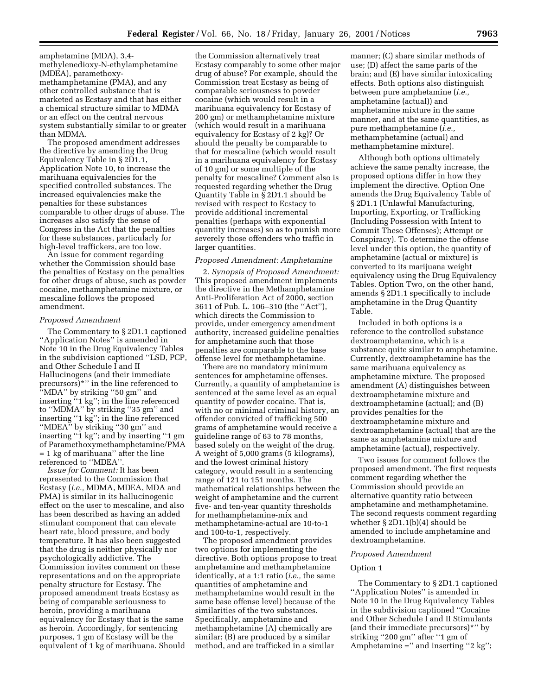amphetamine (MDA), 3,4 methylenedioxy-N-ethylamphetamine (MDEA), paramethoxymethamphetamine (PMA), and any other controlled substance that is marketed as Ecstasy and that has either a chemical structure similar to MDMA or an effect on the central nervous system substantially similar to or greater than MDMA.

The proposed amendment addresses the directive by amending the Drug Equivalency Table in § 2D1.1, Application Note 10, to increase the marihuana equivalencies for the specified controlled substances. The increased equivalencies make the penalties for these substances comparable to other drugs of abuse. The increases also satisfy the sense of Congress in the Act that the penalties for these substances, particularly for high-level traffickers, are too low.

An issue for comment regarding whether the Commission should base the penalties of Ecstasy on the penalties for other drugs of abuse, such as powder cocaine, methamphetamine mixture, or mescaline follows the proposed amendment.

#### *Proposed Amendment*

The Commentary to § 2D1.1 captioned ''Application Notes'' is amended in Note 10 in the Drug Equivalency Tables in the subdivision captioned ''LSD, PCP, and Other Schedule I and II Hallucinogens (and their immediate precursors)\*'' in the line referenced to ''MDA'' by striking ''50 gm'' and inserting ''1 kg''; in the line referenced to ''MDMA'' by striking ''35 gm'' and inserting ''1 kg''; in the line referenced ''MDEA'' by striking ''30 gm'' and inserting ''1 kg''; and by inserting ''1 gm of Paramethoxymethamphetamine/PMA = 1 kg of marihuana'' after the line referenced to ''MDEA''.

*Issue for Comment:* It has been represented to the Commission that Ecstasy (*i.e.,* MDMA, MDEA, MDA and PMA) is similar in its hallucinogenic effect on the user to mescaline, and also has been described as having an added stimulant component that can elevate heart rate, blood pressure, and body temperature. It has also been suggested that the drug is neither physically nor psychologically addictive. The Commission invites comment on these representations and on the appropriate penalty structure for Ecstasy. The proposed amendment treats Ecstasy as being of comparable seriousness to heroin, providing a marihuana equivalency for Ecstasy that is the same as heroin. Accordingly, for sentencing purposes, 1 gm of Ecstasy will be the equivalent of 1 kg of marihuana. Should the Commission alternatively treat Ecstasy comparably to some other major drug of abuse? For example, should the Commission treat Ecstasy as being of comparable seriousness to powder cocaine (which would result in a marihuana equivalency for Ecstasy of 200 gm) or methamphetamine mixture (which would result in a marihuana equivalency for Ecstasy of 2 kg)? Or should the penalty be comparable to that for mescaline (which would result in a marihuana equivalency for Ecstasy of 10 gm) or some multiple of the penalty for mescaline? Comment also is requested regarding whether the Drug Quantity Table in § 2D1.1 should be revised with respect to Ecstacy to provide additional incremental penalties (perhaps with exponential quantity increases) so as to punish more severely those offenders who traffic in larger quantities.

#### *Proposed Amendment: Amphetamine*

2. *Synopsis of Proposed Amendment:* This proposed amendment implements the directive in the Methamphetamine Anti-Proliferation Act of 2000, section 3611 of Pub. L. 106–310 (the ''Act''), which directs the Commission to provide, under emergency amendment authority, increased guideline penalties for amphetamine such that those penalties are comparable to the base offense level for methamphetamine.

There are no mandatory minimum sentences for amphetamine offenses. Currently, a quantity of amphetamine is sentenced at the same level as an equal quantity of powder cocaine. That is, with no or minimal criminal history, an offender convicted of trafficking 500 grams of amphetamine would receive a guideline range of 63 to 78 months, based solely on the weight of the drug. A weight of 5,000 grams (5 kilograms), and the lowest criminal history category, would result in a sentencing range of 121 to 151 months. The mathematical relationships between the weight of amphetamine and the current five- and ten-year quantity thresholds for methamphetamine-mix and methamphetamine-actual are 10-to-1 and 100-to-1, respectively.

The proposed amendment provides two options for implementing the directive. Both options propose to treat amphetamine and methamphetamine identically, at a 1:1 ratio (*i.e.,* the same quantities of amphetamine and methamphetamine would result in the same base offense level) because of the similarities of the two substances. Specifically, amphetamine and methamphetamine (A) chemically are similar; (B) are produced by a similar method, and are trafficked in a similar

manner; (C) share similar methods of use; (D) affect the same parts of the brain; and (E) have similar intoxicating effects. Both options also distinguish between pure amphetamine (*i.e.,* amphetamine (actual)) and amphetamine mixture in the same manner, and at the same quantities, as pure methamphetamine (*i.e.,* methamphetamine (actual) and methamphetamine mixture).

Although both options ultimately achieve the same penalty increase, the proposed options differ in how they implement the directive. Option One amends the Drug Equivalency Table of § 2D1.1 (Unlawful Manufacturing, Importing, Exporting, or Trafficking (Including Possession with Intent to Commit These Offenses); Attempt or Conspiracy). To determine the offense level under this option, the quantity of amphetamine (actual or mixture) is converted to its marijuana weight equivalency using the Drug Equivalency Tables. Option Two, on the other hand, amends § 2D1.1 specifically to include amphetamine in the Drug Quantity Table.

Included in both options is a reference to the controlled substance dextroamphetamine, which is a substance quite similar to amphetamine. Currently, dextroamphetamine has the same marihuana equivalency as amphetamine mixture. The proposed amendment (A) distinguishes between dextroamphetamine mixture and dextroamphetamine (actual); and (B) provides penalties for the dextroamphetamine mixture and dextroamphetamine (actual) that are the same as amphetamine mixture and amphetamine (actual), respectively.

Two issues for comment follows the proposed amendment. The first requests comment regarding whether the Commission should provide an alternative quantity ratio between amphetamine and methamphetamine. The second requests comment regarding whether § 2D1.1(b)(4) should be amended to include amphetamine and dextroamphetamine.

#### *Proposed Amendment*

#### Option 1

The Commentary to § 2D1.1 captioned ''Application Notes'' is amended in Note 10 in the Drug Equivalency Tables in the subdivision captioned ''Cocaine and Other Schedule I and II Stimulants (and their immediate precursors)\*'' by striking ''200 gm'' after ''1 gm of Amphetamine =" and inserting "2 kg";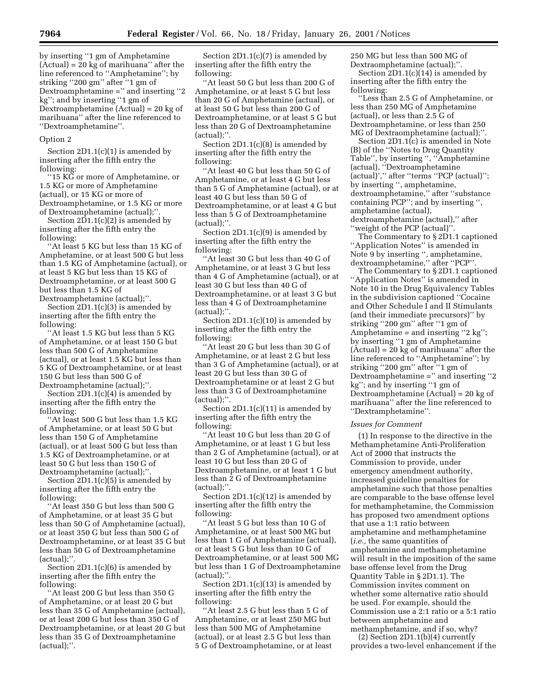by inserting ''1 gm of Amphetamine (Actual) = 20 kg of marihuana'' after the line referenced to ''Amphetamine''; by striking ''200 gm'' after ''1 gm of Dextroamphetamine ='' and inserting ''2 kg''; and by inserting ''1 gm of Dextroamphetamine (Actual) = 20 kg of marihuana'' after the line referenced to ''Dextroamphetamine''.

#### Option 2

Section 2D1.1(c)(1) is amended by inserting after the fifth entry the following:

''15 KG or more of Amphetamine, or 1.5 KG or more of Amphetamine (actual), or 15 KG or more of Dextroamphetamine, or 1.5 KG or more of Dextroamphetamine (actual);''.

Section  $2\overline{D}1.1(c)(2)$  is amended by inserting after the fifth entry the following:

''At least 5 KG but less than 15 KG of Amphetamine, or at least 500 G but less than 1.5 KG of Amphetamine (actual), or at least 5 KG but less than 15 KG of Dextroamphetamine, or at least 500 G but less than 1.5 KG of

Dextroamphetamine (actual);''.

Section 2D1.1(c)(3) is amended by inserting after the fifth entry the following:

''At least 1.5 KG but less than 5 KG of Amphetamine, or at least 150 G but less than 500 G of Amphetamine (actual), or at least 1.5 KG but less than 5 KG of Dextroamphetamine, or at least 150 G but less than 500 G of Dextroamphetamine (actual);"

Section 2D1.1(c)(4) is amended by inserting after the fifth entry the following:

''At least 500 G but less than 1.5 KG of Amphetamine, or at least 50 G but less than 150 G of Amphetamine (actual), or at least 500 G but less than 1.5 KG of Dextroamphetamine, or at least 50 G but less than 150 G of Dextroamphetamine (actual);

Section 2D1.1(c)(5) is amended by inserting after the fifth entry the following:

''At least 350 G but less than 500 G of Amphetamine, or at least 35 G but less than 50 G of Amphetamine (actual), or at least 350 G but less than 500 G of Dextroamphetamine, or at least 35 G but less than 50 G of Dextroamphetamine (actual);''.

Section 2D1.1(c)(6) is amended by inserting after the fifth entry the following:

'At least 200 G but less than 350 G of Amphetamine, or at least 20 G but less than 35 G of Amphetamine (actual), or at least 200 G but less than 350 G of Dextroamphetamine, or at least 20 G but less than 35 G of Dextroamphetamine (actual);''.

Section 2D1.1(c)(7) is amended by inserting after the fifth entry the following:

''At least 50 G but less than 200 G of Amphetamine, or at least 5 G but less than 20 G of Amphetamine (actual), or at least 50 G but less than 200 G of Dextroamphetamine, or at least 5 G but less than 20 G of Dextroamphetamine (actual);''.

Section 2D1.1(c)(8) is amended by inserting after the fifth entry the following:

''At least 40 G but less than 50 G of Amphetamine, or at least 4 G but less than 5 G of Amphetamine (actual), or at least 40 G but less than 50 G of Dextroamphetamine, or at least 4 G but less than 5 G of Dextroamphetamine (actual);''.

Section 2D1.1(c)(9) is amended by inserting after the fifth entry the following:

''At least 30 G but less than 40 G of Amphetamine, or at least 3 G but less than 4 G of Amphetamine (actual), or at least 30 G but less than 40 G of Dextroamphetamine, or at least 3 G but less than 4 G of Dextroamphetamine (actual);''.

Section 2D1.1(c)(10) is amended by inserting after the fifth entry the following:

''At least 20 G but less than 30 G of Amphetamine, or at least 2 G but less than 3 G of Amphetamine (actual), or at least 20 G but less than 30 G of Dextroamphetamine or at least 2 G but less than 3 G of Dextroamphetamine (actual);''.

Section 2D1.1(c)(11) is amended by inserting after the fifth entry the following:

''At least 10 G but less than 20 G of Amphetamine, or at least 1 G but less than 2 G of Amphetamine (actual), or at least 10 G but less than 20 G of Dextroamphetamine, or at least 1 G but less than 2 G of Dextroamphetamine (actual);''.

Section 2D1.1(c)(12) is amended by inserting after the fifth entry the following:

''At least 5 G but less than 10 G of Amphetamine, or at least 500 MG but less than 1 G of Amphetamine (actual), or at least 5 G but less than 10 G of Dextroamphetamine, or at least 500 MG but less than 1 G of Dextroamphetamine (actual);''.

Section 2D1.1(c)(13) is amended by inserting after the fifth entry the following:

''At least 2.5 G but less than 5 G of Amphetamine, or at least 250 MG but less than 500 MG of Amphetamine (actual), or at least 2.5 G but less than 5 G of Dextroamphetamine, or at least 250 MG but less than 500 MG of Dextraomphetamine (actual);''. Section 2D1.1(c)(14) is amended by inserting after the fifth entry the

following:

''Less than 2.5 G of Amphetamine, or less than 250 MG of Amphetamine (actual), or less than 2.5 G of Dextroamphetamine, or less than 250 MG of Dextraomphetamine (actual);''.

Section 2D1.1(c) is amended in Note (B) of the ''Notes to Drug Quantity Table'', by inserting '', ''Amphetamine (actual), ''Dextroamphetamine (actual)','' after ''terms ''PCP (actual)''; by inserting '', amphetamine, dextroamphetamine,'' after ''substance containing PCP''; and by inserting '', amphetamine (actual), dextroamphetamine (actual),'' after

''weight of the PCP (actual)''.

The Commentary to § 2D1.1 captioned ''Application Notes'' is amended in Note 9 by inserting '', amphetamine, dextroamphetamine,'' after ''PCP''.

The Commentary to § 2D1.1 captioned ''Application Notes'' is amended in Note 10 in the Drug Equivalency Tables in the subdivision captioned ''Cocaine and Other Schedule I and II Stimulants (and their immediate precursors)'' by striking ''200 gm'' after ''1 gm of Amphetamine = and inserting ''2 kg''; by inserting ''1 gm of Amphetamine (Actual) = 20 kg of marihuana'' after the line referenced to ''Amphetamine''; by striking ''200 gm'' after ''1 gm of Dextroamphetamine =" and inserting "2 kg''; and by inserting ''1 gm of Dextroamphetamine (Actual) = 20 kg of marihuana'' after the line referenced to ''Dextramphetamine''.

#### *Issues for Comment*

(1) In response to the directive in the Methamphetamine Anti-Proliferation Act of 2000 that instructs the Commission to provide, under emergency amendment authority, increased guideline penalties for amphetamine such that those penalties are comparable to the base offense level for methamphetamine, the Commission has proposed two amendment options that use a 1:1 ratio between amphetamine and methamphetamine (*i.e.,* the same quantities of amphetamine and methamphetamine will result in the imposition of the same base offense level from the Drug Quantity Table in § 2D1.1). The Commission invites comment on whether some alternative ratio should be used. For example, should the Commission use a 2:1 ratio or a 5:1 ratio between amphetamine and methamphetamine, and if so, why?

(2) Section 2D1.1(b)(4) currently provides a two-level enhancement if the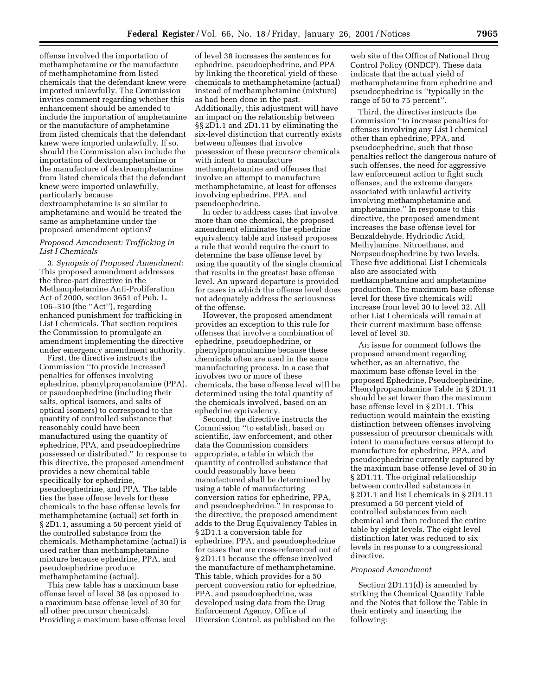offense involved the importation of methamphetamine or the manufacture of methamphetamine from listed chemicals that the defendant knew were imported unlawfully. The Commission invites comment regarding whether this enhancement should be amended to include the importation of amphetamine or the manufacture of amphetamine from listed chemicals that the defendant knew were imported unlawfully. If so, should the Commission also include the importation of dextroamphetamine or the manufacture of dextroamphetamine from listed chemicals that the defendant knew were imported unlawfully, particularly because dextroamphetamine is so similar to amphetamine and would be treated the same as amphetamine under the proposed amendment options?

#### *Proposed Amendment: Trafficking in List I Chemicals*

3. *Synopsis of Proposed Amendment:* This proposed amendment addresses the three-part directive in the Methamphetamine Anti-Proliferation Act of 2000, section 3651 of Pub. L. 106–310 (the ''Act''), regarding enhanced punishment for trafficking in List I chemicals. That section requires the Commission to promulgate an amendment implementing the directive under emergency amendment authority.

First, the directive instructs the Commission ''to provide increased penalties for offenses involving ephedrine, phenylpropanolamine (PPA), or pseudoephedrine (including their salts, optical isomers, and salts of optical isomers) to correspond to the quantity of controlled substance that reasonably could have been manufactured using the quantity of ephedrine, PPA, and pseudoephedrine possessed or distributed.'' In response to this directive, the proposed amendment provides a new chemical table specifically for ephedrine, pseudoephedrine, and PPA. The table ties the base offense levels for these chemicals to the base offense levels for methamphetamine (actual) set forth in § 2D1.1, assuming a 50 percent yield of the controlled substance from the chemicals. Methamphetamine (actual) is used rather than methamphetamine mixture because ephedrine, PPA, and pseudoephedrine produce methamphetamine (actual).

This new table has a maximum base offense level of level 38 (as opposed to a maximum base offense level of 30 for all other precursor chemicals). Providing a maximum base offense level

of level 38 increases the sentences for ephedrine, pseudoephedrine, and PPA by linking the theoretical yield of these chemicals to methamphetamine (actual) instead of methamphetamine (mixture) as had been done in the past. Additionally, this adjustment will have an impact on the relationship between §§ 2D1.1 and 2D1.11 by eliminating the six-level distinction that currently exists between offenses that involve possession of these precursor chemicals with intent to manufacture methamphetamine and offenses that involve an attempt to manufacture methamphetamine, at least for offenses involving ephedrine, PPA, and pseudoephedrine.

In order to address cases that involve more than one chemical, the proposed amendment eliminates the ephedrine equivalency table and instead proposes a rule that would require the court to determine the base offense level by using the quantity of the single chemical that results in the greatest base offense level. An upward departure is provided for cases in which the offense level does not adequately address the seriousness of the offense.

However, the proposed amendment provides an exception to this rule for offenses that involve a combination of ephedrine, pseudoephedrine, or phenylpropanolamine because these chemicals often are used in the same manufacturing process. In a case that involves two or more of these chemicals, the base offense level will be determined using the total quantity of the chemicals involved, based on an ephedrine equivalency.

Second, the directive instructs the Commission ''to establish, based on scientific, law enforcement, and other data the Commission considers appropriate, a table in which the quantity of controlled substance that could reasonably have been manufactured shall be determined by using a table of manufacturing conversion ratios for ephedrine, PPA, and pseudoephedrine.'' In response to the directive, the proposed amendment adds to the Drug Equivalency Tables in § 2D1.1 a conversion table for ephedrine, PPA, and pseudoephedrine for cases that are cross-referenced out of § 2D1.11 because the offense involved the manufacture of methamphetamine. This table, which provides for a 50 percent conversion ratio for ephedrine, PPA, and pseudoephedrine, was developed using data from the Drug Enforcement Agency, Office of Diversion Control, as published on the

web site of the Office of National Drug Control Policy (ONDCP). These data indicate that the actual yield of methamphetamine from ephedrine and pseudoephedrine is ''typically in the range of 50 to 75 percent''.

Third, the directive instructs the Commission ''to increase penalties for offenses involving any List I chemical other than ephedrine, PPA, and pseudoephedrine, such that those penalties reflect the dangerous nature of such offenses, the need for aggressive law enforcement action to fight such offenses, and the extreme dangers associated with unlawful activity involving methamphetamine and amphetamine.'' In response to this directive, the proposed amendment increases the base offense level for Benzaldehyde, Hydriodic Acid, Methylamine, Nitroethane, and Norpseudoephedrine by two levels. These five additional List I chemicals also are associated with methamphetamine and amphetamine production. The maximum base offense level for these five chemicals will increase from level 30 to level 32. All other List I chemicals will remain at their current maximum base offense level of level 30.

An issue for comment follows the proposed amendment regarding whether, as an alternative, the maximum base offense level in the proposed Ephedrine, Pseudoephedrine, Phenylpropanolamine Table in § 2D1.11 should be set lower than the maximum base offense level in § 2D1.1. This reduction would maintain the existing distinction between offenses involving possession of precursor chemicals with intent to manufacture versus attempt to manufacture for ephedrine, PPA, and pseudoephedrine currently captured by the maximum base offense level of 30 in § 2D1.11. The original relationship between controlled substances in § 2D1.1 and list I chemicals in § 2D1.11 presumed a 50 percent yield of controlled substances from each chemical and then reduced the entire table by eight levels. The eight level distinction later was reduced to six levels in response to a congressional directive.

#### *Proposed Amendment*

Section 2D1.11(d) is amended by striking the Chemical Quantity Table and the Notes that follow the Table in their entirety and inserting the following: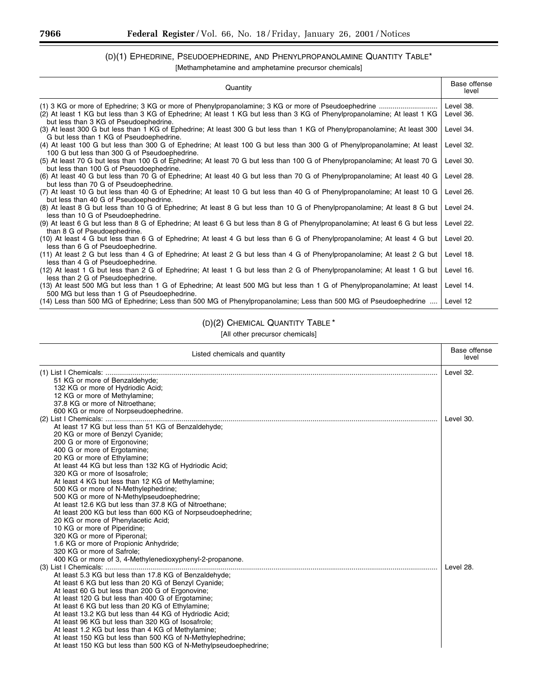-

### (D)(1) EPHEDRINE, PSEUDOEPHEDRINE, AND PHENYLPROPANOLAMINE QUANTITY TABLE\*

[Methamphetamine and amphetamine precursor chemicals]

| Quantity                                                                                                                                                                                                                                                                                   | Base offense<br>level  |
|--------------------------------------------------------------------------------------------------------------------------------------------------------------------------------------------------------------------------------------------------------------------------------------------|------------------------|
| (2) At least 1 KG but less than 3 KG of Ephedrine; At least 1 KG but less than 3 KG of Phenylpropanolamine; At least 1 KG                                                                                                                                                                  | Level 38.<br>Level 36. |
| but less than 3 KG of Pseudoephedrine.<br>(3) At least 300 G but less than 1 KG of Ephedrine; At least 300 G but less than 1 KG of Phenylpropanolamine; At least 300<br>G but less than 1 KG of Pseudoephedrine.                                                                           | Level 34.              |
| (4) At least 100 G but less than 300 G of Ephedrine; At least 100 G but less than 300 G of Phenylpropanolamine; At least<br>100 G but less than 300 G of Pseudoephedrine.                                                                                                                  | Level 32.              |
| (5) At least 70 G but less than 100 G of Ephedrine; At least 70 G but less than 100 G of Phenylpropanolamine; At least 70 G<br>but less than 100 G of Pseuodoephedrine.                                                                                                                    | Level 30.              |
| (6) At least 40 G but less than 70 G of Ephedrine; At least 40 G but less than 70 G of Phenylpropanolamine; At least 40 G<br>but less than 70 G of Pseudoephedrine.                                                                                                                        | Level 28.              |
| (7) At least 10 G but less than 40 G of Ephedrine; At least 10 G but less than 40 G of Phenylpropanolamine; At least 10 G<br>but less than 40 G of Pseudoephedrine.                                                                                                                        | Level 26.              |
| (8) At least 8 G but less than 10 G of Ephedrine; At least 8 G but less than 10 G of Phenylpropanolamine; At least 8 G but<br>less than 10 G of Pseudoephedrine.                                                                                                                           | Level 24.<br>Level 22. |
| (9) At least 6 G but less than 8 G of Ephedrine; At least 6 G but less than 8 G of Phenylpropanolamine; At least 6 G but less<br>than 8 G of Pseudoephedrine.<br>(10) At least 4 G but less than 6 G of Ephedrine; At least 4 G but less than 6 G of Phenylpropanolamine; At least 4 G but | Level 20.              |
| less than 6 G of Pseudoephedrine.<br>(11) At least 2 G but less than 4 G of Ephedrine; At least 2 G but less than 4 G of Phenylpropanolamine; At least 2 G but                                                                                                                             | Level 18.              |
| less than 4 G of Pseudoephedrine.<br>(12) At least 1 G but less than 2 G of Ephedrine; At least 1 G but less than 2 G of Phenylpropanolamine; At least 1 G but                                                                                                                             | Level 16.              |
| less than 2 G of Pseudoephedrine.<br>(13) At least 500 MG but less than 1 G of Ephedrine; At least 500 MG but less than 1 G of Phenylpropanolamine; At least                                                                                                                               | Level 14.              |
| 500 MG but less than 1 G of Pseudoephedrine.<br>(14) Less than 500 MG of Ephedrine; Less than 500 MG of Phenylpropanolamine; Less than 500 MG of Pseudoephedrine                                                                                                                           | Level 12               |

### (D)(2) CHEMICAL QUANTITY TABLE \*

[All other precursor chemicals]

| Listed chemicals and quantity                                                                                                                                                                                                                                                                                                                                                                                                                                                                                                                                                                                                                                                                                                    |           |
|----------------------------------------------------------------------------------------------------------------------------------------------------------------------------------------------------------------------------------------------------------------------------------------------------------------------------------------------------------------------------------------------------------------------------------------------------------------------------------------------------------------------------------------------------------------------------------------------------------------------------------------------------------------------------------------------------------------------------------|-----------|
| 51 KG or more of Benzaldehyde;<br>132 KG or more of Hydriodic Acid;<br>12 KG or more of Methylamine;                                                                                                                                                                                                                                                                                                                                                                                                                                                                                                                                                                                                                             | Level 32. |
| 37.8 KG or more of Nitroethane:<br>600 KG or more of Norpseudoephedrine.<br>At least 17 KG but less than 51 KG of Benzaldehyde;<br>20 KG or more of Benzyl Cyanide;<br>200 G or more of Ergonovine;                                                                                                                                                                                                                                                                                                                                                                                                                                                                                                                              | Level 30. |
| 400 G or more of Ergotamine;<br>20 KG or more of Ethylamine;<br>At least 44 KG but less than 132 KG of Hydriodic Acid;<br>320 KG or more of Isosafrole;<br>At least 4 KG but less than 12 KG of Methylamine;<br>500 KG or more of N-Methylephedrine;<br>500 KG or more of N-Methylpseudoephedrine;<br>At least 12.6 KG but less than 37.8 KG of Nitroethane;<br>At least 200 KG but less than 600 KG of Norpseudoephedrine;<br>20 KG or more of Phenylacetic Acid;<br>10 KG or more of Piperidine;<br>320 KG or more of Piperonal;<br>1.6 KG or more of Propionic Anhydride;<br>320 KG or more of Safrole;<br>400 KG or more of 3, 4-Methylenedioxyphenyl-2-propanone.<br>At least 5.3 KG but less than 17.8 KG of Benzaldehyde; | Level 28. |
| At least 6 KG but less than 20 KG of Benzyl Cyanide;<br>At least 60 G but less than 200 G of Ergonovine;<br>At least 120 G but less than 400 G of Ergotamine;<br>At least 6 KG but less than 20 KG of Ethylamine;<br>At least 13.2 KG but less than 44 KG of Hydriodic Acid;<br>At least 96 KG but less than 320 KG of Isosafrole;<br>At least 1.2 KG but less than 4 KG of Methylamine;<br>At least 150 KG but less than 500 KG of N-Methylephedrine;<br>At least 150 KG but less than 500 KG of N-Methylpseudoephedrine;                                                                                                                                                                                                       |           |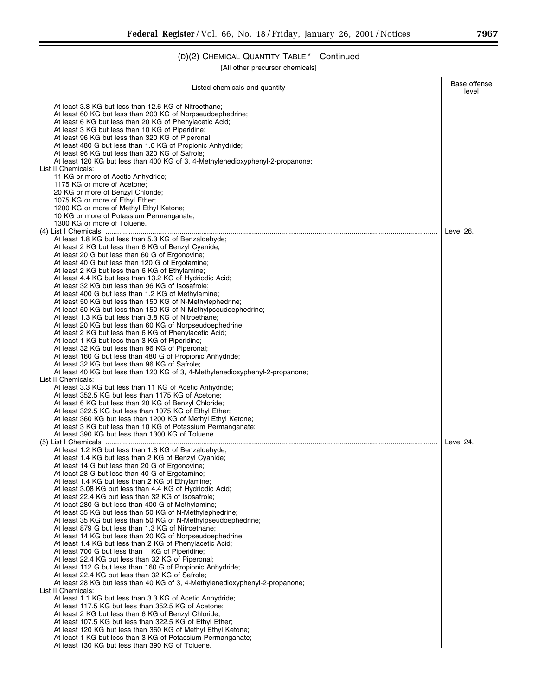[All other precursor chemicals]

| Listed chemicals and quantity                                                                                                                                                                                                                                                                                                                                                                                                                                                                                                                                                                                                                                                                                                                                                                                                                                                                                                                                                                                                                                                                                                                                                                                                                                                                                                                                                                                                                                                                                                  | Base offense<br>level |
|--------------------------------------------------------------------------------------------------------------------------------------------------------------------------------------------------------------------------------------------------------------------------------------------------------------------------------------------------------------------------------------------------------------------------------------------------------------------------------------------------------------------------------------------------------------------------------------------------------------------------------------------------------------------------------------------------------------------------------------------------------------------------------------------------------------------------------------------------------------------------------------------------------------------------------------------------------------------------------------------------------------------------------------------------------------------------------------------------------------------------------------------------------------------------------------------------------------------------------------------------------------------------------------------------------------------------------------------------------------------------------------------------------------------------------------------------------------------------------------------------------------------------------|-----------------------|
| At least 3.8 KG but less than 12.6 KG of Nitroethane;<br>At least 60 KG but less than 200 KG of Norpseudoephedrine;<br>At least 6 KG but less than 20 KG of Phenylacetic Acid;<br>At least 3 KG but less than 10 KG of Piperidine;<br>At least 96 KG but less than 320 KG of Piperonal;<br>At least 480 G but less than 1.6 KG of Propionic Anhydride;<br>At least 96 KG but less than 320 KG of Safrole;<br>At least 120 KG but less than 400 KG of 3, 4-Methylenedioxyphenyl-2-propanone;                                                                                                                                                                                                                                                                                                                                                                                                                                                                                                                                                                                                                                                                                                                                                                                                                                                                                                                                                                                                                                    |                       |
| List II Chemicals:<br>11 KG or more of Acetic Anhydride;<br>1175 KG or more of Acetone;<br>20 KG or more of Benzyl Chloride;<br>1075 KG or more of Ethyl Ether;<br>1200 KG or more of Methyl Ethyl Ketone;<br>10 KG or more of Potassium Permanganate;<br>1300 KG or more of Toluene.                                                                                                                                                                                                                                                                                                                                                                                                                                                                                                                                                                                                                                                                                                                                                                                                                                                                                                                                                                                                                                                                                                                                                                                                                                          |                       |
| At least 1.8 KG but less than 5.3 KG of Benzaldehyde;<br>At least 2 KG but less than 6 KG of Benzyl Cyanide;<br>At least 20 G but less than 60 G of Ergonovine;<br>At least 40 G but less than 120 G of Ergotamine;<br>At least 2 KG but less than 6 KG of Ethylamine;<br>At least 4.4 KG but less than 13.2 KG of Hydriodic Acid;<br>At least 32 KG but less than 96 KG of Isosafrole;<br>At least 400 G but less than 1.2 KG of Methylamine;<br>At least 50 KG but less than 150 KG of N-Methylephedrine;<br>At least 50 KG but less than 150 KG of N-Methylpseudoephedrine;<br>At least 1.3 KG but less than 3.8 KG of Nitroethane;<br>At least 20 KG but less than 60 KG of Norpseudoephedrine;<br>At least 2 KG but less than 6 KG of Phenylacetic Acid;<br>At least 1 KG but less than 3 KG of Piperidine;<br>At least 32 KG but less than 96 KG of Piperonal;<br>At least 160 G but less than 480 G of Propionic Anhydride;<br>At least 32 KG but less than 96 KG of Safrole;<br>At least 40 KG but less than 120 KG of 3, 4-Methylenedioxyphenyl-2-propanone;                                                                                                                                                                                                                                                                                                                                                                                                                                                          | Level 26.             |
| List II Chemicals:<br>At least 3.3 KG but less than 11 KG of Acetic Anhydride;<br>At least 352.5 KG but less than 1175 KG of Acetone;<br>At least 6 KG but less than 20 KG of Benzyl Chloride;<br>At least 322.5 KG but less than 1075 KG of Ethyl Ether;<br>At least 360 KG but less than 1200 KG of Methyl Ethyl Ketone;<br>At least 3 KG but less than 10 KG of Potassium Permanganate;<br>At least 390 KG but less than 1300 KG of Toluene.                                                                                                                                                                                                                                                                                                                                                                                                                                                                                                                                                                                                                                                                                                                                                                                                                                                                                                                                                                                                                                                                                | Level 24.             |
| At least 1.2 KG but less than 1.8 KG of Benzaldehyde;<br>At least 1.4 KG but less than 2 KG of Benzyl Cyanide;<br>At least 14 G but less than 20 G of Ergonovine;<br>At least 28 G but less than 40 G of Ergotamine;<br>At least 1.4 KG but less than 2 KG of Ethylamine;<br>At least 3.08 KG but less than 4.4 KG of Hydriodic Acid;<br>At least 22.4 KG but less than 32 KG of Isosafrole;<br>At least 280 G but less than 400 G of Methylamine;<br>At least 35 KG but less than 50 KG of N-Methylephedrine;<br>At least 35 KG but less than 50 KG of N-Methylpseudoephedrine;<br>At least 879 G but less than 1.3 KG of Nitroethane;<br>At least 14 KG but less than 20 KG of Norpseudoephedrine;<br>At least 1.4 KG but less than 2 KG of Phenylacetic Acid;<br>At least 700 G but less than 1 KG of Piperidine;<br>At least 22.4 KG but less than 32 KG of Piperonal;<br>At least 112 G but less than 160 G of Propionic Anhydride;<br>At least 22.4 KG but less than 32 KG of Safrole;<br>At least 28 KG but less than 40 KG of 3, 4-Methylenedioxyphenyl-2-propanone;<br>List II Chemicals:<br>At least 1.1 KG but less than 3.3 KG of Acetic Anhydride;<br>At least 117.5 KG but less than 352.5 KG of Acetone;<br>At least 2 KG but less than 6 KG of Benzyl Chloride;<br>At least 107.5 KG but less than 322.5 KG of Ethyl Ether;<br>At least 120 KG but less than 360 KG of Methyl Ethyl Ketone;<br>At least 1 KG but less than 3 KG of Potassium Permanganate;<br>At least 130 KG but less than 390 KG of Toluene. |                       |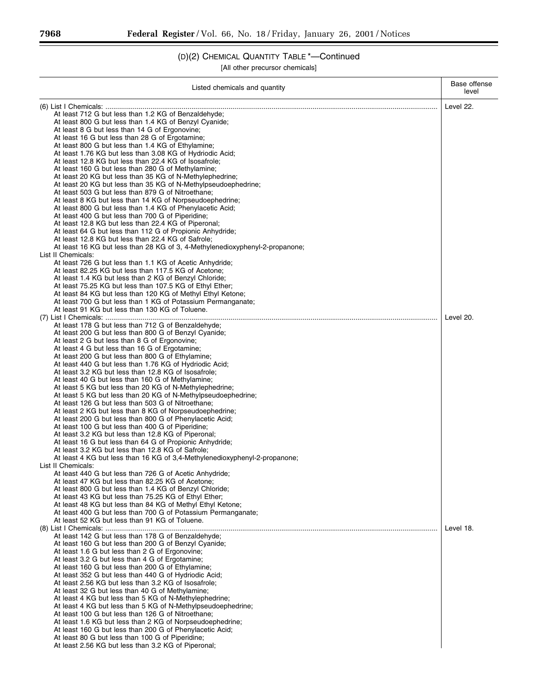[All other precursor chemicals]

| Listed chemicals and quantity                                                                                           | Base offense<br>level |
|-------------------------------------------------------------------------------------------------------------------------|-----------------------|
|                                                                                                                         | Level 22.             |
| At least 712 G but less than 1.2 KG of Benzaldehyde;                                                                    |                       |
| At least 800 G but less than 1.4 KG of Benzyl Cyanide;                                                                  |                       |
| At least 8 G but less than 14 G of Ergonovine;<br>At least 16 G but less than 28 G of Ergotamine;                       |                       |
| At least 800 G but less than 1.4 KG of Ethylamine;                                                                      |                       |
| At least 1.76 KG but less than 3.08 KG of Hydriodic Acid;                                                               |                       |
| At least 12.8 KG but less than 22.4 KG of Isosafrole;                                                                   |                       |
| At least 160 G but less than 280 G of Methylamine;                                                                      |                       |
| At least 20 KG but less than 35 KG of N-Methylephedrine;                                                                |                       |
| At least 20 KG but less than 35 KG of N-Methylpseudoephedrine;<br>At least 503 G but less than 879 G of Nitroethane;    |                       |
| At least 8 KG but less than 14 KG of Norpseudoephedrine;                                                                |                       |
| At least 800 G but less than 1.4 KG of Phenylacetic Acid;                                                               |                       |
| At least 400 G but less than 700 G of Piperidine;                                                                       |                       |
| At least 12.8 KG but less than 22.4 KG of Piperonal;                                                                    |                       |
| At least 64 G but less than 112 G of Propionic Anhydride;<br>At least 12.8 KG but less than 22.4 KG of Safrole;         |                       |
| At least 16 KG but less than 28 KG of 3, 4-Methylenedioxyphenyl-2-propanone;                                            |                       |
| List II Chemicals:                                                                                                      |                       |
| At least 726 G but less than 1.1 KG of Acetic Anhydride;                                                                |                       |
| At least 82.25 KG but less than 117.5 KG of Acetone;                                                                    |                       |
| At least 1.4 KG but less than 2 KG of Benzyl Chloride;                                                                  |                       |
| At least 75.25 KG but less than 107.5 KG of Ethyl Ether;<br>At least 84 KG but less than 120 KG of Methyl Ethyl Ketone; |                       |
| At least 700 G but less than 1 KG of Potassium Permanganate;                                                            |                       |
| At least 91 KG but less than 130 KG of Toluene.                                                                         |                       |
|                                                                                                                         | Level 20.             |
| At least 178 G but less than 712 G of Benzaldehyde;                                                                     |                       |
| At least 200 G but less than 800 G of Benzyl Cyanide;<br>At least 2 G but less than 8 G of Ergonovine;                  |                       |
| At least 4 G but less than 16 G of Ergotamine;                                                                          |                       |
| At least 200 G but less than 800 G of Ethylamine;                                                                       |                       |
| At least 440 G but less than 1.76 KG of Hydriodic Acid;                                                                 |                       |
| At least 3.2 KG but less than 12.8 KG of Isosafrole;                                                                    |                       |
| At least 40 G but less than 160 G of Methylamine;<br>At least 5 KG but less than 20 KG of N-Methylephedrine;            |                       |
| At least 5 KG but less than 20 KG of N-Methylpseudoephedrine;                                                           |                       |
| At least 126 G but less than 503 G of Nitroethane;                                                                      |                       |
| At least 2 KG but less than 8 KG of Norpseudoephedrine;                                                                 |                       |
| At least 200 G but less than 800 G of Phenylacetic Acid;                                                                |                       |
| At least 100 G but less than 400 G of Piperidine;<br>At least 3.2 KG but less than 12.8 KG of Piperonal;                |                       |
| At least 16 G but less than 64 G of Propionic Anhydride;                                                                |                       |
| At least 3.2 KG but less than 12.8 KG of Safrole;                                                                       |                       |
| At least 4 KG but less than 16 KG of 3,4-Methylenedioxyphenyl-2-propanone;                                              |                       |
| List II Chemicals:                                                                                                      |                       |
| At least 440 G but less than 726 G of Acetic Anhydride;<br>At least 47 KG but less than 82.25 KG of Acetone;            |                       |
| At least 800 G but less than 1.4 KG of Benzyl Chloride;                                                                 |                       |
| At least 43 KG but less than 75.25 KG of Ethyl Ether;                                                                   |                       |
| At least 48 KG but less than 84 KG of Methyl Ethyl Ketone;                                                              |                       |
| At least 400 G but less than 700 G of Potassium Permanganate;                                                           |                       |
| At least 52 KG but less than 91 KG of Toluene.                                                                          | Level 18.             |
| At least 142 G but less than 178 G of Benzaldehyde;                                                                     |                       |
| At least 160 G but less than 200 G of Benzyl Cyanide;                                                                   |                       |
| At least 1.6 G but less than 2 G of Ergonovine;                                                                         |                       |
| At least 3.2 G but less than 4 G of Ergotamine;                                                                         |                       |
| At least 160 G but less than 200 G of Ethylamine;                                                                       |                       |
| At least 352 G but less than 440 G of Hydriodic Acid;<br>At least 2.56 KG but less than 3.2 KG of Isosafrole;           |                       |
| At least 32 G but less than 40 G of Methylamine;                                                                        |                       |
| At least 4 KG but less than 5 KG of N-Methylephedrine;                                                                  |                       |
| At least 4 KG but less than 5 KG of N-Methylpseudoephedrine;                                                            |                       |
| At least 100 G but less than 126 G of Nitroethane;                                                                      |                       |
| At least 1.6 KG but less than 2 KG of Norpseudoephedrine;<br>At least 160 G but less than 200 G of Phenylacetic Acid;   |                       |
| At least 80 G but less than 100 G of Piperidine;                                                                        |                       |
| At least 2.56 KG but less than 3.2 KG of Piperonal;                                                                     |                       |

 $\equiv$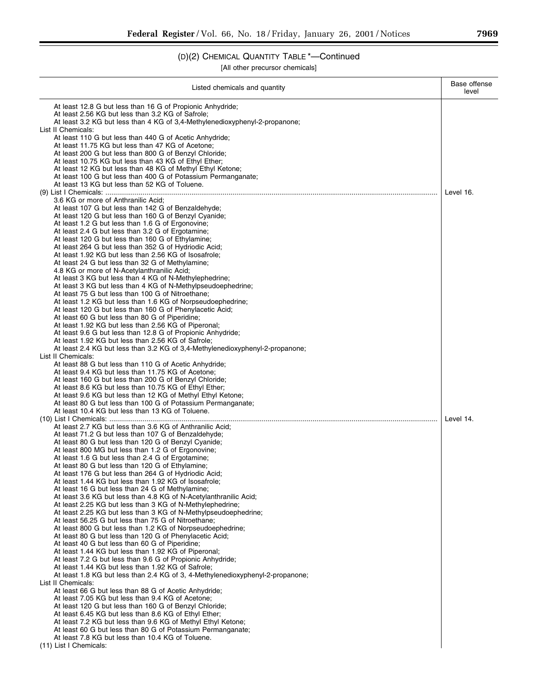[All other precursor chemicals]

| Listed chemicals and quantity                                                                                                  | Base offense<br>level |
|--------------------------------------------------------------------------------------------------------------------------------|-----------------------|
| At least 12.8 G but less than 16 G of Propionic Anhydride;                                                                     |                       |
| At least 2.56 KG but less than 3.2 KG of Safrole;                                                                              |                       |
| At least 3.2 KG but less than 4 KG of 3,4-Methylenedioxyphenyl-2-propanone;<br>List II Chemicals:                              |                       |
| At least 110 G but less than 440 G of Acetic Anhydride;                                                                        |                       |
| At least 11.75 KG but less than 47 KG of Acetone;                                                                              |                       |
| At least 200 G but less than 800 G of Benzyl Chloride;                                                                         |                       |
| At least 10.75 KG but less than 43 KG of Ethyl Ether;                                                                          |                       |
| At least 12 KG but less than 48 KG of Methyl Ethyl Ketone;<br>At least 100 G but less than 400 G of Potassium Permanganate;    |                       |
| At least 13 KG but less than 52 KG of Toluene.                                                                                 |                       |
|                                                                                                                                | Level 16.             |
| 3.6 KG or more of Anthranilic Acid;                                                                                            |                       |
| At least 107 G but less than 142 G of Benzaldehyde;                                                                            |                       |
| At least 120 G but less than 160 G of Benzyl Cyanide;<br>At least 1.2 G but less than 1.6 G of Ergonovine;                     |                       |
| At least 2.4 G but less than 3.2 G of Ergotamine;                                                                              |                       |
| At least 120 G but less than 160 G of Ethylamine;                                                                              |                       |
| At least 264 G but less than 352 G of Hydriodic Acid;                                                                          |                       |
| At least 1.92 KG but less than 2.56 KG of Isosafrole;                                                                          |                       |
| At least 24 G but less than 32 G of Methylamine;<br>4.8 KG or more of N-Acetylanthranilic Acid;                                |                       |
| At least 3 KG but less than 4 KG of N-Methylephedrine;                                                                         |                       |
| At least 3 KG but less than 4 KG of N-Methylpseudoephedrine;                                                                   |                       |
| At least 75 G but less than 100 G of Nitroethane;                                                                              |                       |
| At least 1.2 KG but less than 1.6 KG of Norpseudoephedrine;                                                                    |                       |
| At least 120 G but less than 160 G of Phenylacetic Acid;<br>At least 60 G but less than 80 G of Piperidine;                    |                       |
| At least 1.92 KG but less than 2.56 KG of Piperonal;                                                                           |                       |
| At least 9.6 G but less than 12.8 G of Propionic Anhydride;                                                                    |                       |
| At least 1.92 KG but less than 2.56 KG of Safrole;                                                                             |                       |
| At least 2.4 KG but less than 3.2 KG of 3,4-Methylenedioxyphenyl-2-propanone;                                                  |                       |
| List II Chemicals:                                                                                                             |                       |
| At least 88 G but less than 110 G of Acetic Anhydride;<br>At least 9.4 KG but less than 11.75 KG of Acetone;                   |                       |
| At least 160 G but less than 200 G of Benzyl Chloride;                                                                         |                       |
| At least 8.6 KG but less than 10.75 KG of Ethyl Ether;                                                                         |                       |
| At least 9.6 KG but less than 12 KG of Methyl Ethyl Ketone;                                                                    |                       |
| At least 80 G but less than 100 G of Potassium Permanganate;<br>At least 10.4 KG but less than 13 KG of Toluene.               |                       |
|                                                                                                                                | Level 14.             |
| At least 2.7 KG but less than 3.6 KG of Anthranilic Acid;                                                                      |                       |
| At least 71.2 G but less than 107 G of Benzaldehyde;                                                                           |                       |
| At least 80 G but less than 120 G of Benzyl Cyanide;                                                                           |                       |
| At least 800 MG but less than 1.2 G of Ergonovine;<br>At least 1.6 G but less than 2.4 G of Ergotamine;                        |                       |
| At least 80 G but less than 120 G of Ethylamine;                                                                               |                       |
| At least 176 G but less than 264 G of Hydriodic Acid;                                                                          |                       |
| At least 1.44 KG but less than 1.92 KG of Isosafrole;                                                                          |                       |
| At least 16 G but less than 24 G of Methylamine;                                                                               |                       |
| At least 3.6 KG but less than 4.8 KG of N-Acetylanthranilic Acid;<br>At least 2.25 KG but less than 3 KG of N-Methylephedrine; |                       |
| At least 2.25 KG but less than 3 KG of N-Methylpseudoephedrine;                                                                |                       |
| At least 56.25 G but less than 75 G of Nitroethane;                                                                            |                       |
| At least 800 G but less than 1.2 KG of Norpseudoephedrine;                                                                     |                       |
| At least 80 G but less than 120 G of Phenylacetic Acid;                                                                        |                       |
| At least 40 G but less than 60 G of Piperidine;<br>At least 1.44 KG but less than 1.92 KG of Piperonal;                        |                       |
| At least 7.2 G but less than 9.6 G of Propionic Anhydride;                                                                     |                       |
| At least 1.44 KG but less than 1.92 KG of Safrole;                                                                             |                       |
| At least 1.8 KG but less than 2.4 KG of 3, 4-Methylenedioxyphenyl-2-propanone;                                                 |                       |
| List II Chemicals:                                                                                                             |                       |
| At least 66 G but less than 88 G of Acetic Anhydride;                                                                          |                       |
| At least 7.05 KG but less than 9.4 KG of Acetone;<br>At least 120 G but less than 160 G of Benzyl Chloride;                    |                       |
| At least 6.45 KG but less than 8.6 KG of Ethyl Ether;                                                                          |                       |
| At least 7.2 KG but less than 9.6 KG of Methyl Ethyl Ketone;                                                                   |                       |
| At least 60 G but less than 80 G of Potassium Permanganate;                                                                    |                       |
| At least 7.8 KG but less than 10.4 KG of Toluene.                                                                              |                       |
| (11) List I Chemicals:                                                                                                         |                       |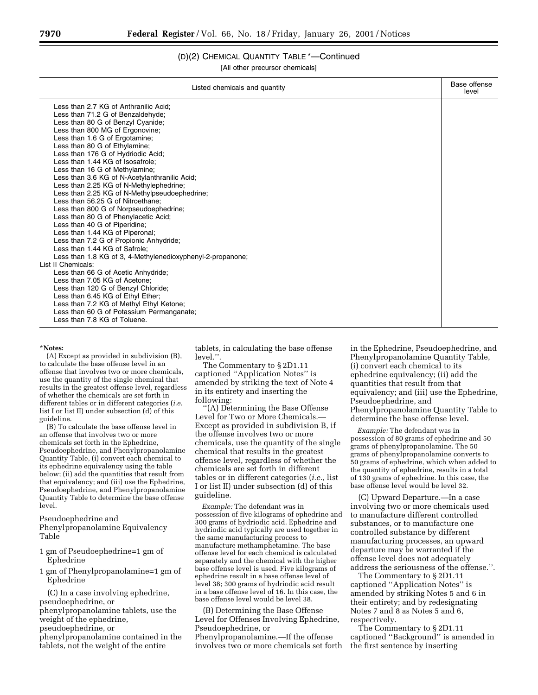[All other precursor chemicals]

| Listed chemicals and quantity                                             | Base offense<br>level |
|---------------------------------------------------------------------------|-----------------------|
| Less than 2.7 KG of Anthranilic Acid:                                     |                       |
| Less than 71.2 G of Benzaldehyde;                                         |                       |
| Less than 80 G of Benzyl Cyanide;                                         |                       |
| Less than 800 MG of Ergonovine;                                           |                       |
| Less than 1.6 G of Ergotamine;                                            |                       |
| Less than 80 G of Ethylamine;                                             |                       |
| Less than 176 G of Hydriodic Acid;                                        |                       |
| Less than 1.44 KG of Isosafrole:                                          |                       |
| Less than 16 G of Methylamine;                                            |                       |
| Less than 3.6 KG of N-Acetylanthranilic Acid;                             |                       |
| Less than 2.25 KG of N-Methylephedrine;                                   |                       |
| Less than 2.25 KG of N-Methylpseudoephedrine;                             |                       |
| Less than 56.25 G of Nitroethane:                                         |                       |
| Less than 800 G of Norpseudoephedrine;                                    |                       |
| Less than 80 G of Phenylacetic Acid;                                      |                       |
| Less than 40 G of Piperidine;                                             |                       |
| Less than 1.44 KG of Piperonal;                                           |                       |
| Less than 7.2 G of Propionic Anhydride;                                   |                       |
| Less than 1.44 KG of Safrole;                                             |                       |
| Less than 1.8 KG of 3, 4-Methylenedioxyphenyl-2-propanone;                |                       |
| List II Chemicals:                                                        |                       |
| Less than 66 G of Acetic Anhydride;                                       |                       |
| Less than 7.05 KG of Acetone;                                             |                       |
| Less than 120 G of Benzyl Chloride;                                       |                       |
| Less than 6.45 KG of Ethyl Ether;                                         |                       |
| Less than 7.2 KG of Methyl Ethyl Ketone;                                  |                       |
| Less than 60 G of Potassium Permanganate;<br>Less than 7.8 KG of Toluene. |                       |
|                                                                           |                       |

#### \***Notes:**

(A) Except as provided in subdivision (B), to calculate the base offense level in an offense that involves two or more chemicals, use the quantity of the single chemical that results in the greatest offense level, regardless of whether the chemicals are set forth in different tables or in different categories (*i.e.* list I or list II) under subsection (d) of this guideline.

(B) To calculate the base offense level in an offense that involves two or more chemicals set forth in the Ephedrine, Pseudoephedrine, and Phenylpropanolamine Quantity Table, (i) convert each chemical to its ephedrine equivalency using the table below; (ii) add the quantities that result from that equivalency; and (iii) use the Ephedrine, Pseudoephedrine, and Phenylpropanolamine Quantity Table to determine the base offense level.

#### Pseudoephedrine and

Phenylpropanolamine Equivalency Table

- 1 gm of Pseudoephedrine=1 gm of Ephedrine
- 1 gm of Phenylpropanolamine=1 gm of Ephedrine

(C) In a case involving ephedrine, pseudoephedrine, or

phenylpropanolamine tablets, use the weight of the ephedrine,

pseudoephedrine, or

phenylpropanolamine contained in the tablets, not the weight of the entire

tablets, in calculating the base offense level."

The Commentary to § 2D1.11 captioned ''Application Notes'' is amended by striking the text of Note 4 in its entirety and inserting the following:

''(A) Determining the Base Offense Level for Two or More Chemicals.— Except as provided in subdivision B, if the offense involves two or more chemicals, use the quantity of the single chemical that results in the greatest offense level, regardless of whether the chemicals are set forth in different tables or in different categories (*i.e.,* list I or list II) under subsection (d) of this guideline.

*Example:* The defendant was in possession of five kilograms of ephedrine and 300 grams of hydriodic acid. Ephedrine and hydriodic acid typically are used together in the same manufacturing process to manufacture methamphetamine. The base offense level for each chemical is calculated separately and the chemical with the higher base offense level is used. Five kilograms of ephedrine result in a base offense level of level 38; 300 grams of hydriodic acid result in a base offense level of 16. In this case, the base offense level would be level 38.

(B) Determining the Base Offense Level for Offenses Involving Ephedrine, Pseudoephedrine, or

Phenylpropanolamine.—If the offense involves two or more chemicals set forth in the Ephedrine, Pseudoephedrine, and Phenylpropanolamine Quantity Table, (i) convert each chemical to its ephedrine equivalency; (ii) add the quantities that result from that equivalency; and (iii) use the Ephedrine, Pseudoephedrine, and Phenylpropanolamine Quantity Table to determine the base offense level.

*Example:* The defendant was in possession of 80 grams of ephedrine and 50 grams of phenylpropanolamine. The 50 grams of phenylpropanolamine converts to 50 grams of ephedrine, which when added to the quantity of ephedrine, results in a total of 130 grams of ephedrine. In this case, the base offense level would be level 32.

(C) Upward Departure.—In a case involving two or more chemicals used to manufacture different controlled substances, or to manufacture one controlled substance by different manufacturing processes, an upward departure may be warranted if the offense level does not adequately address the seriousness of the offense.''.

The Commentary to § 2D1.11 captioned ''Application Notes'' is amended by striking Notes 5 and 6 in their entirety; and by redesignating Notes 7 and 8 as Notes 5 and 6, respectively.

The Commentary to § 2D1.11 captioned ''Background'' is amended in the first sentence by inserting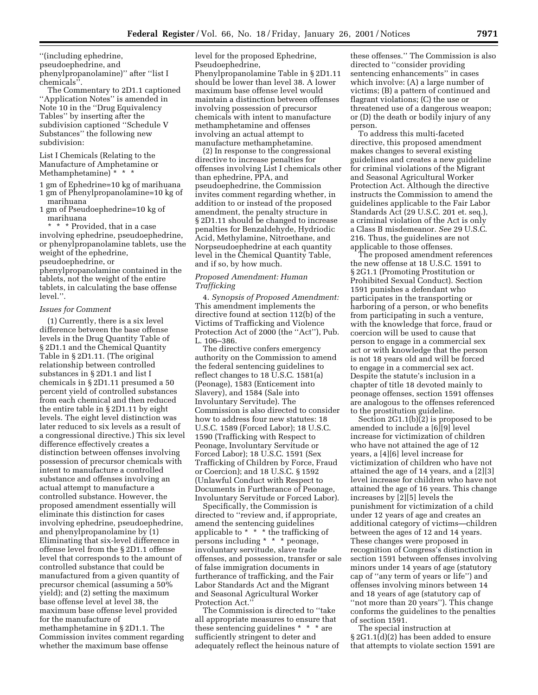''(including ephedrine, pseudoephedrine, and phenylpropanolamine)'' after ''list I chemicals''.

The Commentary to 2D1.1 captioned ''Application Notes'' is amended in Note 10 in the ''Drug Equivalency Tables'' by inserting after the subdivision captioned ''Schedule V Substances'' the following new subdivision:

List I Chemicals (Relating to the Manufacture of Amphetamine or Methamphetamine) \* \* \*

1 gm of Ephedrine=10 kg of marihuana 1 gm of Phenylpropanolamine=10 kg of marihuana

1 gm of Pseudoephedrine=10 kg of marihuana

\* \* \* Provided, that in a case involving ephedrine, pseudoephedrine, or phenylpropanolamine tablets, use the weight of the ephedrine,

pseudoephedrine, or

phenylpropanolamine contained in the tablets, not the weight of the entire tablets, in calculating the base offense level.''.

#### *Issues for Comment*

(1) Currently, there is a six level difference between the base offense levels in the Drug Quantity Table of § 2D1.1 and the Chemical Quantity Table in § 2D1.11. (The original relationship between controlled substances in § 2D1.1 and list I chemicals in § 2D1.11 presumed a 50 percent yield of controlled substances from each chemical and then reduced the entire table in § 2D1.11 by eight levels. The eight level distinction was later reduced to six levels as a result of a congressional directive.) This six level difference effectively creates a distinction between offenses involving possession of precursor chemicals with intent to manufacture a controlled substance and offenses involving an actual attempt to manufacture a controlled substance. However, the proposed amendment essentially will eliminate this distinction for cases involving ephedrine, pseudoephedrine, and phenylpropanolamine by (1) Eliminating that six-level difference in offense level from the § 2D1.1 offense level that corresponds to the amount of controlled substance that could be manufactured from a given quantity of precursor chemical (assuming a 50% yield); and (2) setting the maximum base offense level at level 38, the maximum base offense level provided for the manufacture of methamphetamine in § 2D1.1. The

Commission invites comment regarding whether the maximum base offense

level for the proposed Ephedrine, Pseudoephedrine,

Phenylpropanolamine Table in § 2D1.11 should be lower than level 38. A lower maximum base offense level would maintain a distinction between offenses involving possession of precursor chemicals with intent to manufacture methamphetamine and offenses involving an actual attempt to manufacture methamphetamine.

(2) In response to the congressional directive to increase penalties for offenses involving List I chemicals other than ephedrine, PPA, and pseudoephedrine, the Commission invites comment regarding whether, in addition to or instead of the proposed amendment, the penalty structure in § 2D1.11 should be changed to increase penalties for Benzaldehyde, Hydriodic Acid, Methylamine, Nitroethane, and Norpseudoephedrine at each quantity level in the Chemical Quantity Table, and if so, by how much.

#### *Proposed Amendment: Human Trafficking*

4. *Synopsis of Proposed Amendment:* This amendment implements the directive found at section 112(b) of the Victims of Trafficking and Violence Protection Act of 2000 (the ''Act''), Pub. L. 106–386.

The directive confers emergency authority on the Commission to amend the federal sentencing guidelines to reflect changes to 18 U.S.C. 1581(a) (Peonage), 1583 (Enticement into Slavery), and 1584 (Sale into Involuntary Servitude). The Commission is also directed to consider how to address four new statutes: 18 U.S.C. 1589 (Forced Labor); 18 U.S.C. 1590 (Trafficking with Respect to Peonage, Involuntary Servitude or Forced Labor); 18 U.S.C. 1591 (Sex Trafficking of Children by Force, Fraud or Coercion); and 18 U.S.C. § 1592 (Unlawful Conduct with Respect to Documents in Furtherance of Peonage, Involuntary Servitude or Forced Labor).

Specifically, the Commission is directed to ''review and, if appropriate, amend the sentencing guidelines applicable to \* \* \* the trafficking of persons including  $* * * \text{peanage}$ , involuntary servitude, slave trade offenses, and possession, transfer or sale of false immigration documents in furtherance of trafficking, and the Fair Labor Standards Act and the Migrant and Seasonal Agricultural Worker Protection Act.''

The Commission is directed to ''take all appropriate measures to ensure that these sentencing guidelines \* \* \* are sufficiently stringent to deter and adequately reflect the heinous nature of

these offenses.'' The Commission is also directed to ''consider providing sentencing enhancements'' in cases which involve: (A) a large number of victims; (B) a pattern of continued and flagrant violations; (C) the use or threatened use of a dangerous weapon; or (D) the death or bodily injury of any person.

To address this multi-faceted directive, this proposed amendment makes changes to several existing guidelines and creates a new guideline for criminal violations of the Migrant and Seasonal Agricultural Worker Protection Act. Although the directive instructs the Commission to amend the guidelines applicable to the Fair Labor Standards Act (29 U.S.C. 201 et. seq.), a criminal violation of the Act is only a Class B misdemeanor. *See* 29 U.S.C. 216. Thus, the guidelines are not applicable to those offenses.

The proposed amendment references the new offense at 18 U.S.C. 1591 to § 2G1.1 (Promoting Prostitution or Prohibited Sexual Conduct). Section 1591 punishes a defendant who participates in the transporting or harboring of a person, or who benefits from participating in such a venture, with the knowledge that force, fraud or coercion will be used to cause that person to engage in a commercial sex act or with knowledge that the person is not 18 years old and will be forced to engage in a commercial sex act. Despite the statute's inclusion in a chapter of title 18 devoted mainly to peonage offenses, section 1591 offenses are analogous to the offenses referenced to the prostitution guideline.

Section 2G1.1(b)(2) is proposed to be amended to include a [6][9] level increase for victimization of children who have not attained the age of 12 years, a [4][6] level increase for victimization of children who have not attained the age of 14 years, and a [2][3] level increase for children who have not attained the age of 16 years. This change increases by [2][5] levels the punishment for victimization of a child under 12 years of age and creates an additional category of victims—children between the ages of 12 and 14 years. These changes were proposed in recognition of Congress's distinction in section 1591 between offenses involving minors under 14 years of age (statutory cap of ''any term of years or life'') and offenses involving minors between 14 and 18 years of age (statutory cap of ''not more than 20 years''). This change conforms the guidelines to the penalties of section 1591.

The special instruction at § 2G1.1(d)(2) has been added to ensure that attempts to violate section 1591 are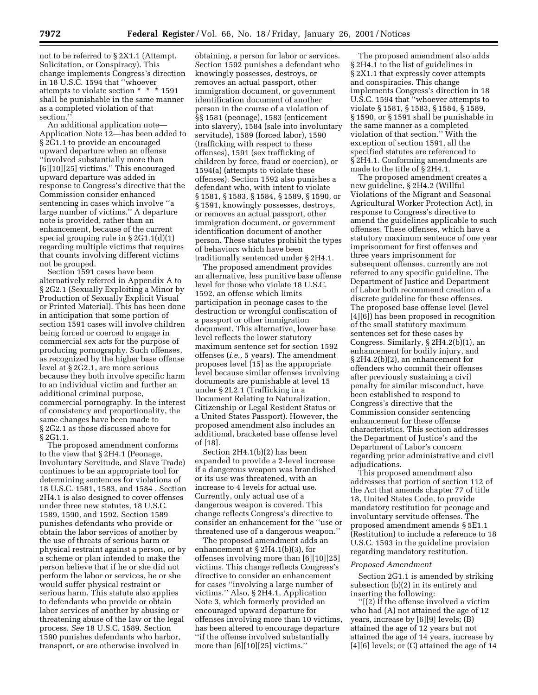not to be referred to § 2X1.1 (Attempt, Solicitation, or Conspiracy). This change implements Congress's direction in 18 U.S.C. 1594 that ''whoever attempts to violate section \* \* \* 1591 shall be punishable in the same manner as a completed violation of that section.''

An additional application note— Application Note 12—has been added to § 2G1.1 to provide an encouraged upward departure when an offense ''involved substantially more than [6][10][25] victims.'' This encouraged upward departure was added in response to Congress's directive that the Commission consider enhanced sentencing in cases which involve ''a large number of victims.'' A departure note is provided, rather than an enhancement, because of the current special grouping rule in § 2G1.1(d)(1) regarding multiple victims that requires that counts involving different victims not be grouped.

Section 1591 cases have been alternatively referred in Appendix A to § 2G2.1 (Sexually Exploiting a Minor by Production of Sexually Explicit Visual or Printed Material). This has been done in anticipation that some portion of section 1591 cases will involve children being forced or coerced to engage in commercial sex acts for the purpose of producing pornography. Such offenses, as recognized by the higher base offense level at § 2G2.1, are more serious because they both involve specific harm to an individual victim and further an additional criminal purpose, commercial pornography. In the interest of consistency and proportionality, the same changes have been made to § 2G2.1 as those discussed above for § 2G1.1.

The proposed amendment conforms to the view that § 2H4.1 (Peonage, Involuntary Servitude, and Slave Trade) continues to be an appropriate tool for determining sentences for violations of 18 U.S.C. 1581, 1583, and 1584 . Section 2H4.1 is also designed to cover offenses under three new statutes, 18 U.S.C. 1589, 1590, and 1592. Section 1589 punishes defendants who provide or obtain the labor services of another by the use of threats of serious harm or physical restraint against a person, or by a scheme or plan intended to make the person believe that if he or she did not perform the labor or services, he or she would suffer physical restraint or serious harm. This statute also applies to defendants who provide or obtain labor services of another by abusing or threatening abuse of the law or the legal process. *See* 18 U.S.C. 1589. Section 1590 punishes defendants who harbor, transport, or are otherwise involved in

obtaining, a person for labor or services. Section 1592 punishes a defendant who knowingly possesses, destroys, or removes an actual passport, other immigration document, or government identification document of another person in the course of a violation of §§ 1581 (peonage), 1583 (enticement into slavery), 1584 (sale into involuntary servitude), 1589 (forced labor), 1590 (trafficking with respect to these offenses), 1591 (sex trafficking of children by force, fraud or coercion), or 1594(a) (attempts to violate these offenses). Section 1592 also punishes a defendant who, with intent to violate § 1581, § 1583, § 1584, § 1589, § 1590, or § 1591, knowingly possesses, destroys, or removes an actual passport, other immigration document, or government identification document of another person. These statutes prohibit the types of behaviors which have been traditionally sentenced under § 2H4.1.

The proposed amendment provides an alternative, less punitive base offense level for those who violate 18 U.S.C. 1592, an offense which limits participation in peonage cases to the destruction or wrongful confiscation of a passport or other immigration document. This alternative, lower base level reflects the lower statutory maximum sentence set for section 1592 offenses (*i.e.,* 5 years). The amendment proposes level [15] as the appropriate level because similar offenses involving documents are punishable at level 15 under § 2L2.1 (Trafficking in a Document Relating to Naturalization, Citizenship or Legal Resident Status or a United States Passport). However, the proposed amendment also includes an additional, bracketed base offense level of [18].

Section 2H4.1(b)(2) has been expanded to provide a 2-level increase if a dangerous weapon was brandished or its use was threatened, with an increase to 4 levels for actual use. Currently, only actual use of a dangerous weapon is covered. This change reflects Congress's directive to consider an enhancement for the ''use or threatened use of a dangerous weapon.''

The proposed amendment adds an enhancement at § 2H4.1(b)(3), for offenses involving more than [6][10][25] victims. This change reflects Congress's directive to consider an enhancement for cases ''involving a large number of victims.'' Also, § 2H4.1, Application Note 3, which formerly provided an encouraged upward departure for offenses involving more than 10 victims, has been altered to encourage departure ''if the offense involved substantially more than [6][10][25] victims.''

The proposed amendment also adds § 2H4.1 to the list of guidelines in § 2X1.1 that expressly cover attempts and conspiracies. This change implements Congress's direction in 18 U.S.C. 1594 that ''whoever attempts to violate § 1581, § 1583, § 1584, § 1589, § 1590, or § 1591 shall be punishable in the same manner as a completed violation of that section.'' With the exception of section 1591, all the specified statutes are referenced to § 2H4.1. Conforming amendments are made to the title of § 2H4.1.

The proposed amendment creates a new guideline, § 2H4.2 (Willful Violations of the Migrant and Seasonal Agricultural Worker Protection Act), in response to Congress's directive to amend the guidelines applicable to such offenses. These offenses, which have a statutory maximum sentence of one year imprisonment for first offenses and three years imprisonment for subsequent offenses, currently are not referred to any specific guideline. The Department of Justice and Department of Labor both recommend creation of a discrete guideline for these offenses. The proposed base offense level (level [4][6]) has been proposed in recognition of the small statutory maximum sentences set for these cases by Congress. Similarly, § 2H4.2(b)(1), an enhancement for bodily injury, and § 2H4.2(b)(2), an enhancement for offenders who commit their offenses after previously sustaining a civil penalty for similar misconduct, have been established to respond to Congress's directive that the Commission consider sentencing enhancement for these offense characteristics. This section addresses the Department of Justice's and the Department of Labor's concern regarding prior administrative and civil adjudications.

This proposed amendment also addresses that portion of section 112 of the Act that amends chapter 77 of title 18, United States Code, to provide mandatory restitution for peonage and involuntary servitude offenses. The proposed amendment amends § 5E1.1 (Restitution) to include a reference to 18 U.S.C. 1593 in the guideline provision regarding mandatory restitution.

#### *Proposed Amendment*

Section 2G1.1 is amended by striking subsection (b)(2) in its entirety and inserting the following:

''[(2) If the offense involved a victim who had (A) not attained the age of 12 years, increase by [6][9] levels; (B) attained the age of 12 years but not attained the age of 14 years, increase by [4][6] levels; or (C) attained the age of 14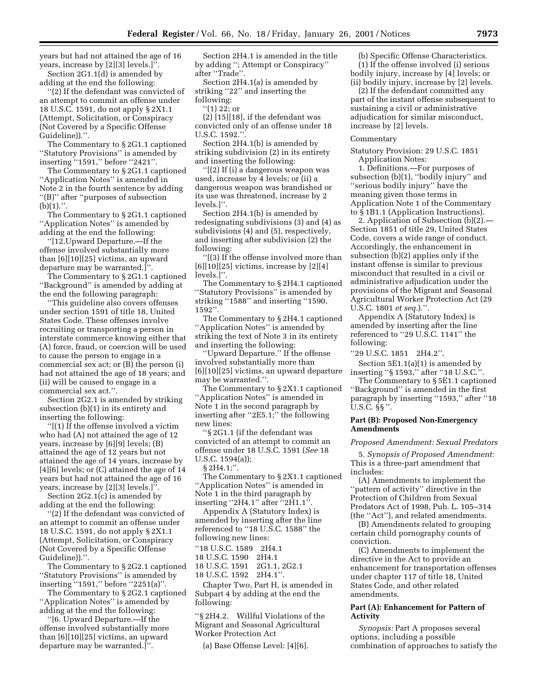years but had not attained the age of 16 years, increase by [2][3] levels.]''. Section 2G1.1(d) is amended by

adding at the end the following:

''(2) If the defendant was convicted of an attempt to commit an offense under 18 U.S.C. 1591, do not apply § 2X1.1 (Attempt, Solicitation, or Conspiracy (Not Covered by a Specific Offense Guideline)).''.

The Commentary to § 2G1.1 captioned ''Statutory Provisions'' is amended by inserting ''1591,'' before ''2421''.

The Commentary to § 2G1.1 captioned ''Application Notes'' is amended in Note 2 in the fourth sentence by adding ''(B)'' after ''purposes of subsection  $(b)(1)$ .".

The Commentary to § 2G1.1 captioned ''Application Notes'' is amended by adding at the end the following:

''[12.Upward Departure.—If the offense involved substantially more than [6][10][25] victims, an upward departure may be warranted.]''.

The Commentary to § 2G1.1 captioned ''Background'' is amended by adding at the end the following paragraph:

''This guideline also covers offenses under section 1591 of title 18, United States Code. These offenses involve recruiting or transporting a person in interstate commerce knowing either that (A) force, fraud, or coercion will be used to cause the person to engage in a commercial sex act; or (B) the person (i) had not attained the age of 18 years; and (ii) will be caused to engage in a commercial sex act.''.

Section 2G2.1 is amended by striking subsection (b)(1) in its entirety and inserting the following:

''[(1) If the offense involved a victim who had (A) not attained the age of 12 years, increase by [6][9] levels; (B) attained the age of 12 years but not attained the age of 14 years, increase by [4][6] levels; or (C) attained the age of 14 years but had not attained the age of 16 years, increase by [2][3] levels.]''.

Section 2G2.1(c) is amended by adding at the end the following:

''(2) If the defendant was convicted of an attempt to commit an offense under 18 U.S.C. 1591, do not apply § 2X1.1 (Attempt, Solicitation, or Conspiracy (Not Covered by a Specific Offense Guideline)).''.

The Commentary to § 2G2.1 captioned ''Statutory Provisions'' is amended by inserting ''1591,'' before ''2251(a)''.

The Commentary to § 2G2.1 captioned ''Application Notes'' is amended by adding at the end the following:

''[6. Upward Departure.—If the offense involved substantially more than [6][10][25] victims, an upward departure may be warranted.]''.

Section 2H4.1 is amended in the title by adding ''; Attempt or Conspiracy'' after ''Trade''.

Section 2H4.1(a) is amended by striking ''22'' and inserting the following:

''(1) 22; or

 $(2)$  [15][18], if the defendant was convicted only of an offense under 18 U.S.C. 1592."

Section 2H4.1(b) is amended by striking subdivision (2) in its entirety and inserting the following:

''[(2) If (i) a dangerous weapon was used, increase by 4 levels; or (ii) a dangerous weapon was brandished or its use was threatened, increase by 2 levels.]''.

Section 2H4.1(b) is amended by redesignating subdivisions (3) and (4) as subdivisions (4) and (5), respectively, and inserting after subdivision (2) the following:

''[(3) If the offense involved more than  $[6][10][25]$  victims, increase by  $[2][4]$ levels.]''.

The Commentary to § 2H4.1 captioned ''Statutory Provisions'' is amended by striking ''1588'' and inserting ''1590, 1592''.

The Commentary to § 2H4.1 captioned "Application Notes" is amended by striking the text of Note 3 in its entirety and inserting the following:

''Upward Departure.'' If the offense involved substantially more than [6][10][25] victims, an upward departure may be warranted.''.

The Commentary to § 2X1.1 captioned ''Application Notes'' is amended in Note 1 in the second paragraph by inserting after ''2E5.1;'' the following new lines:

''§ 2G1.1 (if the defendant was convicted of an attempt to commit an offense under 18 U.S.C. 1591 (*See* 18 U.S.C. 1594(a));

§ 2H4.1;''.

The Commentary to § 2X1.1 captioned ''Application Notes'' is amended in Note 1 in the third paragraph by inserting ''2H4.1'' after ''2H1.1''.

Appendix A (Statutory Index) is amended by inserting after the line referenced to ''18 U.S.C. 1588'' the following new lines:

''18 U.S.C. 1589 2H4.1

18 U.S.C. 1590 2H4.1

18 U.S.C. 1591 2G1.1, 2G2.1

18 U.S.C. 1592 2H4.1''.

Chapter Two, Part H, is amended in Subpart 4 by adding at the end the following:

''§ 2H4.2. Willful Violations of the Migrant and Seasonal Agricultural Worker Protection Act

(a) Base Offense Level: [4][6].

(b) Specific Offense Characteristics. (1) If the offense involved (i) serious bodily injury, increase by [4] levels; or (ii) bodily injury, increase by [2] levels.

(2) If the defendant committed any part of the instant offense subsequent to sustaining a civil or administrative adjudication for similar misconduct, increase by [2] levels.

#### Commentary

Statutory Provision: 29 U.S.C. 1851 Application Notes:

1. Definitions.—For purposes of subsection (b)(1), ''bodily injury'' and ''serious bodily injury'' have the meaning given those terms in Application Note 1 of the Commentary to § 1B1.1 (Application Instructions).

2. Application of Subsection (b)(2).— Section 1851 of title 29, United States Code, covers a wide range of conduct. Accordingly, the enhancement in subsection (b)(2) applies only if the instant offense is similar to previous misconduct that resulted in a civil or administrative adjudication under the provisions of the Migrant and Seasonal Agricultural Worker Protection Act (29 U.S.C. 1801 *et seq.*).''.

Appendix A (Statutory Index) is amended by inserting after the line referenced to ''29 U.S.C. 1141'' the following:

''29 U.S.C. 1851 2H4.2''.

Section 5E1.1(a)(1) is amended by inserting ''§ 1593,'' after ''18 U.S.C.''.

The Commentary to § 5E1.1 captioned ''Background'' is amended in the first paragraph by inserting ''1593,'' after ''18 U.S.C. §§ ''.

#### **Part (B): Proposed Non-Emergency Amendments**

*Proposed Amendment: Sexual Predators*

5. *Synopsis of Proposed Amendment:* This is a three-part amendment that includes:

(A) Amendments to implement the ''pattern of activity'' directive in the Protection of Children from Sexual Predators Act of 1998, Pub. L. 105–314 (the ''Act''), and related amendments.

(B) Amendments related to grouping certain child pornography counts of conviction.

(C) Amendments to implement the directive in the Act to provide an enhancement for transportation offenses under chapter 117 of title 18, United States Code, and other related amendments.

#### **Part (A): Enhancement for Pattern of Activity**

*Synopsis:* Part A proposes several options, including a possible combination of approaches to satisfy the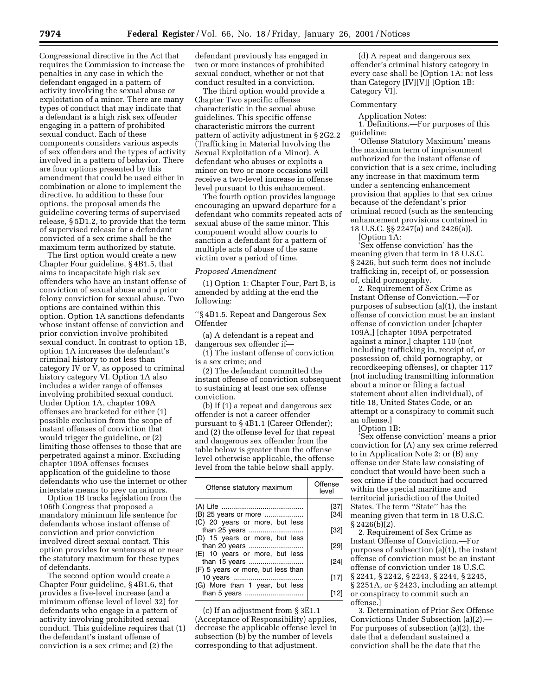Congressional directive in the Act that requires the Commission to increase the penalties in any case in which the defendant engaged in a pattern of activity involving the sexual abuse or exploitation of a minor. There are many types of conduct that may indicate that a defendant is a high risk sex offender engaging in a pattern of prohibited sexual conduct. Each of these components considers various aspects of sex offenders and the types of activity involved in a pattern of behavior. There are four options presented by this amendment that could be used either in combination or alone to implement the directive. In addition to these four options, the proposal amends the guideline covering terms of supervised release, § 5D1.2, to provide that the term of supervised release for a defendant convicted of a sex crime shall be the maximum term authorized by statute.

The first option would create a new Chapter Four guideline, § 4B1.5, that aims to incapacitate high risk sex offenders who have an instant offense of conviction of sexual abuse and a prior felony conviction for sexual abuse. Two options are contained within this option. Option 1A sanctions defendants whose instant offense of conviction and prior conviction involve prohibited sexual conduct. In contrast to option 1B, option 1A increases the defendant's criminal history to not less than category IV or V, as opposed to criminal history category VI. Option 1A also includes a wider range of offenses involving prohibited sexual conduct. Under Option 1A, chapter 109A offenses are bracketed for either (1) possible exclusion from the scope of instant offenses of conviction that would trigger the guideline, or (2) limiting those offenses to those that are perpetrated against a minor. Excluding chapter 109A offenses focuses application of the guideline to those defendants who use the internet or other interstate means to prey on minors.

Option 1B tracks legislation from the 106th Congress that proposed a mandatory minimum life sentence for defendants whose instant offense of conviction and prior conviction involved direct sexual contact. This option provides for sentences at or near the statutory maximum for these types of defendants.

The second option would create a Chapter Four guideline, § 4B1.6, that provides a five-level increase (and a minimum offense level of level 32) for defendants who engage in a pattern of activity involving prohibited sexual conduct. This guideline requires that (1) the defendant's instant offense of conviction is a sex crime; and (2) the

defendant previously has engaged in two or more instances of prohibited sexual conduct, whether or not that conduct resulted in a conviction.

The third option would provide a Chapter Two specific offense characteristic in the sexual abuse guidelines. This specific offense characteristic mirrors the current pattern of activity adjustment in § 2G2.2 (Trafficking in Material Involving the Sexual Exploitation of a Minor). A defendant who abuses or exploits a minor on two or more occasions will receive a two-level increase in offense level pursuant to this enhancement.

The fourth option provides language encouraging an upward departure for a defendant who commits repeated acts of sexual abuse of the same minor. This component would allow courts to sanction a defendant for a pattern of multiple acts of abuse of the same victim over a period of time.

#### *Proposed Amendment*

(1) Option 1: Chapter Four, Part B, is amended by adding at the end the following:

''§ 4B1.5. Repeat and Dangerous Sex Offender

(a) A defendant is a repeat and dangerous sex offender if—

(1) The instant offense of conviction is a sex crime; and

(2) The defendant committed the instant offense of conviction subsequent to sustaining at least one sex offense conviction.

(b) If (1) a repeat and dangerous sex offender is not a career offender pursuant to § 4B1.1 (Career Offender); and (2) the offense level for that repeat and dangerous sex offender from the table below is greater than the offense level otherwise applicable, the offense level from the table below shall apply.

| Offense statutory maximum                                                         | Offense<br>level |
|-----------------------------------------------------------------------------------|------------------|
| (B) 25 years or more                                                              | [37]<br>[34]     |
| (C) 20 years or more, but less<br>than 25 years<br>(D) 15 years or more, but less | [32]             |
| than 20 years<br>(E) 10 years or more, but less                                   | [29]             |
| than 15 years<br>(F) 5 years or more, but less than                               | [24]             |
| (G) More than 1 year, but less                                                    | [17]             |
|                                                                                   | [12]             |

(c) If an adjustment from § 3E1.1 (Acceptance of Responsibility) applies, decrease the applicable offense level in subsection (b) by the number of levels corresponding to that adjustment.

(d) A repeat and dangerous sex offender's criminal history category in every case shall be [Option 1A: not less than Category [IV][V]] [Option 1B: Category VI].

#### Commentary

Application Notes:

1. Definitions.—For purposes of this guideline:

'Offense Statutory Maximum' means the maximum term of imprisonment authorized for the instant offense of conviction that is a sex crime, including any increase in that maximum term under a sentencing enhancement provision that applies to that sex crime because of the defendant's prior criminal record (such as the sentencing enhancement provisions contained in 18 U.S.C. §§ 2247(a) and 2426(a)).

[Option 1A:

'Sex offense conviction' has the meaning given that term in 18 U.S.C. § 2426, but such term does not include trafficking in, receipt of, or possession of, child pornography.

2. Requirement of Sex Crime as Instant Offense of Conviction.—For purposes of subsection (a)(1), the instant offense of conviction must be an instant offense of conviction under [chapter 109A,] [chapter 109A perpetrated against a minor,] chapter 110 (not including trafficking in, receipt of, or possession of, child pornography, or recordkeeping offenses), or chapter 117 (not including transmitting information about a minor or filing a factual statement about alien individual), of title 18, United States Code, or an attempt or a conspiracy to commit such an offense.]

[Option 1B:

'Sex offense conviction' means a prior conviction for (A) any sex crime referred to in Application Note 2; or (B) any offense under State law consisting of conduct that would have been such a sex crime if the conduct had occurred within the special maritime and territorial jurisdiction of the United States. The term ''State'' has the meaning given that term in 18 U.S.C. § 2426(b)(2).

2. Requirement of Sex Crime as Instant Offense of Conviction.—For purposes of subsection (a)(1), the instant offense of conviction must be an instant offense of conviction under 18 U.S.C. § 2241, § 2242, § 2243, § 2244, § 2245, § 2251A, or § 2423, including an attempt or conspiracy to commit such an offense.]

3. Determination of Prior Sex Offense Convictions Under Subsection (a)(2).— For purposes of subsection (a)(2), the date that a defendant sustained a conviction shall be the date that the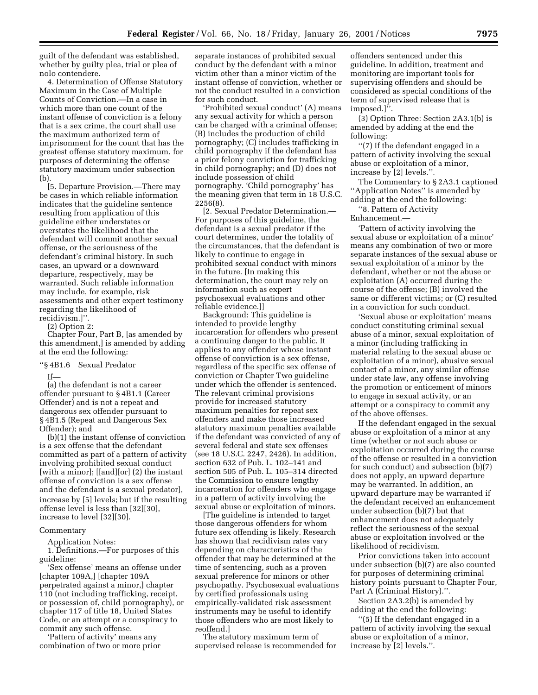guilt of the defendant was established, whether by guilty plea, trial or plea of nolo contendere.

4. Determination of Offense Statutory Maximum in the Case of Multiple Counts of Conviction.—In a case in which more than one count of the instant offense of conviction is a felony that is a sex crime, the court shall use the maximum authorized term of imprisonment for the count that has the greatest offense statutory maximum, for purposes of determining the offense statutory maximum under subsection (b).

[5. Departure Provision.—There may be cases in which reliable information indicates that the guideline sentence resulting from application of this guideline either understates or overstates the likelihood that the defendant will commit another sexual offense, or the seriousness of the defendant's criminal history. In such cases, an upward or a downward departure, respectively, may be warranted. Such reliable information may include, for example, risk assessments and other expert testimony regarding the likelihood of recidivism.]''.

(2) Option 2:

Chapter Four, Part B, [as amended by this amendment,] is amended by adding at the end the following:

''§ 4B1.6 Sexual Predator

If— (a) the defendant is not a career offender pursuant to § 4B1.1 (Career Offender) and is not a repeat and dangerous sex offender pursuant to § 4B1.5 (Repeat and Dangerous Sex Offender); and

(b)(1) the instant offense of conviction is a sex offense that the defendant committed as part of a pattern of activity involving prohibited sexual conduct [with a minor]; [[and][or] (2) the instant offense of conviction is a sex offense and the defendant is a sexual predator], increase by [5] levels; but if the resulting offense level is less than [32][30], increase to level [32][30].

#### Commentary

Application Notes:

1. Definitions.—For purposes of this guideline:

'Sex offense' means an offense under [chapter 109A,] [chapter 109A perpetrated against a minor,] chapter 110 (not including trafficking, receipt, or possession of, child pornography), or chapter 117 of title 18, United States Code, or an attempt or a conspiracy to commit any such offense.

'Pattern of activity' means any combination of two or more prior separate instances of prohibited sexual conduct by the defendant with a minor victim other than a minor victim of the instant offense of conviction, whether or not the conduct resulted in a conviction for such conduct.

'Prohibited sexual conduct' (A) means any sexual activity for which a person can be charged with a criminal offense; (B) includes the production of child pornography; (C) includes trafficking in child pornography if the defendant has a prior felony conviction for trafficking in child pornography; and (D) does not include possession of child pornography. 'Child pornography' has the meaning given that term in 18 U.S.C. 2256(8).

[2. Sexual Predator Determination.— For purposes of this guideline, the defendant is a sexual predator if the court determines, under the totality of the circumstances, that the defendant is likely to continue to engage in prohibited sexual conduct with minors in the future. [In making this determination, the court may rely on information such as expert psychosexual evaluations and other reliable evidence.]]

Background: This guideline is intended to provide lengthy incarceration for offenders who present a continuing danger to the public. It applies to any offender whose instant offense of conviction is a sex offense, regardless of the specific sex offense of conviction or Chapter Two guideline under which the offender is sentenced. The relevant criminal provisions provide for increased statutory maximum penalties for repeat sex offenders and make those increased statutory maximum penalties available if the defendant was convicted of any of several federal and state sex offenses (see 18 U.S.C. 2247, 2426). In addition, section 632 of Pub. L. 102–141 and section 505 of Pub. L. 105–314 directed the Commission to ensure lengthy incarceration for offenders who engage in a pattern of activity involving the sexual abuse or exploitation of minors.

[The guideline is intended to target those dangerous offenders for whom future sex offending is likely. Research has shown that recidivism rates vary depending on characteristics of the offender that may be determined at the time of sentencing, such as a proven sexual preference for minors or other psychopathy. Psychosexual evaluations by certified professionals using empirically-validated risk assessment instruments may be useful to identify those offenders who are most likely to reoffend.]

The statutory maximum term of supervised release is recommended for

offenders sentenced under this guideline. In addition, treatment and monitoring are important tools for supervising offenders and should be considered as special conditions of the term of supervised release that is imposed.]''.

(3) Option Three: Section 2A3.1(b) is amended by adding at the end the following:

''(7) If the defendant engaged in a pattern of activity involving the sexual abuse or exploitation of a minor, increase by [2] levels.''.

The Commentary to § 2A3.1 captioned ''Application Notes'' is amended by adding at the end the following:

''8. Pattern of Activity Enhancement.—

'Pattern of activity involving the sexual abuse or exploitation of a minor' means any combination of two or more separate instances of the sexual abuse or sexual exploitation of a minor by the defendant, whether or not the abuse or exploitation (A) occurred during the course of the offense; (B) involved the same or different victims; or (C) resulted in a conviction for such conduct.

'Sexual abuse or exploitation' means conduct constituting criminal sexual abuse of a minor, sexual exploitation of a minor (including trafficking in material relating to the sexual abuse or exploitation of a minor), abusive sexual contact of a minor, any similar offense under state law, any offense involving the promotion or enticement of minors to engage in sexual activity, or an attempt or a conspiracy to commit any of the above offenses.

If the defendant engaged in the sexual abuse or exploitation of a minor at any time (whether or not such abuse or exploitation occurred during the course of the offense or resulted in a conviction for such conduct) and subsection (b)(7) does not apply, an upward departure may be warranted. In addition, an upward departure may be warranted if the defendant received an enhancement under subsection (b)(7) but that enhancement does not adequately reflect the seriousness of the sexual abuse or exploitation involved or the likelihood of recidivism.

Prior convictions taken into account under subsection (b)(7) are also counted for purposes of determining criminal history points pursuant to Chapter Four, Part A (Criminal History).''.

Section 2A3.2(b) is amended by adding at the end the following:

''(5) If the defendant engaged in a pattern of activity involving the sexual abuse or exploitation of a minor, increase by [2] levels.''.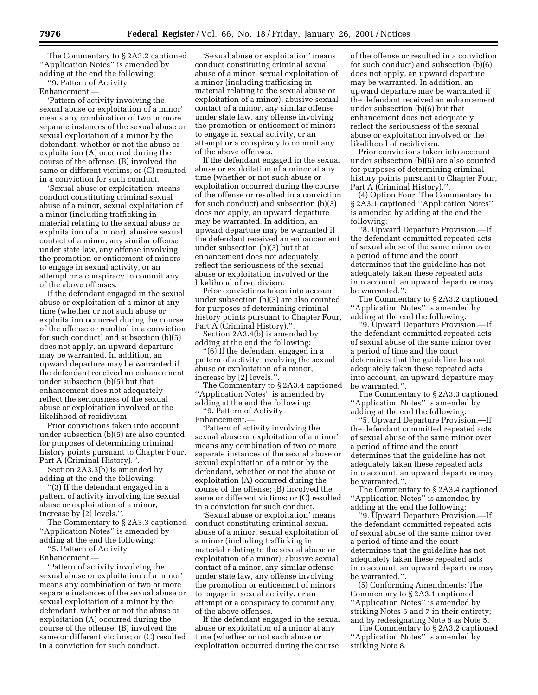The Commentary to § 2A3.2 captioned ''Application Notes'' is amended by adding at the end the following:

''9. Pattern of Activity Enhancement.—

'Pattern of activity involving the sexual abuse or exploitation of a minor' means any combination of two or more separate instances of the sexual abuse or sexual exploitation of a minor by the defendant, whether or not the abuse or exploitation (A) occurred during the course of the offense; (B) involved the same or different victims; or (C) resulted in a conviction for such conduct.

'Sexual abuse or exploitation' means conduct constituting criminal sexual abuse of a minor, sexual exploitation of a minor (including trafficking in material relating to the sexual abuse or exploitation of a minor), abusive sexual contact of a minor, any similar offense under state law, any offense involving the promotion or enticement of minors to engage in sexual activity, or an attempt or a conspiracy to commit any of the above offenses.

If the defendant engaged in the sexual abuse or exploitation of a minor at any time (whether or not such abuse or exploitation occurred during the course of the offense or resulted in a conviction for such conduct) and subsection (b)(5) does not apply, an upward departure may be warranted. In addition, an upward departure may be warranted if the defendant received an enhancement under subsection (b)(5) but that enhancement does not adequately reflect the seriousness of the sexual abuse or exploitation involved or the likelihood of recidivism.

Prior convictions taken into account under subsection (b)(5) are also counted for purposes of determining criminal history points pursuant to Chapter Four, Part A (Criminal History).''.

Section 2A3.3(b) is amended by adding at the end the following:

''(3) If the defendant engaged in a pattern of activity involving the sexual abuse or exploitation of a minor, increase by [2] levels."

The Commentary to § 2A3.3 captioned "Application Notes" is amended by adding at the end the following:

''5. Pattern of Activity Enhancement.—

'Pattern of activity involving the sexual abuse or exploitation of a minor' means any combination of two or more separate instances of the sexual abuse or sexual exploitation of a minor by the defendant, whether or not the abuse or exploitation (A) occurred during the course of the offense; (B) involved the same or different victims; or (C) resulted in a conviction for such conduct.

'Sexual abuse or exploitation' means conduct constituting criminal sexual abuse of a minor, sexual exploitation of a minor (including trafficking in material relating to the sexual abuse or exploitation of a minor), abusive sexual contact of a minor, any similar offense under state law, any offense involving the promotion or enticement of minors to engage in sexual activity, or an attempt or a conspiracy to commit any of the above offenses.

If the defendant engaged in the sexual abuse or exploitation of a minor at any time (whether or not such abuse or exploitation occurred during the course of the offense or resulted in a conviction for such conduct) and subsection (b)(3) does not apply, an upward departure may be warranted. In addition, an upward departure may be warranted if the defendant received an enhancement under subsection (b)(3) but that enhancement does not adequately reflect the seriousness of the sexual abuse or exploitation involved or the likelihood of recidivism.

Prior convictions taken into account under subsection (b)(3) are also counted for purposes of determining criminal history points pursuant to Chapter Four, Part A (Criminal History).''.

Section 2A3.4(b) is amended by adding at the end the following:

''(6) If the defendant engaged in a pattern of activity involving the sexual abuse or exploitation of a minor, increase by [2] levels.''.

The Commentary to § 2A3.4 captioned ''Application Notes'' is amended by adding at the end the following: ''9. Pattern of Activity

Enhancement.—

'Pattern of activity involving the sexual abuse or exploitation of a minor' means any combination of two or more separate instances of the sexual abuse or sexual exploitation of a minor by the defendant, whether or not the abuse or exploitation (A) occurred during the course of the offense; (B) involved the same or different victims; or (C) resulted in a conviction for such conduct.

'Sexual abuse or exploitation' means conduct constituting criminal sexual abuse of a minor, sexual exploitation of a minor (including trafficking in material relating to the sexual abuse or exploitation of a minor), abusive sexual contact of a minor, any similar offense under state law, any offense involving the promotion or enticement of minors to engage in sexual activity, or an attempt or a conspiracy to commit any of the above offenses.

If the defendant engaged in the sexual abuse or exploitation of a minor at any time (whether or not such abuse or exploitation occurred during the course

of the offense or resulted in a conviction for such conduct) and subsection (b)(6) does not apply, an upward departure may be warranted. In addition, an upward departure may be warranted if the defendant received an enhancement under subsection (b)(6) but that enhancement does not adequately reflect the seriousness of the sexual abuse or exploitation involved or the likelihood of recidivism.

Prior convictions taken into account under subsection (b)(6) are also counted for purposes of determining criminal history points pursuant to Chapter Four, Part A (Criminal History).''.

(4) Option Four: The Commentary to § 2A3.1 captioned ''Application Notes'' is amended by adding at the end the following:

''8. Upward Departure Provision.—If the defendant committed repeated acts of sexual abuse of the same minor over a period of time and the court determines that the guideline has not adequately taken these repeated acts into account, an upward departure may be warranted.''.

The Commentary to § 2A3.2 captioned ''Application Notes'' is amended by adding at the end the following:

''9. Upward Departure Provision.—If the defendant committed repeated acts of sexual abuse of the same minor over a period of time and the court determines that the guideline has not adequately taken these repeated acts into account, an upward departure may be warranted.''.

The Commentary to § 2A3.3 captioned ''Application Notes'' is amended by adding at the end the following:

''5. Upward Departure Provision.—If the defendant committed repeated acts of sexual abuse of the same minor over a period of time and the court determines that the guideline has not adequately taken these repeated acts into account, an upward departure may be warranted."

The Commentary to § 2A3.4 captioned ''Application Notes'' is amended by adding at the end the following:

''9. Upward Departure Provision.—If the defendant committed repeated acts of sexual abuse of the same minor over a period of time and the court determines that the guideline has not adequately taken these repeated acts into account, an upward departure may be warranted.''.

(5) Conforming Amendments: The Commentary to § 2A3.1 captioned ''Application Notes'' is amended by striking Notes 5 and 7 in their entirety; and by redesignating Note 6 as Note 5.

The Commentary to § 2A3.2 captioned ''Application Notes'' is amended by striking Note 8.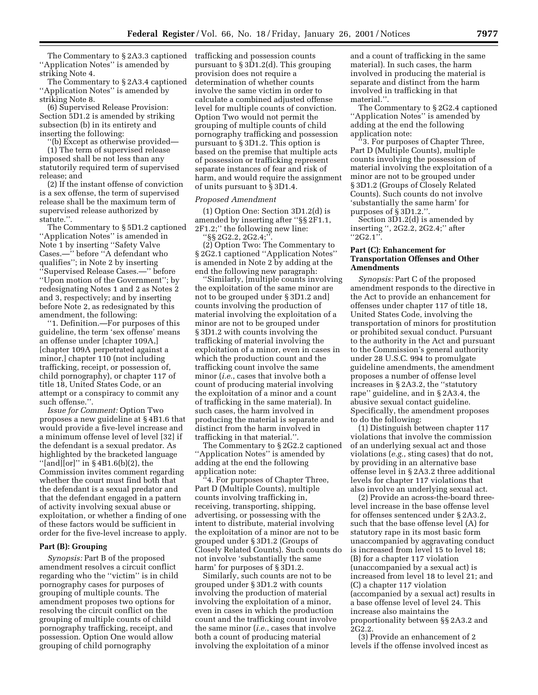The Commentary to § 2A3.3 captioned trafficking and possession counts ''Application Notes'' is amended by striking Note 4.

The Commentary to § 2A3.4 captioned ''Application Notes'' is amended by striking Note 8.

(6) Supervised Release Provision: Section 5D1.2 is amended by striking subsection (b) in its entirety and inserting the following:

''(b) Except as otherwise provided— (1) The term of supervised release imposed shall be not less than any

statutorily required term of supervised release; and (2) If the instant offense of conviction

is a sex offense, the term of supervised release shall be the maximum term of supervised release authorized by statute.''.

The Commentary to § 5D1.2 captioned ''Application Notes'' is amended in Note 1 by inserting ''Safety Valve Cases.—'' before ''A defendant who qualifies''; in Note 2 by inserting ''Supervised Release Cases.—'' before ''Upon motion of the Government''; by redesignating Notes 1 and 2 as Notes 2 and 3, respectively; and by inserting before Note 2, as redesignated by this amendment, the following:

''1. Definition.—For purposes of this guideline, the term 'sex offense' means an offense under [chapter 109A,] [chapter 109A perpetrated against a minor,] chapter 110 (not including trafficking, receipt, or possession of, child pornography), or chapter 117 of title 18, United States Code, or an attempt or a conspiracy to commit any such offense.''.

*Issue for Comment:* Option Two proposes a new guideline at § 4B1.6 that would provide a five-level increase and a minimum offense level of level [32] if the defendant is a sexual predator. As highlighted by the bracketed language ''[and][or]'' in § 4B1.6(b)(2), the Commission invites comment regarding whether the court must find both that the defendant is a sexual predator and that the defendant engaged in a pattern of activity involving sexual abuse or exploitation, or whether a finding of one of these factors would be sufficient in order for the five-level increase to apply.

#### **Part (B): Grouping**

*Synopsis:* Part B of the proposed amendment resolves a circuit conflict regarding who the ''victim'' is in child pornography cases for purposes of grouping of multiple counts. The amendment proposes two options for resolving the circuit conflict on the grouping of multiple counts of child pornography trafficking, receipt, and possession. Option One would allow grouping of child pornography

pursuant to § 3D1.2(d). This grouping provision does not require a determination of whether counts involve the same victim in order to calculate a combined adjusted offense level for multiple counts of conviction. Option Two would not permit the grouping of multiple counts of child pornography trafficking and possession pursuant to § 3D1.2. This option is based on the premise that multiple acts of possession or trafficking represent separate instances of fear and risk of harm, and would require the assignment of units pursuant to § 3D1.4.

#### *Proposed Amendment*

(1) Option One: Section 3D1.2(d) is amended by inserting after ''§§ 2F1.1, 2F1.2;'' the following new line:

''§§ 2G2.2, 2G2.4;''.

(2) Option Two: The Commentary to § 2G2.1 captioned ''Application Notes'' is amended in Note 2 by adding at the end the following new paragraph:

''Similarly, [multiple counts involving the exploitation of the same minor are not to be grouped under § 3D1.2 and] counts involving the production of material involving the exploitation of a minor are not to be grouped under § 3D1.2 with counts involving the trafficking of material involving the exploitation of a minor, even in cases in which the production count and the trafficking count involve the same minor (*i.e.*, cases that involve both a count of producing material involving the exploitation of a minor and a count of trafficking in the same material). In such cases, the harm involved in producing the material is separate and distinct from the harm involved in trafficking in that material.''.

The Commentary to § 2G2.2 captioned ''Application Notes'' is amended by adding at the end the following application note:

'4. For purposes of Chapter Three, Part D (Multiple Counts), multiple counts involving trafficking in, receiving, transporting, shipping, advertising, or possessing with the intent to distribute, material involving the exploitation of a minor are not to be grouped under § 3D1.2 (Groups of Closely Related Counts). Such counts do not involve 'substantially the same harm' for purposes of § 3D1.2.

Similarly, such counts are not to be grouped under § 3D1.2 with counts involving the production of material involving the exploitation of a minor, even in cases in which the production count and the trafficking count involve the same minor (*i.e.*, cases that involve both a count of producing material involving the exploitation of a minor

and a count of trafficking in the same material). In such cases, the harm involved in producing the material is separate and distinct from the harm involved in trafficking in that material.''.

The Commentary to § 2G2.4 captioned ''Application Notes'' is amended by adding at the end the following application note:

''3. For purposes of Chapter Three, Part D (Multiple Counts), multiple counts involving the possession of material involving the exploitation of a minor are not to be grouped under § 3D1.2 (Groups of Closely Related Counts). Such counts do not involve 'substantially the same harm' for purposes of § 3D1.2.''.

Section 3D1.2(d) is amended by inserting '', 2G2.2, 2G2.4;'' after ''2G2.1''.

#### **Part (C): Enhancement for Transportation Offenses and Other Amendments**

*Synopsis:* Part C of the proposed amendment responds to the directive in the Act to provide an enhancement for offenses under chapter 117 of title 18, United States Code, involving the transportation of minors for prostitution or prohibited sexual conduct. Pursuant to the authority in the Act and pursuant to the Commission's general authority under 28 U.S.C. 994 to promulgate guideline amendments, the amendment proposes a number of offense level increases in § 2A3.2, the ''statutory rape'' guideline, and in § 2A3.4, the abusive sexual contact guideline. Specifically, the amendment proposes to do the following:

(1) Distinguish between chapter 117 violations that involve the commission of an underlying sexual act and those violations (*e.g.*, sting cases) that do not, by providing in an alternative base offense level in § 2A3.2 three additional levels for chapter 117 violations that also involve an underlying sexual act.

(2) Provide an across-the-board threelevel increase in the base offense level for offenses sentenced under § 2A3.2, such that the base offense level (A) for statutory rape in its most basic form unaccompanied by aggravating conduct is increased from level 15 to level 18; (B) for a chapter 117 violation (unaccompanied by a sexual act) is increased from level 18 to level 21; and (C) a chapter 117 violation (accompanied by a sexual act) results in a base offense level of level 24. This increase also maintains the proportionality between §§ 2A3.2 and 2G2.2.

(3) Provide an enhancement of 2 levels if the offense involved incest as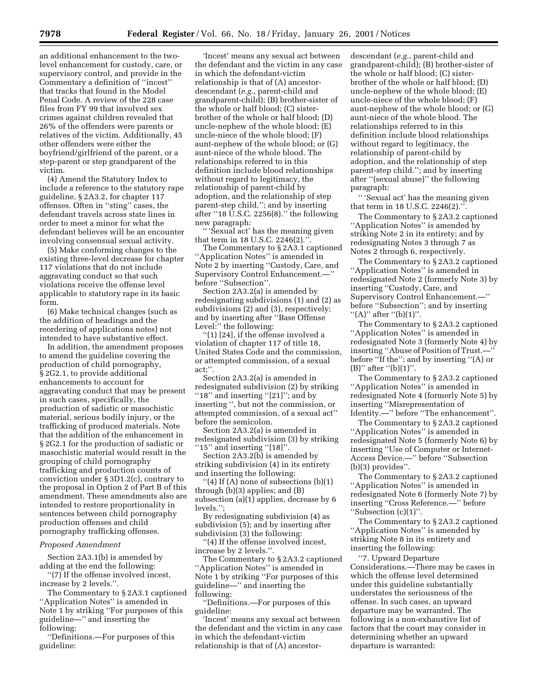an additional enhancement to the twolevel enhancement for custody, care, or supervisory control, and provide in the Commentary a definition of ''incest'' that tracks that found in the Model Penal Code. A review of the 228 case files from FY 99 that involved sex crimes against children revealed that 26% of the offenders were parents or relatives of the victim. Additionally, 45 other offenders were either the boyfriend/girlfriend of the parent, or a step-parent or step grandparent of the victim.

(4) Amend the Statutory Index to include a reference to the statutory rape guideline, § 2A3.2, for chapter 117 offenses. Often in ''sting'' cases, the defendant travels across state lines in order to meet a minor for what the defendant believes will be an encounter involving consensual sexual activity.

(5) Make conforming changes to the existing three-level decrease for chapter 117 violations that do not include aggravating conduct so that such violations receive the offense level applicable to statutory rape in its basic form.

(6) Make technical changes (such as the addition of headings and the reordering of applications notes) not intended to have substantive effect.

In addition, the amendment proposes to amend the guideline covering the production of child pornography, § 2G2.1, to provide additional enhancements to account for aggravating conduct that may be present in such cases, specifically, the production of sadistic or masochistic material, serious bodily injury, or the trafficking of produced materials. Note that the addition of the enhancement in § 2G2.1 for the production of sadistic or masochistic material would result in the grouping of child pornography trafficking and production counts of conviction under § 3D1.2(c), contrary to the proposal in Option 2 of Part B of this amendment. These amendments also are intended to restore proportionality in sentences between child pornography production offenses and child pornography trafficking offenses.

#### *Proposed Amendment*

Section 2A3.1(b) is amended by adding at the end the following:

''(7) If the offense involved incest, increase by 2 levels.''.

The Commentary to § 2A3.1 captioned ''Application Notes'' is amended in Note 1 by striking ''For purposes of this guideline—'' and inserting the following:

''Definitions.—For purposes of this guideline:

'Incest' means any sexual act between the defendant and the victim in any case in which the defendant-victim relationship is that of (A) ancestordescendant (*e.g.*, parent-child and grandparent-child); (B) brother-sister of the whole or half blood; (C) sisterbrother of the whole or half blood; (D) uncle-nephew of the whole blood; (E) uncle-niece of the whole blood; (F) aunt-nephew of the whole blood; or (G) aunt-niece of the whole blood. The relationships referred to in this definition include blood relationships without regard to legitimacy, the relationship of parent-child by adoption, and the relationship of step parent-step child.''; and by inserting after ''18 U.S.C. 2256(8).'' the following new paragraph:

'' 'Sexual act' has the meaning given that term in 18 U.S.C. 2246(2).'

The Commentary to § 2A3.1 captioned ''Application Notes'' is amended in Note 2 by inserting ''Custody, Care, and Supervisory Control Enhancement.—'' before ''Subsection''.

Section 2A3.2(a) is amended by redesignating subdivisions (1) and (2) as subdivisions (2) and (3), respectively; and by inserting after ''Base Offense Level:'' the following:

''(1) [24], if the offense involved a violation of chapter 117 of title 18, United States Code and the commission, or attempted commission, of a sexual act;''.

Section 2A3.2(a) is amended in redesignated subdivision (2) by striking "18" and inserting "[21]"; and by inserting '', but not the commission, or attempted commission, of a sexual act'' before the semicolon.

Section 2A3.2(a) is amended in redesignated subdivision (3) by striking "15" and inserting "[18]".

Section 2A3.2(b) is amended by striking subdivision (4) in its entirety and inserting the following:

'(4) If (A) none of subsections  $(b)(1)$ through (b)(3) applies; and (B) subsection (a)(1) applies, decrease by 6 levels.'';

By redesignating subdivision (4) as subdivision (5); and by inserting after subdivision (3) the following:

'(4) If the offense involved incest, increase by 2 levels.''.

The Commentary to § 2A3.2 captioned ''Application Notes'' is amended in Note 1 by striking ''For purposes of this guideline—'' and inserting the following:

''Definitions.—For purposes of this guideline:

'Incest' means any sexual act between the defendant and the victim in any case in which the defendant-victim relationship is that of (A) ancestor-

descendant (*e.g.*, parent-child and grandparent-child); (B) brother-sister of the whole or half blood; (C) sisterbrother of the whole or half blood; (D) uncle-nephew of the whole blood; (E) uncle-niece of the whole blood; (F) aunt-nephew of the whole blood; or (G) aunt-niece of the whole blood. The relationships referred to in this definition include blood relationships without regard to legitimacy, the relationship of parent-child by adoption, and the relationship of step parent-step child.''; and by inserting after ''(sexual abuse)'' the following paragraph:

'' 'Sexual act' has the meaning given that term in 18 U.S.C. 2246(2).'

The Commentary to § 2A3.2 captioned "Application Notes" is amended by striking Note 2 in its entirety; and by redesignating Notes 3 through 7 as Notes 2 through 6, respectively.

The Commentary to § 2A3.2 captioned ''Application Notes'' is amended in redesignated Note 2 (formerly Note 3) by inserting ''Custody, Care, and Supervisory Control Enhancement.—'' before ''Subsection''; and by inserting ''(A)'' after ''(b)(1)''.

The Commentary to § 2A3.2 captioned ''Application Notes'' is amended in redesignated Note 3 (formerly Note 4) by inserting "Abuse of Position of Trust.before ''If the''; and by inserting ''(A) or (B)'' after ''(b)(1)''.

The Commentary to § 2A3.2 captioned ''Application Notes'' is amended in redesignated Note 4 (formerly Note 5) by inserting ''Misrepresentation of Identity.—'' before ''The enhancement''.

The Commentary to § 2A3.2 captioned ''Application Notes'' is amended in redesignated Note 5 (formerly Note 6) by inserting ''Use of Computer or Internet-Access Device.—'' before ''Subsection (b)(3) provides''.

The Commentary to § 2A3.2 captioned ''Application Notes'' is amended in redesignated Note 6 (formerly Note 7) by inserting ''Cross Reference.—'' before ''Subsection (c)(1)''.

The Commentary to § 2A3.2 captioned ''Application Notes'' is amended by striking Note 8 in its entirety and inserting the following:

''7. Upward Departure Considerations.—There may be cases in which the offense level determined under this guideline substantially understates the seriousness of the offense. In such cases, an upward departure may be warranted. The following is a non-exhaustive list of factors that the court may consider in determining whether an upward departure is warranted: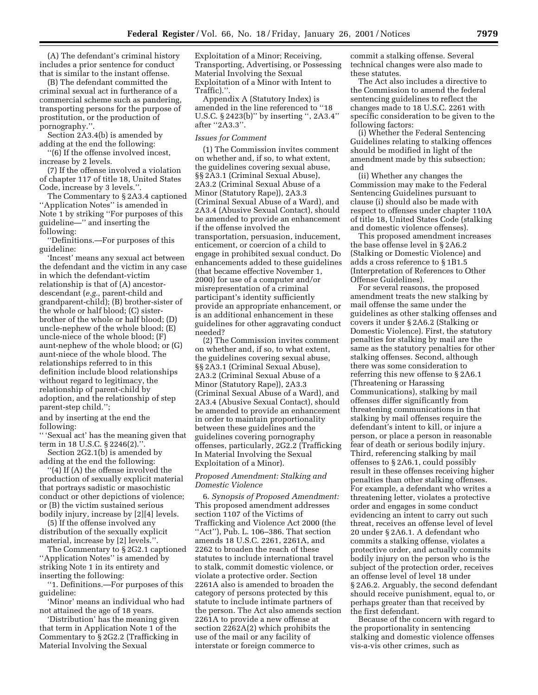(A) The defendant's criminal history includes a prior sentence for conduct that is similar to the instant offense.

(B) The defendant committed the criminal sexual act in furtherance of a commercial scheme such as pandering, transporting persons for the purpose of prostitution, or the production of pornography.''.

Section 2A3.4(b) is amended by adding at the end the following:

''(6) If the offense involved incest, increase by 2 levels.

(7) If the offense involved a violation of chapter 117 of title 18, United States Code, increase by 3 levels.''.

The Commentary to § 2A3.4 captioned ''Application Notes'' is amended in Note 1 by striking ''For purposes of this guideline—'' and inserting the following:

''Definitions.—For purposes of this guideline:

'Incest' means any sexual act between the defendant and the victim in any case in which the defendant-victim relationship is that of (A) ancestordescendant (*e.g.*, parent-child and grandparent-child); (B) brother-sister of the whole or half blood; (C) sisterbrother of the whole or half blood; (D) uncle-nephew of the whole blood; (E) uncle-niece of the whole blood; (F) aunt-nephew of the whole blood; or (G) aunt-niece of the whole blood. The relationships referred to in this definition include blood relationships without regard to legitimacy, the relationship of parent-child by adoption, and the relationship of step parent-step child.'';

and by inserting at the end the following:

'' 'Sexual act' has the meaning given that term in 18 U.S.C. § 2246(2)."

Section 2G2.1(b) is amended by adding at the end the following:

''(4) If (A) the offense involved the production of sexually explicit material that portrays sadistic or masochistic conduct or other depictions of violence; or (B) the victim sustained serious bodily injury, increase by [2][4] levels.

(5) If the offense involved any distribution of the sexually explicit material, increase by [2] levels.''.

The Commentary to § 2G2.1 captioned ''Application Notes'' is amended by striking Note 1 in its entirety and inserting the following:

''1. Definitions.—For purposes of this guideline:

'Minor' means an individual who had not attained the age of 18 years.

'Distribution' has the meaning given that term in Application Note 1 of the Commentary to § 2G2.2 (Trafficking in Material Involving the Sexual

Exploitation of a Minor; Receiving, Transporting, Advertising, or Possessing Material Involving the Sexual Exploitation of a Minor with Intent to Traffic).''.

Appendix A (Statutory Index) is amended in the line referenced to ''18 U.S.C. § 2423(b)'' by inserting '', 2A3.4'' after ''2A3.3''.

#### *Issues for Comment*

(1) The Commission invites comment on whether and, if so, to what extent, the guidelines covering sexual abuse, §§ 2A3.1 (Criminal Sexual Abuse), 2A3.2 (Criminal Sexual Abuse of a Minor (Statutory Rape)), 2A3.3 (Criminal Sexual Abuse of a Ward), and 2A3.4 (Abusive Sexual Contact), should be amended to provide an enhancement if the offense involved the transportation, persuasion, inducement, enticement, or coercion of a child to engage in prohibited sexual conduct. Do enhancements added to these guidelines (that became effective November 1, 2000) for use of a computer and/or misrepresentation of a criminal participant's identity sufficiently provide an appropriate enhancement, or is an additional enhancement in these guidelines for other aggravating conduct needed?

(2) The Commission invites comment on whether and, if so, to what extent, the guidelines covering sexual abuse, §§ 2A3.1 (Criminal Sexual Abuse), 2A3.2 (Criminal Sexual Abuse of a Minor (Statutory Rape)), 2A3.3 (Criminal Sexual Abuse of a Ward), and 2A3.4 (Abusive Sexual Contact), should be amended to provide an enhancement in order to maintain proportionality between these guidelines and the guidelines covering pornography offenses, particularly, 2G2.2 (Trafficking In Material Involving the Sexual Exploitation of a Minor).

#### *Proposed Amendment: Stalking and Domestic Violence*

6. *Synopsis of Proposed Amendment:* This proposed amendment addresses section 1107 of the Victims of Trafficking and Violence Act 2000 (the ''Act''), Pub. L. 106–386. That section amends 18 U.S.C. 2261, 2261A, and 2262 to broaden the reach of these statutes to include international travel to stalk, commit domestic violence, or violate a protective order. Section 2261A also is amended to broaden the category of persons protected by this statute to include intimate partners of the person. The Act also amends section 2261A to provide a new offense at section 2262A(2) which prohibits the use of the mail or any facility of interstate or foreign commerce to

commit a stalking offense. Several technical changes were also made to these statutes.

The Act also includes a directive to the Commission to amend the federal sentencing guidelines to reflect the changes made to 18 U.S.C. 2261 with specific consideration to be given to the following factors:

(i) Whether the Federal Sentencing Guidelines relating to stalking offences should be modified in light of the amendment made by this subsection; and

(ii) Whether any changes the Commission may make to the Federal Sentencing Guidelines pursuant to clause (i) should also be made with respect to offenses under chapter 110A of title 18, United States Code (stalking and domestic violence offenses).

This proposed amendment increases the base offense level in § 2A6.2 (Stalking or Domestic Violence) and adds a cross reference to § 1B1.5 (Interpretation of References to Other Offense Guidelines).

For several reasons, the proposed amendment treats the new stalking by mail offense the same under the guidelines as other stalking offenses and covers it under § 2A6.2 (Stalking or Domestic Violence). First, the statutory penalties for stalking by mail are the same as the statutory penalties for other stalking offenses. Second, although there was some consideration to referring this new offense to § 2A6.1 (Threatening or Harassing Communications), stalking by mail offenses differ significantly from threatening communications in that stalking by mail offenses require the defendant's intent to kill, or injure a person, or place a person in reasonable fear of death or serious bodily injury. Third, referencing stalking by mail offenses to § 2A6.1, could possibly result in these offenses receiving higher penalties than other stalking offenses. For example, a defendant who writes a threatening letter, violates a protective order and engages in some conduct evidencing an intent to carry out such threat, receives an offense level of level 20 under § 2A6.1. A defendant who commits a stalking offense, violates a protective order, and actually commits bodily injury on the person who is the subject of the protection order, receives an offense level of level 18 under § 2A6.2. Arguably, the second defendant should receive punishment, equal to, or perhaps greater than that received by the first defendant.

Because of the concern with regard to the proportionality in sentencing stalking and domestic violence offenses vis-a-vis other crimes, such as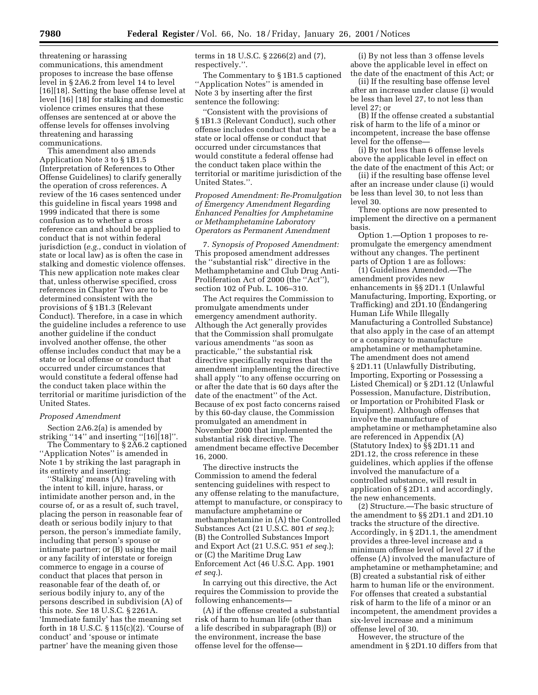threatening or harassing communications, this amendment proposes to increase the base offense level in § 2A6.2 from level 14 to level [16][18]. Setting the base offense level at level [16] [18] for stalking and domestic violence crimes ensures that these offenses are sentenced at or above the offense levels for offenses involving threatening and harassing communications.

This amendment also amends Application Note 3 to § 1B1.5 (Interpretation of References to Other Offense Guidelines) to clarify generally the operation of cross references. A review of the 16 cases sentenced under this guideline in fiscal years 1998 and 1999 indicated that there is some confusion as to whether a cross reference can and should be applied to conduct that is not within federal jurisdiction (*e.g.*, conduct in violation of state or local law) as is often the case in stalking and domestic violence offenses. This new application note makes clear that, unless otherwise specified, cross references in Chapter Two are to be determined consistent with the provisions of § 1B1.3 (Relevant Conduct). Therefore, in a case in which the guideline includes a reference to use another guideline if the conduct involved another offense, the other offense includes conduct that may be a state or local offense or conduct that occurred under circumstances that would constitute a federal offense had the conduct taken place within the territorial or maritime jurisdiction of the United States.

#### *Proposed Amendment*

Section 2A6.2(a) is amended by striking "14" and inserting "[16][18]".

The Commentary to § 2A6.2 captioned ''Application Notes'' is amended in Note 1 by striking the last paragraph in its entirety and inserting:

''Stalking' means (A) traveling with the intent to kill, injure, harass, or intimidate another person and, in the course of, or as a result of, such travel, placing the person in reasonable fear of death or serious bodily injury to that person, the person's immediate family, including that person's spouse or intimate partner; or (B) using the mail or any facility of interstate or foreign commerce to engage in a course of conduct that places that person in reasonable fear of the death of, or serious bodily injury to, any of the persons described in subdivision (A) of this note. *See* 18 U.S.C. § 2261A. 'Immediate family' has the meaning set forth in 18 U.S.C. § 115(c)(2). 'Course of conduct' and 'spouse or intimate partner' have the meaning given those

terms in 18 U.S.C. § 2266(2) and (7), respectively.''.

The Commentary to § 1B1.5 captioned ''Application Notes'' is amended in Note 3 by inserting after the first sentence the following:

''Consistent with the provisions of § 1B1.3 (Relevant Conduct), such other offense includes conduct that may be a state or local offense or conduct that occurred under circumstances that would constitute a federal offense had the conduct taken place within the territorial or maritime jurisdiction of the United States.''.

*Proposed Amendment: Re-Promulgation of Emergency Amendment Regarding Enhanced Penalties for Amphetamine or Methamphetamine Laboratory Operators as Permanent Amendment*

7. *Synopsis of Proposed Amendment:* This proposed amendment addresses the ''substantial risk'' directive in the Methamphetamine and Club Drug Anti-Proliferation Act of 2000 (the ''Act''), section 102 of Pub. L. 106–310.

The Act requires the Commission to promulgate amendments under emergency amendment authority. Although the Act generally provides that the Commission shall promulgate various amendments ''as soon as practicable,'' the substantial risk directive specifically requires that the amendment implementing the directive shall apply ''to any offense occurring on or after the date that is 60 days after the date of the enactment'' of the Act. Because of ex post facto concerns raised by this 60-day clause, the Commission promulgated an amendment in November 2000 that implemented the substantial risk directive. The amendment became effective December 16, 2000.

The directive instructs the Commission to amend the federal sentencing guidelines with respect to any offense relating to the manufacture, attempt to manufacture, or conspiracy to manufacture amphetamine or methamphetamine in (A) the Controlled Substances Act (21 U.S.C. 801 *et seq.*); (B) the Controlled Substances Import and Export Act (21 U.S.C. 951 *et seq.*); or (C) the Maritime Drug Law Enforcement Act (46 U.S.C. App. 1901 *et seq.*).

In carrying out this directive, the Act requires the Commission to provide the following enhancements—

(A) if the offense created a substantial risk of harm to human life (other than a life described in subparagraph (B)) or the environment, increase the base offense level for the offense—

(i) By not less than 3 offense levels above the applicable level in effect on the date of the enactment of this Act; or

(ii) If the resulting base offense level after an increase under clause (i) would be less than level 27, to not less than level 27; or

(B) If the offense created a substantial risk of harm to the life of a minor or incompetent, increase the base offense level for the offense—

(i) By not less than 6 offense levels above the applicable level in effect on the date of the enactment of this Act; or

(ii) if the resulting base offense level after an increase under clause (i) would be less than level 30, to not less than level 30.

Three options are now presented to implement the directive on a permanent basis.

Option 1.—Option 1 proposes to repromulgate the emergency amendment without any changes. The pertinent parts of Option 1 are as follows:

(1) Guidelines Amended.—The amendment provides new enhancements in §§ 2D1.1 (Unlawful Manufacturing, Importing, Exporting, or Trafficking) and 2D1.10 (Endangering Human Life While Illegally Manufacturing a Controlled Substance) that also apply in the case of an attempt or a conspiracy to manufacture amphetamine or methamphetamine. The amendment does not amend § 2D1.11 (Unlawfully Distributing, Importing, Exporting or Possessing a Listed Chemical) or § 2D1.12 (Unlawful Possession, Manufacture, Distribution, or Importation or Prohibited Flask or Equipment). Although offenses that involve the manufacture of amphetamine or methamphetamine also are referenced in Appendix (A) (Statutory Index) to §§ 2D1.11 and 2D1.12, the cross reference in these guidelines, which applies if the offense involved the manufacture of a controlled substance, will result in application of § 2D1.1 and accordingly, the new enhancements.

(2) Structure.—The basic structure of the amendment to §§ 2D1.1 and 2D1.10 tracks the structure of the directive. Accordingly, in § 2D1.1, the amendment provides a three-level increase and a minimum offense level of level 27 if the offense (A) involved the manufacture of amphetamine or methamphetamine; and (B) created a substantial risk of either harm to human life or the environment. For offenses that created a substantial risk of harm to the life of a minor or an incompetent, the amendment provides a six-level increase and a minimum offense level of 30.

However, the structure of the amendment in § 2D1.10 differs from that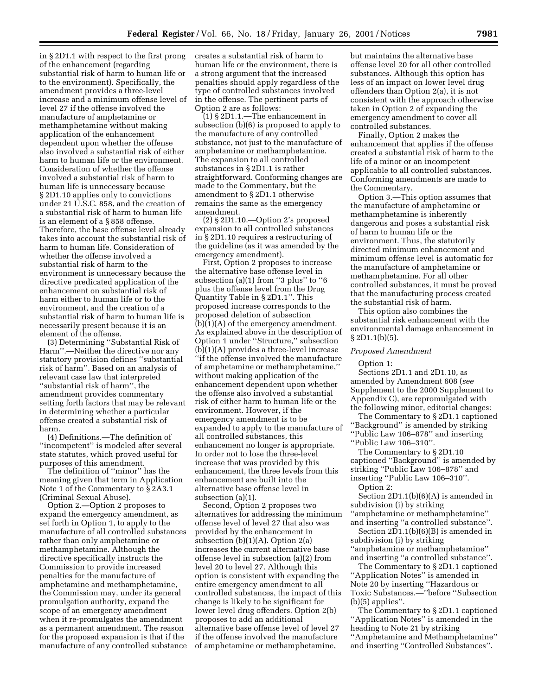in § 2D1.1 with respect to the first prong of the enhancement (regarding substantial risk of harm to human life or to the environment). Specifically, the amendment provides a three-level increase and a minimum offense level of level 27 if the offense involved the manufacture of amphetamine or methamphetamine without making application of the enhancement dependent upon whether the offense also involved a substantial risk of either harm to human life or the environment. Consideration of whether the offense involved a substantial risk of harm to human life is unnecessary because § 2D1.10 applies only to convictions under 21 U.S.C. 858, and the creation of a substantial risk of harm to human life is an element of a § 858 offense. Therefore, the base offense level already takes into account the substantial risk of harm to human life. Consideration of whether the offense involved a substantial risk of harm to the environment is unnecessary because the directive predicated application of the enhancement on substantial risk of harm either to human life or to the environment, and the creation of a substantial risk of harm to human life is necessarily present because it is an element of the offense.

(3) Determining ''Substantial Risk of Harm''.—Neither the directive nor any statutory provision defines ''substantial risk of harm''. Based on an analysis of relevant case law that interpreted ''substantial risk of harm'', the amendment provides commentary setting forth factors that may be relevant in determining whether a particular offense created a substantial risk of harm.

(4) Definitions.—The definition of ''incompetent'' is modeled after several state statutes, which proved useful for purposes of this amendment.

The definition of ''minor'' has the meaning given that term in Application Note 1 of the Commentary to § 2A3.1 (Criminal Sexual Abuse).

Option 2.—Option 2 proposes to expand the emergency amendment, as set forth in Option 1, to apply to the manufacture of all controlled substances rather than only amphetamine or methamphetamine. Although the directive specifically instructs the Commission to provide increased penalties for the manufacture of amphetamine and methamphetamine, the Commission may, under its general promulgation authority, expand the scope of an emergency amendment when it re-promulgates the amendment as a permanent amendment. The reason for the proposed expansion is that if the manufacture of any controlled substance

creates a substantial risk of harm to human life or the environment, there is a strong argument that the increased penalties should apply regardless of the type of controlled substances involved in the offense. The pertinent parts of Option 2 are as follows:

(1) § 2D1.1.—The enhancement in subsection (b)(6) is proposed to apply to the manufacture of any controlled substance, not just to the manufacture of amphetamine or methamphetamine. The expansion to all controlled substances in § 2D1.1 is rather straightforward. Conforming changes are made to the Commentary, but the amendment to § 2D1.1 otherwise remains the same as the emergency amendment.

(2) § 2D1.10.—Option 2's proposed expansion to all controlled substances in § 2D1.10 requires a restructuring of the guideline (as it was amended by the emergency amendment).

First, Option 2 proposes to increase the alternative base offense level in subsection (a) $(1)$  from "3 plus" to "6 plus the offense level from the Drug Quantity Table in § 2D1.1''. This proposed increase corresponds to the proposed deletion of subsection (b)(1)(A) of the emergency amendment. As explained above in the description of Option 1 under ''Structure,'' subsection (b)(1)(A) provides a three-level increase ''if the offense involved the manufacture of amphetamine or methamphetamine,'' without making application of the enhancement dependent upon whether the offense also involved a substantial risk of either harm to human life or the environment. However, if the emergency amendment is to be expanded to apply to the manufacture of all controlled substances, this enhancement no longer is appropriate. In order not to lose the three-level increase that was provided by this enhancement, the three levels from this enhancement are built into the alternative base offense level in subsection (a)(1).

Second, Option 2 proposes two alternatives for addressing the minimum offense level of level 27 that also was provided by the enhancement in subsection (b)(1)(A). Option 2(a) increases the current alternative base offense level in subsection (a)(2) from level 20 to level 27. Although this option is consistent with expanding the entire emergency amendment to all controlled substances, the impact of this change is likely to be significant for lower level drug offenders. Option 2(b) proposes to add an additional alternative base offense level of level 27 if the offense involved the manufacture of amphetamine or methamphetamine,

but maintains the alternative base offense level 20 for all other controlled substances. Although this option has less of an impact on lower level drug offenders than Option 2(a), it is not consistent with the approach otherwise taken in Option 2 of expanding the emergency amendment to cover all controlled substances.

Finally, Option 2 makes the enhancement that applies if the offense created a substantial risk of harm to the life of a minor or an incompetent applicable to all controlled substances. Conforming amendments are made to the Commentary.

Option 3.—This option assumes that the manufacture of amphetamine or methamphetamine is inherently dangerous and poses a substantial risk of harm to human life or the environment. Thus, the statutorily directed minimum enhancement and minimum offense level is automatic for the manufacture of amphetamine or methamphetamine. For all other controlled substances, it must be proved that the manufacturing process created the substantial risk of harm.

This option also combines the substantial risk enhancement with the environmental damage enhancement in § 2D1.1(b)(5).

#### *Proposed Amendment*

Option 1:

Sections 2D1.1 and 2D1.10, as amended by Amendment 608 (*see* Supplement to the 2000 Supplement to Appendix C), are repromulgated with the following minor, editorial changes:

The Commentary to § 2D1.1 captioned ''Background'' is amended by striking ''Public Law 106–878'' and inserting ''Public Law 106–310''.

The Commentary to § 2D1.10 captioned ''Background'' is amended by striking ''Public Law 106–878'' and inserting ''Public Law 106–310''. Option 2:

Section 2D1.1(b)(6)(A) is amended in subdivision (i) by striking

''amphetamine or methamphetamine'' and inserting ''a controlled substance''.

Section  $2D1.1(b)(6)(B)$  is amended in subdivision (i) by striking ''amphetamine or methamphetamine'' and inserting ''a controlled substance''.

The Commentary to § 2D1.1 captioned ''Application Notes'' is amended in Note 20 by inserting ''Hazardous or Toxic Substances.—''before ''Subsection  $(b)(5)$  applies".

The Commentary to § 2D1.1 captioned ''Application Notes'' is amended in the heading to Note 21 by striking ''Amphetamine and Methamphetamine'' and inserting ''Controlled Substances''.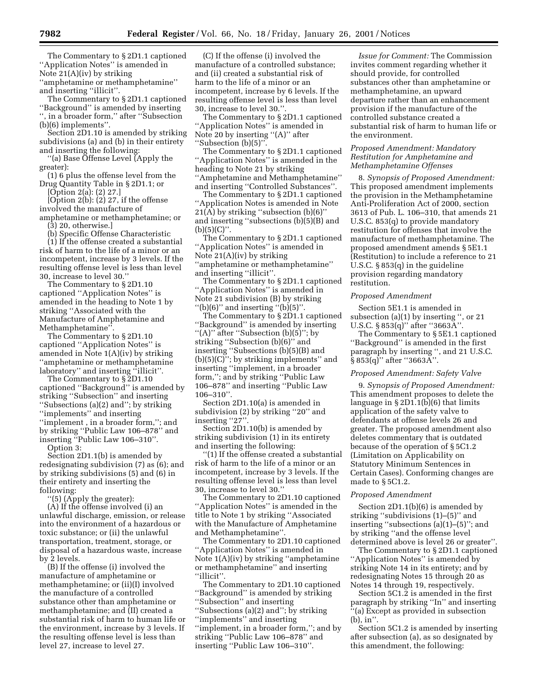The Commentary to § 2D1.1 captioned ''Application Notes'' is amended in Note 21(A)(iv) by striking

''amphetamine or methamphetamine'' and inserting ''illicit''.

The Commentary to § 2D1.1 captioned ''Background'' is amended by inserting '', in a broader form,'' after ''Subsection

(b)(6) implements''. Section 2D1.10 is amended by striking subdivisions (a) and (b) in their entirety

and inserting the following: ''(a) Base Offense Level (Apply the greater):

(1) 6 plus the offense level from the Drug Quantity Table in § 2D1.1; or

[Option 2(a): (2) 27.]

[Option 2(b): (2) 27, if the offense involved the manufacture of

amphetamine or methamphetamine; or (3) 20, otherwise.]

(b) Specific Offense Characteristic

(1) If the offense created a substantial risk of harm to the life of a minor or an incompetent, increase by 3 levels. If the resulting offense level is less than level 30, increase to level 30.''

The Commentary to § 2D1.10 captioned ''Application Notes'' is amended in the heading to Note 1 by striking ''Associated with the Manufacture of Amphetamine and Methamphetamine''.

The Commentary to § 2D1.10 captioned ''Application Notes'' is amended in Note 1(A)(iv) by striking ''amphetamine or methamphetamine laboratory" and inserting "illicit".

The Commentary to § 2D1.10 captioned ''Background'' is amended by striking ''Subsection'' and inserting ''Subsections (a)(2) and''; by striking ''implements'' and inserting ''implement , in a broader form,''; and by striking ''Public Law 106–878'' and inserting ''Public Law 106–310''.

Option 3:

Section 2D1.1(b) is amended by redesignating subdivision (7) as (6); and by striking subdivisions (5) and (6) in their entirety and inserting the following:

''(5) (Apply the greater):

(A) If the offense involved (i) an unlawful discharge, emission, or release into the environment of a hazardous or toxic substance; or (ii) the unlawful transportation, treatment, storage, or disposal of a hazardous waste, increase by 2 levels.

(B) If the offense (i) involved the manufacture of amphetamine or methamphetamine; or (ii)(I) involved the manufacture of a controlled substance other than amphetamine or methamphetamine; and (II) created a substantial risk of harm to human life or the environment, increase by 3 levels. If the resulting offense level is less than level 27, increase to level 27.

(C) If the offense (i) involved the manufacture of a controlled substance; and (ii) created a substantial risk of harm to the life of a minor or an incompetent, increase by 6 levels. If the resulting offense level is less than level 30, increase to level 30.''.

The Commentary to § 2D1.1 captioned ''Application Notes'' is amended in Note 20 by inserting ''(A)'' after ''Subsection (b)(5)''.

The Commentary to § 2D1.1 captioned ''Application Notes'' is amended in the heading to Note 21 by striking ''Amphetamine and Methamphetamine'' and inserting ''Controlled Substances''.

The Commentary to § 2D1.1 captioned ''Application Notes is amended in Note 21(A) by striking ''subsection (b)(6)'' and inserting ''subsections (b)(5)(B) and  $(b)(5)(C)$ ".

The Commentary to § 2D1.1 captioned ''Application Notes'' is amended in Note 21(A)(iv) by striking ''amphetamine or methamphetamine'' and inserting ''illicit''.

The Commentary to § 2D1.1 captioned ''Application Notes'' is amended in Note 21 subdivision (B) by striking  $''(b)(6)''$  and inserting  $''(b)(5)''$ .

The Commentary to § 2D1.1 captioned ''Background'' is amended by inserting "(A)" after "Subsection (b)(5)"; by striking ''Subsection (b)(6)'' and inserting ''Subsections (b)(5)(B) and (b)(5)(C)''; by striking implements'' and inserting ''implement, in a broader form,''; and by striking ''Public Law 106–878'' and inserting ''Public Law 106–310''.

Section 2D1.10(a) is amended in subdivision (2) by striking "20" and inserting "27"

Section 2D1.10(b) is amended by striking subdivision (1) in its entirety and inserting the following:

''(1) If the offense created a substantial risk of harm to the life of a minor or an incompetent, increase by 3 levels. If the resulting offense level is less than level 30, increase to level 30.''

The Commentary to 2D1.10 captioned ''Application Notes'' is amended in the title to Note 1 by striking ''Associated with the Manufacture of Amphetamine and Methamphetamine''.

The Commentary to 2D1.10 captioned "Application Notes" is amended in Note 1(A)(iv) by striking ''amphetamine or methamphetamine'' and inserting ''illicit''.

The Commentary to 2D1.10 captioned ''Background'' is amended by striking ''Subsection'' and inserting ''Subsections (a)(2) and''; by striking ''implements'' and inserting ''implement, in a broader form,''; and by striking ''Public Law 106–878'' and inserting ''Public Law 106–310''.

*Issue for Comment:* The Commission invites comment regarding whether it should provide, for controlled substances other than amphetamine or methamphetamine, an upward departure rather than an enhancement provision if the manufacture of the controlled substance created a substantial risk of harm to human life or the environment.

#### *Proposed Amendment: Mandatory Restitution for Amphetamine and Methamphetamine Offenses*

8. *Synopsis of Proposed Amendment:* This proposed amendment implements the provision in the Methamphetamine Anti-Proliferation Act of 2000, section 3613 of Pub. L. 106–310, that amends 21 U.S.C. 853(q) to provide mandatory restitution for offenses that involve the manufacture of methamphetamine. The proposed amendment amends § 5E1.1 (Restitution) to include a reference to 21 U.S.C. § 853(q) in the guideline provision regarding mandatory restitution.

#### *Proposed Amendment*

Section 5E1.1 is amended in subsection (a)(1) by inserting '', or 21 U.S.C. § 853(q)'' after ''3663A''.

The Commentary to § 5E1.1 captioned ''Background'' is amended in the first paragraph by inserting '', and 21 U.S.C. § 853(q)'' after ''3663A''.

#### *Proposed Amendment: Safety Valve*

9. *Synopsis of Proposed Amendment:* This amendment proposes to delete the language in  $\S 2D1.1(b)(6)$  that limits application of the safety valve to defendants at offense levels 26 and greater. The proposed amendment also deletes commentary that is outdated because of the operation of § 5C1.2 (Limitation on Applicability on Statutory Minimum Sentences in Certain Cases). Conforming changes are made to § 5C1.2.

#### *Proposed Amendment*

Section 2D1.1(b)(6) is amended by striking ''subdivisions (1)–(5)'' and inserting ''subsections (a)(1)–(5)''; and by striking ''and the offense level determined above is level 26 or greater''.

The Commentary to § 2D1.1 captioned ''Application Notes'' is amended by striking Note 14 in its entirety; and by redesignating Notes 15 through 20 as Notes 14 through 19, respectively.

Section 5C1.2 is amended in the first paragraph by striking ''In'' and inserting ''(a) Except as provided in subsection (b), in''.

Section 5C1.2 is amended by inserting after subsection (a), as so designated by this amendment, the following: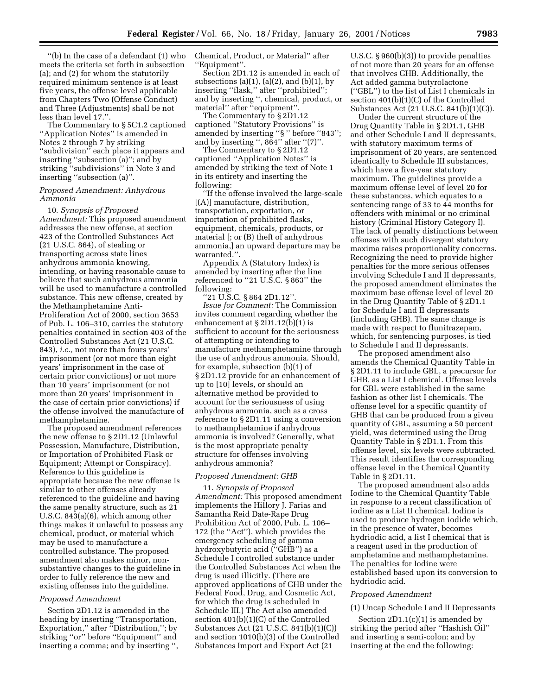''(b) In the case of a defendant (1) who meets the criteria set forth in subsection (a); and (2) for whom the statutorily required minimum sentence is at least five years, the offense level applicable from Chapters Two (Offense Conduct) and Three (Adjustments) shall be not less than level 17.''.

The Commentary to § 5C1.2 captioned ''Application Notes'' is amended in Notes 2 through 7 by striking "subdivision" each place it appears and inserting ''subsection (a)''; and by striking ''subdivisions'' in Note 3 and inserting ''subsection (a)''.

#### *Proposed Amendment: Anhydrous Ammonia*

10. *Synopsis of Proposed Amendment:* This proposed amendment addresses the new offense, at section 423 of the Controlled Substances Act (21 U.S.C. 864), of stealing or transporting across state lines anhydrous ammonia knowing, intending, or having reasonable cause to believe that such anhydrous ammonia will be used to manufacture a controlled substance. This new offense, created by the Methamphetamine Anti-Proliferation Act of 2000, section 3653 of Pub. L. 106–310, carries the statutory penalties contained in section 403 of the Controlled Substances Act (21 U.S.C. 843), *i.e.,* not more than fours years' imprisonment (or not more than eight years' imprisonment in the case of certain prior convictions) or not more than 10 years' imprisonment (or not more than 20 years' imprisonment in the case of certain prior convictions) if the offense involved the manufacture of methamphetamine.

The proposed amendment references the new offense to § 2D1.12 (Unlawful Possession, Manufacture, Distribution, or Importation of Prohibited Flask or Equipment; Attempt or Conspiracy). Reference to this guideline is appropriate because the new offense is similar to other offenses already referenced to the guideline and having the same penalty structure, such as 21 U.S.C. 843(a)(6), which among other things makes it unlawful to possess any chemical, product, or material which may be used to manufacture a controlled substance. The proposed amendment also makes minor, nonsubstantive changes to the guideline in order to fully reference the new and existing offenses into the guideline.

#### *Proposed Amendment*

Section 2D1.12 is amended in the heading by inserting ''Transportation, Exportation,'' after ''Distribution,''; by striking ''or'' before ''Equipment'' and inserting a comma; and by inserting '', Chemical, Product, or Material'' after ''Equipment''.

Section 2D1.12 is amended in each of subsections (a) $(1)$ , (a) $(2)$ , and  $(b)(1)$ , by inserting ''flask,'' after ''prohibited''; and by inserting '', chemical, product, or material'' after ''equipment''.

The Commentary to § 2D1.12 captioned ''Statutory Provisions'' is amended by inserting ''§ '' before ''843''; and by inserting '', 864'' after ''(7)''.

The Commentary to § 2D1.12 captioned ''Application Notes'' is amended by striking the text of Note 1 in its entirety and inserting the following:

''If the offense involved the large-scale [(A)] manufacture, distribution, transportation, exportation, or importation of prohibited flasks, equipment, chemicals, products, or material [; or (B) theft of anhydrous ammonia,] an upward departure may be warranted.'

Appendix A (Statutory Index) is amended by inserting after the line referenced to ''21 U.S.C. § 863'' the following:

''21 U.S.C. § 864 2D1.12''. *Issue for Comment:* The Commission invites comment regarding whether the enhancement at § 2D1.12(b)(1) is sufficient to account for the seriousness of attempting or intending to manufacture methamphetamine through the use of anhydrous ammonia. Should, for example, subsection (b)(1) of § 2D1.12 provide for an enhancement of up to [10] levels, or should an alternative method be provided to account for the seriousness of using anhydrous ammonia, such as a cross reference to § 2D1.11 using a conversion to methamphetamine if anhydrous ammonia is involved? Generally, what is the most appropriate penalty structure for offenses involving anhydrous ammonia?

#### *Proposed Amendment: GHB*

11. *Synopsis of Proposed Amendment:* This proposed amendment implements the Hillory J. Farias and Samantha Reid Date-Rape Drug Prohibition Act of 2000, Pub. L. 106– 172 (the ''Act''), which provides the emergency scheduling of gamma hydroxybutyric acid (''GHB'') as a Schedule I controlled substance under the Controlled Substances Act when the drug is used illicitly. (There are approved applications of GHB under the Federal Food, Drug, and Cosmetic Act, for which the drug is scheduled in Schedule III.) The Act also amended section 401(b)(1)(C) of the Controlled Substances Act (21 U.S.C. 841(b)(1)(C)) and section 1010(b)(3) of the Controlled Substances Import and Export Act (21

U.S.C. § 960(b)(3)) to provide penalties of not more than 20 years for an offense that involves GHB. Additionally, the Act added gamma butyrolactone (''GBL'') to the list of List I chemicals in section 401(b)(1)(C) of the Controlled Substances Act (21 U.S.C. 841(b)(1)(C)).

Under the current structure of the Drug Quantity Table in § 2D1.1, GHB and other Schedule I and II depressants, with statutory maximum terms of imprisonment of 20 years, are sentenced identically to Schedule III substances, which have a five-year statutory maximum. The guidelines provide a maximum offense level of level 20 for these substances, which equates to a sentencing range of 33 to 44 months for offenders with minimal or no criminal history (Criminal History Category I). The lack of penalty distinctions between offenses with such divergent statutory maxima raises proportionality concerns. Recognizing the need to provide higher penalties for the more serious offenses involving Schedule I and II depressants, the proposed amendment eliminates the maximum base offense level of level 20 in the Drug Quantity Table of § 2D1.1 for Schedule I and II depressants (including GHB). The same change is made with respect to flunitrazepam, which, for sentencing purposes, is tied to Schedule I and II depressants.

The proposed amendment also amends the Chemical Quantity Table in § 2D1.11 to include GBL, a precursor for GHB, as a List I chemical. Offense levels for GBL were established in the same fashion as other list I chemicals. The offense level for a specific quantity of GHB that can be produced from a given quantity of GBL, assuming a 50 percent yield, was determined using the Drug Quantity Table in § 2D1.1. From this offense level, six levels were subtracted. This result identifies the corresponding offense level in the Chemical Quantity Table in § 2D1.11.

The proposed amendment also adds Iodine to the Chemical Quantity Table in response to a recent classification of iodine as a List II chemical. Iodine is used to produce hydrogen iodide which, in the presence of water, becomes hydriodic acid, a list I chemical that is a reagent used in the production of amphetamine and methamphetamine. The penalties for Iodine were established based upon its conversion to hydriodic acid.

#### *Proposed Amendment*

#### (1) Uncap Schedule I and II Depressants

Section 2D1.1(c)(1) is amended by striking the period after ''Hashish Oil'' and inserting a semi-colon; and by inserting at the end the following: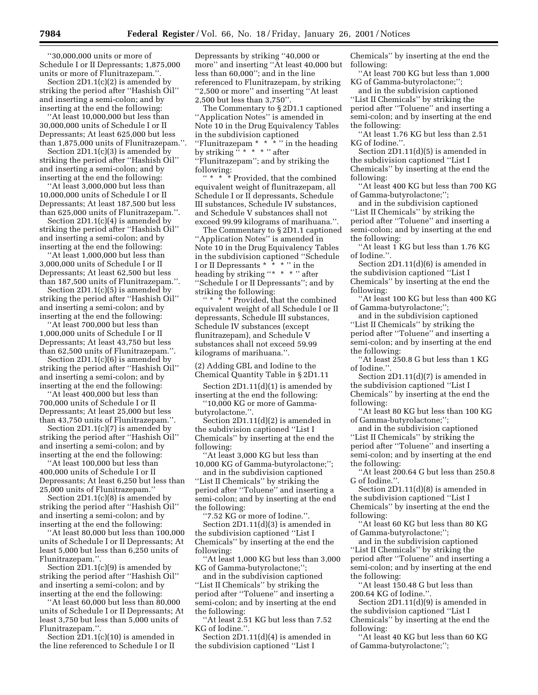''30,000,000 units or more of Schedule I or II Depressants; 1,875,000 units or more of Flunitrazepam.''.

Section 2D1.1(c)(2) is amended by striking the period after ''Hashish Oil'' and inserting a semi-colon; and by inserting at the end the following:

''At least 10,000,000 but less than 30,000,000 units of Schedule I or II Depressants; At least 625,000 but less than 1,875,000 units of Flunitrazepam.''.

Section 2D1.1(c)(3) is amended by striking the period after ''Hashish Oil'' and inserting a semi-colon; and by inserting at the end the following:

''At least 3,000,000 but less than 10,000,000 units of Schedule I or II Depressants; At least 187,500 but less than 625,000 units of Flunitrazepam.''.

Section 2D1.1(c)(4) is amended by striking the period after ''Hashish Oil'' and inserting a semi-colon; and by inserting at the end the following:

'At least 1,000,000 but less than 3,000,000 units of Schedule I or II Depressants; At least 62,500 but less than 187,500 units of Flunitrazepam.''.

Section 2D1.1(c)(5) is amended by striking the period after ''Hashish Oil'' and inserting a semi-colon; and by inserting at the end the following:

''At least 700,000 but less than 1,000,000 units of Schedule I or II Depressants; At least 43,750 but less than 62,500 units of Flunitrazepam.''.

Section 2D1.1(c)(6) is amended by striking the period after ''Hashish Oil'' and inserting a semi-colon; and by inserting at the end the following:

'At least 400,000 but less than 700,000 units of Schedule I or II Depressants; At least 25,000 but less than 43,750 units of Flunitrazepam.''.

Section 2D1.1(c)(7) is amended by striking the period after ''Hashish Oil'' and inserting a semi-colon; and by inserting at the end the following:

''At least 100,000 but less than 400,000 units of Schedule I or II Depressants; At least 6,250 but less than 25,000 units of Flunitrazepam.''

Section 2D1.1(c)(8) is amended by striking the period after ''Hashish Oil'' and inserting a semi-colon; and by inserting at the end the following:

''At least 80,000 but less than 100,000 units of Schedule I or II Depressants; At least 5,000 but less than 6,250 units of Flunitrazepam.''.

Section 2D1.1(c)(9) is amended by striking the period after ''Hashish Oil'' and inserting a semi-colon; and by inserting at the end the following:

''At least 60,000 but less than 80,000 units of Schedule I or II Depressants; At least 3,750 but less than 5,000 units of Flunitrazepam.''.

Section 2D1.1(c)(10) is amended in the line referenced to Schedule I or II

Depressants by striking ''40,000 or more'' and inserting ''At least 40,000 but less than 60,000''; and in the line referenced to Flunitrazepam, by striking ''2,500 or more'' and inserting ''At least 2,500 but less than 3,750''.

The Commentary to § 2D1.1 captioned ''Application Notes'' is amended in Note 10 in the Drug Equivalency Tables in the subdivision captioned ''Flunitrazepam \* \* \* '' in the heading by striking '' \* \* \* '' after ''Flunitrazepam''; and by striking the following:

'' \* \* \* Provided, that the combined equivalent weight of flunitrazepam, all Schedule I or II depressants, Schedule III substances, Schedule IV substances, and Schedule V substances shall not exceed 99.99 kilograms of marihuana."

The Commentary to § 2D1.1 captioned ''Application Notes'' is amended in Note 10 in the Drug Equivalency Tables in the subdivision captioned ''Schedule I or II Depressants \* \* \* '' in the heading by striking "\*  $*$  \* " after ''Schedule I or II Depressants''; and by striking the following:

'' \* \* \* Provided, that the combined equivalent weight of all Schedule I or II depressants, Schedule III substances, Schedule IV substances (except flunitrazepam), and Schedule V substances shall not exceed 59.99 kilograms of marihuana.''.

(2) Adding GBL and Iodine to the Chemical Quantity Table in § 2D1.11

Section 2D1.11(d)(1) is amended by inserting at the end the following:

''10,000 KG or more of Gammabutyrolactone."

Section 2D1.11(d)(2) is amended in the subdivision captioned ''List I Chemicals'' by inserting at the end the following:

''At least 3,000 KG but less than 10,000 KG of Gamma-butyrolactone;'';

and in the subdivision captioned ''List II Chemicals'' by striking the period after ''Toluene'' and inserting a semi-colon; and by inserting at the end the following:

''7.52 KG or more of Iodine.''. Section 2D1.11(d)(3) is amended in the subdivision captioned ''List I Chemicals'' by inserting at the end the following:

''At least 1,000 KG but less than 3,000 KG of Gamma-butyrolactone;'';

and in the subdivision captioned ''List II Chemicals'' by striking the period after ''Toluene'' and inserting a semi-colon; and by inserting at the end the following:

''At least 2.51 KG but less than 7.52 KG of Iodine.''.

Section 2D1.11(d)(4) is amended in the subdivision captioned ''List I

Chemicals'' by inserting at the end the following:

''At least 700 KG but less than 1,000 KG of Gamma-butyrolactone;'';

and in the subdivision captioned ''List II Chemicals'' by striking the period after ''Toluene'' and inserting a semi-colon; and by inserting at the end the following:

''At least 1.76 KG but less than 2.51 KG of Iodine.'

Section 2D1.11(d)(5) is amended in the subdivision captioned ''List I Chemicals'' by inserting at the end the following:

''At least 400 KG but less than 700 KG of Gamma-butyrolactone;'';

and in the subdivision captioned ''List II Chemicals'' by striking the period after ''Toluene'' and inserting a semi-colon; and by inserting at the end the following:

''At least 1 KG but less than 1.76 KG of Iodine.''.

Section 2D1.11(d)(6) is amended in the subdivision captioned ''List I Chemicals'' by inserting at the end the following:

''At least 100 KG but less than 400 KG of Gamma-butyrolactone;'';

and in the subdivision captioned ''List II Chemicals'' by striking the period after ''Toluene'' and inserting a semi-colon; and by inserting at the end the following:

''At least 250.8 G but less than 1 KG of Iodine.''.

Section 2D1.11(d)(7) is amended in the subdivision captioned ''List I Chemicals'' by inserting at the end the following:

''At least 80 KG but less than 100 KG of Gamma-butyrolactone;'';

and in the subdivision captioned ''List II Chemicals'' by striking the period after ''Toluene'' and inserting a semi-colon; and by inserting at the end the following:

''At least 200.64 G but less than 250.8 G of Iodine.''.

Section 2D1.11(d)(8) is amended in the subdivision captioned ''List I Chemicals'' by inserting at the end the following:

''At least 60 KG but less than 80 KG of Gamma-butyrolactone;'';

and in the subdivision captioned ''List II Chemicals'' by striking the period after ''Toluene'' and inserting a semi-colon; and by inserting at the end the following:

''At least 150.48 G but less than 200.64 KG of Iodine.''.

Section 2D1.11(d)(9) is amended in the subdivision captioned ''List I Chemicals'' by inserting at the end the following:

''At least 40 KG but less than 60 KG of Gamma-butyrolactone;'';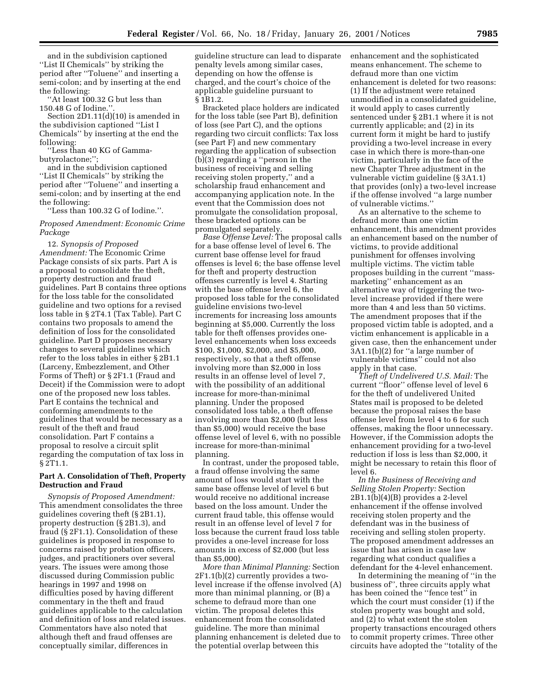and in the subdivision captioned ''List II Chemicals'' by striking the period after ''Toluene'' and inserting a semi-colon; and by inserting at the end the following:

''At least 100.32 G but less than 150.48 G of Iodine.''.

Section 2D1.11(d)(10) is amended in the subdivision captioned ''List I Chemicals'' by inserting at the end the following:

''Less than 40 KG of Gammabutyrolactone;'';

and in the subdivision captioned ''List II Chemicals'' by striking the period after ''Toluene'' and inserting a semi-colon; and by inserting at the end the following:

''Less than 100.32 G of Iodine.''.

#### *Proposed Amendment: Economic Crime Package*

12. *Synopsis of Proposed Amendment:* The Economic Crime Package consists of six parts. Part A is a proposal to consolidate the theft, property destruction and fraud guidelines. Part B contains three options for the loss table for the consolidated guideline and two options for a revised loss table in § 2T4.1 (Tax Table). Part C contains two proposals to amend the definition of loss for the consolidated guideline. Part D proposes necessary changes to several guidelines which refer to the loss tables in either § 2B1.1 (Larceny, Embezzlement, and Other Forms of Theft) or § 2F1.1 (Fraud and Deceit) if the Commission were to adopt one of the proposed new loss tables. Part E contains the technical and conforming amendments to the guidelines that would be necessary as a result of the theft and fraud consolidation. Part F contains a proposal to resolve a circuit split regarding the computation of tax loss in § 2T1.1.

#### **Part A. Consolidation of Theft, Property Destruction and Fraud**

*Synopsis of Proposed Amendment:* This amendment consolidates the three guidelines covering theft (§ 2B1.1), property destruction (§ 2B1.3), and fraud (§ 2F1.1). Consolidation of these guidelines is proposed in response to concerns raised by probation officers, judges, and practitioners over several years. The issues were among those discussed during Commission public hearings in 1997 and 1998 on difficulties posed by having different commentary in the theft and fraud guidelines applicable to the calculation and definition of loss and related issues. Commentators have also noted that although theft and fraud offenses are conceptually similar, differences in

guideline structure can lead to disparate penalty levels among similar cases, depending on how the offense is charged, and the court's choice of the applicable guideline pursuant to § 1B1.2.

Bracketed place holders are indicated for the loss table (see Part B), definition of loss (see Part C), and the options regarding two circuit conflicts: Tax loss (see Part F) and new commentary regarding the application of subsection (b)(3) regarding a ''person in the business of receiving and selling receiving stolen property,'' and a scholarship fraud enhancement and accompanying application note. In the event that the Commission does not promulgate the consolidation proposal, these bracketed options can be promulgated separately.

*Base Offense Level:* The proposal calls for a base offense level of level 6. The current base offense level for fraud offenses is level 6; the base offense level for theft and property destruction offenses currently is level 4. Starting with the base offense level 6, the proposed loss table for the consolidated guideline envisions two-level increments for increasing loss amounts beginning at \$5,000. Currently the loss table for theft offenses provides onelevel enhancements when loss exceeds \$100, \$1,000, \$2,000, and \$5,000, respectively, so that a theft offense involving more than \$2,000 in loss results in an offense level of level 7, with the possibility of an additional increase for more-than-minimal planning. Under the proposed consolidated loss table, a theft offense involving more than \$2,000 (but less than \$5,000) would receive the base offense level of level 6, with no possible increase for more-than-minimal planning.

In contrast, under the proposed table, a fraud offense involving the same amount of loss would start with the same base offense level of level 6 but would receive no additional increase based on the loss amount. Under the current fraud table, this offense would result in an offense level of level 7 for loss because the current fraud loss table provides a one-level increase for loss amounts in excess of \$2,000 (but less than \$5,000).

*More than Minimal Planning:* Section 2F1.1(b)(2) currently provides a twolevel increase if the offense involved (A) more than minimal planning, or (B) a scheme to defraud more than one victim. The proposal deletes this enhancement from the consolidated guideline. The more than minimal planning enhancement is deleted due to the potential overlap between this

enhancement and the sophisticated means enhancement. The scheme to defraud more than one victim enhancement is deleted for two reasons: (1) If the adjustment were retained unmodified in a consolidated guideline, it would apply to cases currently sentenced under § 2B1.1 where it is not currently applicable; and (2) in its current form it might be hard to justify providing a two-level increase in every case in which there is more-than-one victim, particularly in the face of the new Chapter Three adjustment in the vulnerable victim guideline (§ 3A1.1) that provides (only) a two-level increase if the offense involved ''a large number of vulnerable victims.''

As an alternative to the scheme to defraud more than one victim enhancement, this amendment provides an enhancement based on the number of victims, to provide additional punishment for offenses involving multiple victims. The victim table proposes building in the current ''massmarketing'' enhancement as an alternative way of triggering the twolevel increase provided if there were more than 4 and less than 50 victims. The amendment proposes that if the proposed victim table is adopted, and a victim enhancement is applicable in a given case, then the enhancement under 3A1.1(b)(2) for ''a large number of vulnerable victims'' could not also apply in that case.

*Theft of Undelivered U.S. Mail:* The current ''floor'' offense level of level 6 for the theft of undelivered United States mail is proposed to be deleted because the proposal raises the base offense level from level 4 to 6 for such offenses, making the floor unnecessary. However, if the Commission adopts the enhancement providing for a two-level reduction if loss is less than \$2,000, it might be necessary to retain this floor of level 6.

*In the Business of Receiving and Selling Stolen Property:* Section 2B1.1(b)(4)(B) provides a 2-level enhancement if the offense involved receiving stolen property and the defendant was in the business of receiving and selling stolen property. The proposed amendment addresses an issue that has arisen in case law regarding what conduct qualifies a defendant for the 4-level enhancement.

In determining the meaning of ''in the business of'', three circuits apply what has been coined the ''fence test'' in which the court must consider (1) if the stolen property was bought and sold, and (2) to what extent the stolen property transactions encouraged others to commit property crimes. Three other circuits have adopted the ''totality of the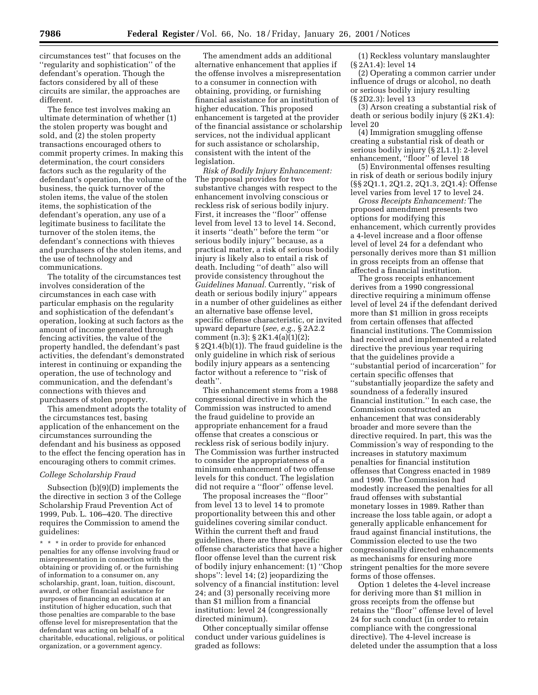circumstances test'' that focuses on the ''regularity and sophistication'' of the defendant's operation. Though the factors considered by all of these circuits are similar, the approaches are different.

The fence test involves making an ultimate determination of whether (1) the stolen property was bought and sold, and (2) the stolen property transactions encouraged others to commit property crimes. In making this determination, the court considers factors such as the regularity of the defendant's operation, the volume of the business, the quick turnover of the stolen items, the value of the stolen items, the sophistication of the defendant's operation, any use of a legitimate business to facilitate the turnover of the stolen items, the defendant's connections with thieves and purchasers of the stolen items, and the use of technology and communications.

The totality of the circumstances test involves consideration of the circumstances in each case with particular emphasis on the regularity and sophistication of the defendant's operation, looking at such factors as the amount of income generated through fencing activities, the value of the property handled, the defendant's past activities, the defendant's demonstrated interest in continuing or expanding the operation, the use of technology and communication, and the defendant's connections with thieves and purchasers of stolen property.

This amendment adopts the totality of the circumstances test, basing application of the enhancement on the circumstances surrounding the defendant and his business as opposed to the effect the fencing operation has in encouraging others to commit crimes.

#### *College Scholarship Fraud*

Subsection (b)(9)(D) implements the the directive in section 3 of the College Scholarship Fraud Prevention Act of 1999, Pub. L. 106–420. The directive requires the Commission to amend the guidelines:

\* \* \* in order to provide for enhanced penalties for any offense involving fraud or misrepresentation in connection with the obtaining or providing of, or the furnishing of information to a consumer on, any scholarship, grant, loan, tuition, discount, award, or other financial assistance for purposes of financing an education at an institution of higher education, such that those penalties are comparable to the base offense level for misrepresentation that the defendant was acting on behalf of a charitable, educational, religious, or political organization, or a government agency.

The amendment adds an additional alternative enhancement that applies if the offense involves a misrepresentation to a consumer in connection with obtaining, providing, or furnishing financial assistance for an institution of higher education. This proposed enhancement is targeted at the provider of the financial assistance or scholarship services, not the individual applicant for such assistance or scholarship, consistent with the intent of the legislation.

*Risk of Bodily Injury Enhancement:* The proposal provides for two substantive changes with respect to the enhancement involving conscious or reckless risk of serious bodily injury. First, it increases the ''floor'' offense level from level 13 to level 14. Second, it inserts ''death'' before the term ''or serious bodily injury'' because, as a practical matter, a risk of serious bodily injury is likely also to entail a risk of death. Including ''of death'' also will provide consistency throughout the *Guidelines Manual.* Currently, ''risk of death or serious bodily injury'' appears in a number of other guidelines as either an alternative base offense level, specific offense characteristic, or invited upward departure (*see, e.g.,* § 2A2.2 comment (n.3); § 2K1.4(a)(1)(2); § 2Q1.4(b)(1)). The fraud guideline is the only guideline in which risk of serious bodily injury appears as a sentencing factor without a reference to ''risk of death''.

This enhancement stems from a 1988 congressional directive in which the Commission was instructed to amend the fraud guideline to provide an appropriate enhancement for a fraud offense that creates a conscious or reckless risk of serious bodily injury. The Commission was further instructed to consider the appropriateness of a minimum enhancement of two offense levels for this conduct. The legislation did not require a ''floor'' offense level.

The proposal increases the ''floor'' from level 13 to level 14 to promote proportionality between this and other guidelines covering similar conduct. Within the current theft and fraud guidelines, there are three specific offense characteristics that have a higher floor offense level than the current risk of bodily injury enhancement: (1) ''Chop shops'': level 14; (2) jeopardizing the solvency of a financial institution: level 24; and (3) personally receiving more than \$1 million from a financial institution: level 24 (congressionally directed minimum).

Other conceptually similar offense conduct under various guidelines is graded as follows:

(1) Reckless voluntary manslaughter (§ 2A1.4): level 14

(2) Operating a common carrier under influence of drugs or alcohol, no death or serious bodily injury resulting (§ 2D2.3): level 13

(3) Arson creating a substantial risk of death or serious bodily injury (§ 2K1.4): level 20

(4) Immigration smuggling offense creating a substantial risk of death or serious bodily injury (§ 2L1.1): 2-level enhancement, ''floor'' of level 18

(5) Environmental offenses resulting in risk of death or serious bodily injury (§§ 2Q1.1, 2Q1.2, 2Q1.3, 2Q1.4): Offense level varies from level 17 to level 24.

*Gross Receipts Enhancement:* The proposed amendment presents two options for modifying this enhancement, which currently provides a 4-level increase and a floor offense level of level 24 for a defendant who personally derives more than \$1 million in gross receipts from an offense that affected a financial institution.

The gross receipts enhancement derives from a 1990 congressional directive requiring a minimum offense level of level 24 if the defendant derived more than \$1 million in gross receipts from certain offenses that affected financial institutions. The Commission had received and implemented a related directive the previous year requiring that the guidelines provide a ''substantial period of incarceration'' for certain specific offenses that ''substantially jeopardize the safety and soundness of a federally insured financial institution.'' In each case, the Commission constructed an enhancement that was considerably broader and more severe than the directive required. In part, this was the Commission's way of responding to the increases in statutory maximum penalties for financial institution offenses that Congress enacted in 1989 and 1990. The Commission had modestly increased the penalties for all fraud offenses with substantial monetary losses in 1989. Rather than increase the loss table again, or adopt a generally applicable enhancement for fraud against financial institutions, the Commission elected to use the two congressionally directed enhancements as mechanisms for ensuring more stringent penalties for the more severe forms of those offenses.

Option 1 deletes the 4-level increase for deriving more than \$1 million in gross receipts from the offense but retains the ''floor'' offense level of level 24 for such conduct (in order to retain compliance with the congressional directive). The 4-level increase is deleted under the assumption that a loss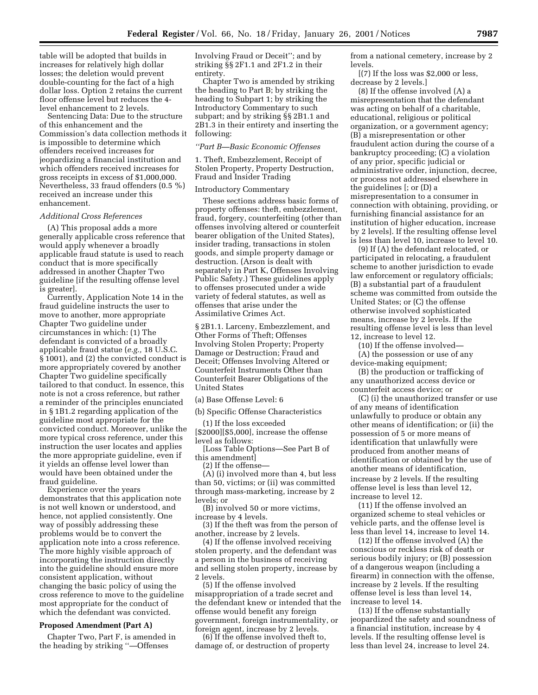table will be adopted that builds in increases for relatively high dollar losses; the deletion would prevent double-counting for the fact of a high dollar loss. Option 2 retains the current floor offense level but reduces the 4 level enhancement to 2 levels.

Sentencing Data: Due to the structure of this enhancement and the Commission's data collection methods it is impossible to determine which offenders received increases for jeopardizing a financial institution and which offenders received increases for gross receipts in excess of \$1,000,000. Nevertheless, 33 fraud offenders (0.5 %) received an increase under this enhancement.

#### *Additional Cross References*

(A) This proposal adds a more generally applicable cross reference that would apply whenever a broadly applicable fraud statute is used to reach conduct that is more specifically addressed in another Chapter Two guideline [if the resulting offense level is greater].

Currently, Application Note 14 in the fraud guideline instructs the user to move to another, more appropriate Chapter Two guideline under circumstances in which: (1) The defendant is convicted of a broadly applicable fraud statue (*e.g.,* 18 U.S.C. § 1001), and (2) the convicted conduct is more appropriately covered by another Chapter Two guideline specifically tailored to that conduct. In essence, this note is not a cross reference, but rather a reminder of the principles enunciated in § 1B1.2 regarding application of the guideline most appropriate for the convicted conduct. Moreover, unlike the more typical cross reference, under this instruction the user locates and applies the more appropriate guideline, even if it yields an offense level lower than would have been obtained under the fraud guideline.

Experience over the years demonstrates that this application note is not well known or understood, and hence, not applied consistently. One way of possibly addressing these problems would be to convert the application note into a cross reference. The more highly visible approach of incorporating the instruction directly into the guideline should ensure more consistent application, without changing the basic policy of using the cross reference to move to the guideline most appropriate for the conduct of which the defendant was convicted.

#### **Proposed Amendment (Part A)**

Chapter Two, Part F, is amended in the heading by striking ''—Offenses

Involving Fraud or Deceit''; and by striking §§ 2F1.1 and 2F1.2 in their entirety.

Chapter Two is amended by striking the heading to Part B; by striking the heading to Subpart 1; by striking the Introductory Commentary to such subpart; and by striking §§ 2B1.1 and 2B1.3 in their entirety and inserting the following:

#### *''Part B—Basic Economic Offenses*

1. Theft, Embezzlement, Receipt of Stolen Property, Property Destruction, Fraud and Insider Trading

#### Introductory Commentary

These sections address basic forms of property offenses: theft, embezzlement, fraud, forgery, counterfeiting (other than offenses involving altered or counterfeit bearer obligation of the United States), insider trading, transactions in stolen goods, and simple property damage or destruction. (Arson is dealt with separately in Part K, Offenses Involving Public Safety.) These guidelines apply to offenses prosecuted under a wide variety of federal statutes, as well as offenses that arise under the Assimilative Crimes Act.

§ 2B1.1. Larceny, Embezzlement, and Other Forms of Theft; Offenses Involving Stolen Property; Property Damage or Destruction; Fraud and Deceit; Offenses Involving Altered or Counterfeit Instruments Other than Counterfeit Bearer Obligations of the United States

(a) Base Offense Level: 6

(b) Specific Offense Characteristics

(1) If the loss exceeded [\$2000][\$5,000], increase the offense

level as follows:

[Loss Table Options—See Part B of this amendment]

(2) If the offense—

(A) (i) involved more than 4, but less than 50, victims; or (ii) was committed through mass-marketing, increase by 2 levels; or

(B) involved 50 or more victims, increase by 4 levels.

(3) If the theft was from the person of another, increase by 2 levels.

(4) If the offense involved receiving stolen property, and the defendant was a person in the business of receiving and selling stolen property, increase by 2 levels.

(5) If the offense involved misappropriation of a trade secret and the defendant knew or intended that the offense would benefit any foreign government, foreign instrumentality, or foreign agent, increase by 2 levels.

(6) If the offense involved theft to, damage of, or destruction of property from a national cemetery, increase by 2 levels.

[(7) If the loss was \$2,000 or less, decrease by 2 levels.]

(8) If the offense involved (A) a misrepresentation that the defendant was acting on behalf of a charitable, educational, religious or political organization, or a government agency; (B) a misrepresentation or other fraudulent action during the course of a bankruptcy proceeding; (C) a violation of any prior, specific judicial or administrative order, injunction, decree, or process not addressed elsewhere in the guidelines [; or (D) a misrepresentation to a consumer in connection with obtaining, providing, or furnishing financial assistance for an institution of higher education, increase by 2 levels]. If the resulting offense level is less than level 10, increase to level 10.

(9) If (A) the defendant relocated, or participated in relocating, a fraudulent scheme to another jurisdiction to evade law enforcement or regulatory officials; (B) a substantial part of a fraudulent scheme was committed from outside the United States; or (C) the offense otherwise involved sophisticated means, increase by 2 levels. If the resulting offense level is less than level 12, increase to level 12.

(10) If the offense involved—

(A) the possession or use of any device-making equipment;

(B) the production or trafficking of any unauthorized access device or counterfeit access device; or

(C) (i) the unauthorized transfer or use of any means of identification unlawfully to produce or obtain any other means of identification; or (ii) the possession of 5 or more means of identification that unlawfully were produced from another means of identification or obtained by the use of another means of identification, increase by 2 levels. If the resulting offense level is less than level 12, increase to level 12.

(11) If the offense involved an organized scheme to steal vehicles or vehicle parts, and the offense level is less than level 14, increase to level 14.

(12) If the offense involved (A) the conscious or reckless risk of death or serious bodily injury; or (B) possession of a dangerous weapon (including a firearm) in connection with the offense, increase by 2 levels. If the resulting offense level is less than level 14, increase to level 14.

(13) If the offense substantially jeopardized the safety and soundness of a financial institution, increase by 4 levels. If the resulting offense level is less than level 24, increase to level 24.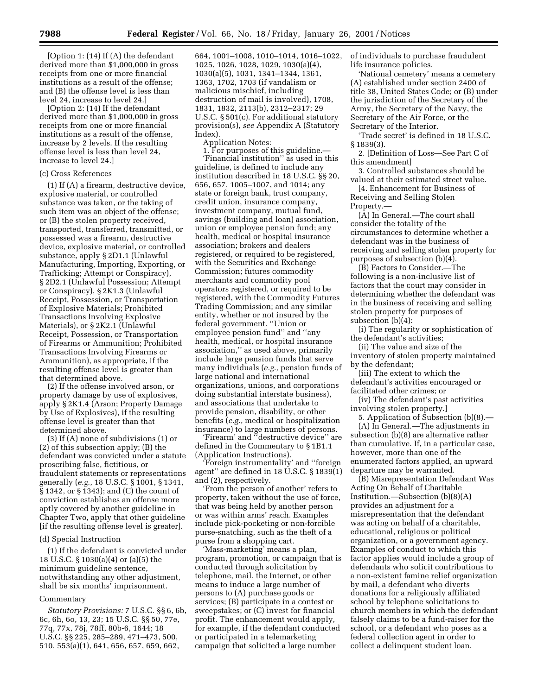[Option 1: (14) If (A) the defendant derived more than \$1,000,000 in gross receipts from one or more financial institutions as a result of the offense; and (B) the offense level is less than level 24, increase to level 24.]

[Option 2: (14) If the defendant derived more than \$1,000,000 in gross receipts from one or more financial institutions as a result of the offense, increase by 2 levels. If the resulting offense level is less than level 24, increase to level 24.]

#### (c) Cross References

(1) If (A) a firearm, destructive device, explosive material, or controlled substance was taken, or the taking of such item was an object of the offense; or (B) the stolen property received, transported, transferred, transmitted, or possessed was a firearm, destructive device, explosive material, or controlled substance, apply § 2D1.1 (Unlawful Manufacturing, Importing, Exporting, or Trafficking; Attempt or Conspiracy), § 2D2.1 (Unlawful Possession; Attempt or Conspiracy), § 2K1.3 (Unlawful Receipt, Possession, or Transportation of Explosive Materials; Prohibited Transactions Involving Explosive Materials), or § 2K2.1 (Unlawful Receipt, Possession, or Transportation of Firearms or Ammunition; Prohibited Transactions Involving Firearms or Ammunition), as appropriate, if the resulting offense level is greater than that determined above.

(2) If the offense involved arson, or property damage by use of explosives, apply § 2K1.4 (Arson; Property Damage by Use of Explosives), if the resulting offense level is greater than that determined above.

(3) If (A) none of subdivisions (1) or (2) of this subsection apply; (B) the defendant was convicted under a statute proscribing false, fictitious, or fraudulent statements or representations generally (*e.g.*, 18 U.S.C. § 1001, § 1341, § 1342, or § 1343); and (C) the count of conviction establishes an offense more aptly covered by another guideline in Chapter Two, apply that other guideline [if the resulting offense level is greater].

#### (d) Special Instruction

(1) If the defendant is convicted under 18 U.S.C. § 1030(a)(4) or (a)(5) the minimum guideline sentence, notwithstanding any other adjustment, shall be six months' imprisonment.

#### Commentary

*Statutory Provisions:* 7 U.S.C. §§ 6, 6b, 6c, 6h, 6o, 13, 23; 15 U.S.C. §§ 50, 77e, 77q, 77x, 78j, 78ff, 80b-6, 1644; 18 U.S.C. §§ 225, 285–289, 471–473, 500, 510, 553(a)(1), 641, 656, 657, 659, 662,

664, 1001–1008, 1010–1014, 1016–1022, 1025, 1026, 1028, 1029, 1030(a)(4), 1030(a)(5), 1031, 1341–1344, 1361, 1363, 1702, 1703 (if vandalism or malicious mischief, including destruction of mail is involved), 1708, 1831, 1832, 2113(b), 2312–2317; 29 U.S.C. § 501(c). For additional statutory provision(s), *see* Appendix A (Statutory Index).

Application Notes:

1. For purposes of this guideline.— 'Financial institution'' as used in this guideline, is defined to include any institution described in 18 U.S.C. §§ 20, 656, 657, 1005–1007, and 1014; any state or foreign bank, trust company, credit union, insurance company, investment company, mutual fund, savings (building and loan) association, union or employee pension fund; any health, medical or hospital insurance association; brokers and dealers registered, or required to be registered, with the Securities and Exchange Commission; futures commodity merchants and commodity pool operators registered, or required to be registered, with the Commodity Futures Trading Commission; and any similar entity, whether or not insured by the federal government. ''Union or employee pension fund'' and ''any health, medical, or hospital insurance association,'' as used above, primarily include large pension funds that serve many individuals (*e.g.,* pension funds of large national and international organizations, unions, and corporations doing substantial interstate business), and associations that undertake to provide pension, disability, or other benefits (*e.g.*, medical or hospitalization insurance) to large numbers of persons.

'Firearm' and ''destructive device'' are defined in the Commentary to § 1B1.1 (Application Instructions).

'Foreign instrumentality' and ''foreign agent'' are defined in 18 U.S.C. § 1839(1) and (2), respectively.

'From the person of another' refers to property, taken without the use of force, that was being held by another person or was within arms' reach. Examples include pick-pocketing or non-forcible purse-snatching, such as the theft of a purse from a shopping cart.

'Mass-marketing' means a plan, program, promotion, or campaign that is conducted through solicitation by telephone, mail, the Internet, or other means to induce a large number of persons to (A) purchase goods or services; (B) participate in a contest or sweepstakes; or (C) invest for financial profit. The enhancement would apply, for example, if the defendant conducted or participated in a telemarketing campaign that solicited a large number

of individuals to purchase fraudulent life insurance policies.

'National cemetery' means a cemetery (A) established under section 2400 of title 38, United States Code; or (B) under the jurisdiction of the Secretary of the Army, the Secretary of the Navy, the Secretary of the Air Force, or the Secretary of the Interior.

'Trade secret' is defined in 18 U.S.C. § 1839(3).

2. [Definition of Loss—See Part C of this amendment]

3. Controlled substances should be valued at their estimated street value.

[4. Enhancement for Business of Receiving and Selling Stolen Property.—

(A) In General.—The court shall consider the totality of the circumstances to determine whether a defendant was in the business of receiving and selling stolen property for purposes of subsection (b)(4).

(B) Factors to Consider.—The following is a non-inclusive list of factors that the court may consider in determining whether the defendant was in the business of receiving and selling stolen property for purposes of subsection (b)(4):

(i) The regularity or sophistication of the defendant's activities;

(ii) The value and size of the inventory of stolen property maintained by the defendant;

(iii) The extent to which the defendant's activities encouraged or facilitated other crimes; or

(iv) The defendant's past activities involving stolen property.]

5. Application of Subsection (b)(8).— (A) In General.—The adjustments in subsection (b)(8) are alternative rather than cumulative. If, in a particular case, however, more than one of the enumerated factors applied, an upward departure may be warranted.

(B) Misrepresentation Defendant Was Acting On Behalf of Charitable Institution.—Subsection (b)(8)(A) provides an adjustment for a misrepresentation that the defendant was acting on behalf of a charitable, educational, religious or political organization, or a government agency. Examples of conduct to which this factor applies would include a group of defendants who solicit contributions to a non-existent famine relief organization by mail, a defendant who diverts donations for a religiously affiliated school by telephone solicitations to church members in which the defendant falsely claims to be a fund-raiser for the school, or a defendant who poses as a federal collection agent in order to collect a delinquent student loan.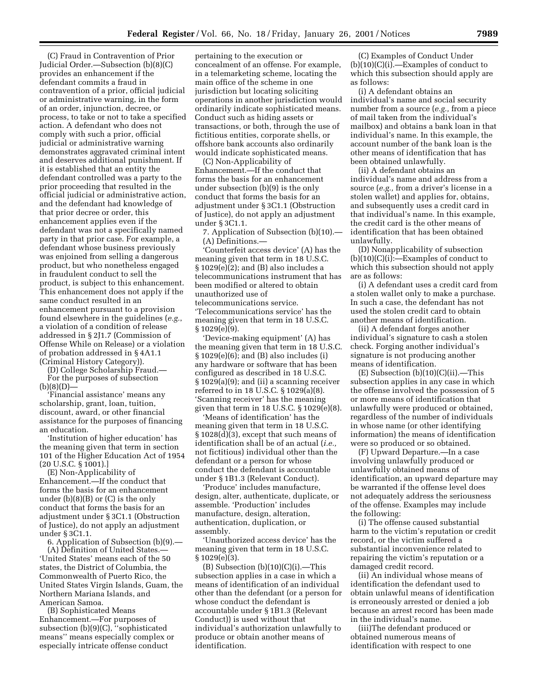(C) Fraud in Contravention of Prior Judicial Order.—Subsection (b)(8)(C) provides an enhancement if the defendant commits a fraud in contravention of a prior, official judicial or administrative warning, in the form of an order, injunction, decree, or process, to take or not to take a specified action. A defendant who does not comply with such a prior, official judicial or administrative warning demonstrates aggravated criminal intent and deserves additional punishment. If it is established that an entity the defendant controlled was a party to the prior proceeding that resulted in the official judicial or administrative action, and the defendant had knowledge of that prior decree or order, this enhancement applies even if the defendant was not a specifically named party in that prior case. For example, a defendant whose business previously was enjoined from selling a dangerous product, but who nonetheless engaged in fraudulent conduct to sell the product, is subject to this enhancement. This enhancement does not apply if the same conduct resulted in an enhancement pursuant to a provision found elsewhere in the guidelines (*e.g.*, a violation of a condition of release addressed in § 2J1.7 (Commission of Offense While on Release) or a violation of probation addressed in § 4A1.1 (Criminal History Category)).

(D) College Scholarship Fraud.— For the purposes of subsection  $(b)(8)(D)$ —

'Financial assistance' means any scholarship, grant, loan, tuition, discount, award, or other financial assistance for the purposes of financing an education.

'Institution of higher education' has the meaning given that term in section 101 of the Higher Education Act of 1954 (20 U.S.C. § 1001).]

(E) Non-Applicability of Enhancement.—If the conduct that forms the basis for an enhancement under  $(b)(8)(B)$  or  $(C)$  is the only conduct that forms the basis for an adjustment under § 3C1.1 (Obstruction of Justice), do not apply an adjustment under § 3C1.1.

6. Application of Subsection (b)(9).— (A) Definition of United States.— 'United States' means each of the 50 states, the District of Columbia, the Commonwealth of Puerto Rico, the United States Virgin Islands, Guam, the Northern Mariana Islands, and American Samoa.

(B) Sophisticated Means Enhancement.—For purposes of subsection (b)(9)(C), "sophisticated means'' means especially complex or especially intricate offense conduct

pertaining to the execution or concealment of an offense. For example, in a telemarketing scheme, locating the main office of the scheme in one jurisdiction but locating soliciting operations in another jurisdiction would ordinarily indicate sophisticated means. Conduct such as hiding assets or transactions, or both, through the use of fictitious entities, corporate shells, or offshore bank accounts also ordinarily would indicate sophisticated means.

(C) Non-Applicability of Enhancement.—If the conduct that forms the basis for an enhancement under subsection (b)(9) is the only conduct that forms the basis for an adjustment under § 3C1.1 (Obstruction of Justice), do not apply an adjustment under § 3C1.1.

7. Application of Subsection (b)(10).— (A) Definitions.—

'Counterfeit access device' (A) has the meaning given that term in 18 U.S.C. § 1029(e)(2); and (B) also includes a telecommunications instrument that has been modified or altered to obtain unauthorized use of telecommunications service. 'Telecommunications service' has the meaning given that term in 18 U.S.C.  $§ 1029(e)(9).$ 

'Device-making equipment' (A) has the meaning given that term in 18 U.S.C. § 1029(e)(6); and (B) also includes (i) any hardware or software that has been configured as described in 18 U.S.C. § 1029(a)(9); and (ii) a scanning receiver referred to in 18 U.S.C. § 1029(a)(8). 'Scanning receiver' has the meaning given that term in 18 U.S.C. § 1029(e)(8).

'Means of identification' has the meaning given that term in 18 U.S.C. § 1028(d)(3), except that such means of identification shall be of an actual (*i.e.,* not fictitious) individual other than the defendant or a person for whose conduct the defendant is accountable under § 1B1.3 (Relevant Conduct).

'Produce' includes manufacture, design, alter, authenticate, duplicate, or assemble. 'Production' includes manufacture, design, alteration, authentication, duplication, or assembly.

'Unauthorized access device' has the meaning given that term in 18 U.S.C. § 1029(e)(3).

 $(B)$  Subsection  $(b)(10)(C)(i)$ .—This subsection applies in a case in which a means of identification of an individual other than the defendant (or a person for whose conduct the defendant is accountable under § 1B1.3 (Relevant Conduct)) is used without that individual's authorization unlawfully to produce or obtain another means of identification.

(C) Examples of Conduct Under (b)(10)(C)(i).—Examples of conduct to which this subsection should apply are as follows:

(i) A defendant obtains an individual's name and social security number from a source (*e.g.,* from a piece of mail taken from the individual's mailbox) and obtains a bank loan in that individual's name. In this example, the account number of the bank loan is the other means of identification that has been obtained unlawfully.

(ii) A defendant obtains an individual's name and address from a source (*e.g.,* from a driver's license in a stolen wallet) and applies for, obtains, and subsequently uses a credit card in that individual's name. In this example, the credit card is the other means of identification that has been obtained unlawfully.

(D) Nonapplicability of subsection (b)(10)(C)(i):—Examples of conduct to which this subsection should not apply are as follows:

(i) A defendant uses a credit card from a stolen wallet only to make a purchase. In such a case, the defendant has not used the stolen credit card to obtain another means of identification.

(ii) A defendant forges another individual's signature to cash a stolen check. Forging another individual's signature is not producing another means of identification.

 $(E)$  Subsection  $(b)(10)(C)(ii)$ .—This subsection applies in any case in which the offense involved the possession of 5 or more means of identification that unlawfully were produced or obtained, regardless of the number of individuals in whose name (or other identifying information) the means of identification were so produced or so obtained.

(F) Upward Departure.—In a case involving unlawfully produced or unlawfully obtained means of identification, an upward departure may be warranted if the offense level does not adequately address the seriousness of the offense. Examples may include the following:

(i) The offense caused substantial harm to the victim's reputation or credit record, or the victim suffered a substantial inconvenience related to repairing the victim's reputation or a damaged credit record.

(ii) An individual whose means of identification the defendant used to obtain unlawful means of identification is erroneously arrested or denied a job because an arrest record has been made in the individual's name.

(iii)The defendant produced or obtained numerous means of identification with respect to one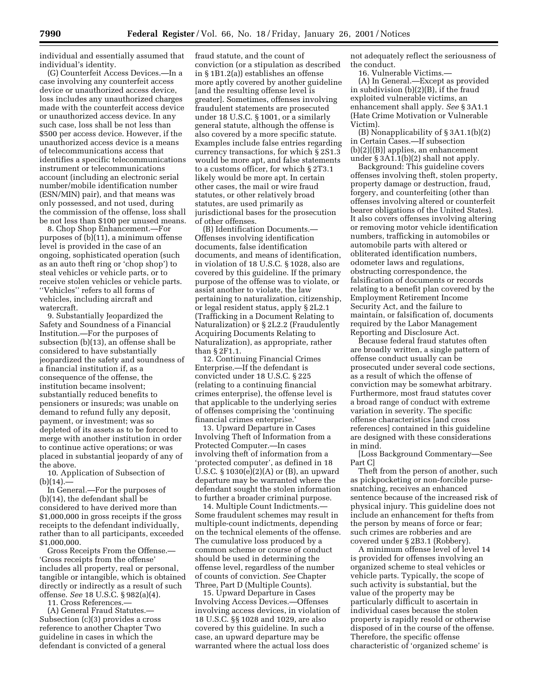individual and essentially assumed that individual's identity.

(G) Counterfeit Access Devices.—In a case involving any counterfeit access device or unauthorized access device, loss includes any unauthorized charges made with the counterfeit access device or unauthorized access device. In any such case, loss shall be not less than \$500 per access device. However, if the unauthorized access device is a means of telecommunications access that identifies a specific telecommunications instrument or telecommunications account (including an electronic serial number/mobile identification number (ESN/MIN) pair), and that means was only possessed, and not used, during the commission of the offense, loss shall be not less than \$100 per unused means.

8. Chop Shop Enhancement.—For purposes of (b)(11), a minimum offense level is provided in the case of an ongoing, sophisticated operation (such as an auto theft ring or 'chop shop') to steal vehicles or vehicle parts, or to receive stolen vehicles or vehicle parts. ''Vehicles'' refers to all forms of vehicles, including aircraft and watercraft.

9. Substantially Jeopardized the Safety and Soundness of a Financial Institution.—For the purposes of subsection (b)(13), an offense shall be considered to have substantially jeopardized the safety and soundness of a financial institution if, as a consequence of the offense, the institution became insolvent; substantially reduced benefits to pensioners or insureds; was unable on demand to refund fully any deposit, payment, or investment; was so depleted of its assets as to be forced to merge with another institution in order to continue active operations; or was placed in substantial jeopardy of any of the above.

10. Application of Subsection of  $(b)(14)$ .

In General.—For the purposes of (b)(14), the defendant shall be considered to have derived more than \$1,000,000 in gross receipts if the gross receipts to the defendant individually, rather than to all participants, exceeded \$1,000,000.

Gross Receipts From the Offense.— 'Gross receipts from the offense' includes all property, real or personal, tangible or intangible, which is obtained directly or indirectly as a result of such offense. *See* 18 U.S.C. § 982(a)(4).

11. Cross References.—

(A) General Fraud Statutes.— Subsection (c)(3) provides a cross reference to another Chapter Two guideline in cases in which the defendant is convicted of a general

fraud statute, and the count of conviction (or a stipulation as described in § 1B1.2(a)) establishes an offense more aptly covered by another guideline [and the resulting offense level is greater]. Sometimes, offenses involving fraudulent statements are prosecuted under 18 U.S.C. § 1001, or a similarly general statute, although the offense is also covered by a more specific statute. Examples include false entries regarding currency transactions, for which § 2S1.3 would be more apt, and false statements to a customs officer, for which § 2T3.1 likely would be more apt. In certain other cases, the mail or wire fraud statutes, or other relatively broad statutes, are used primarily as jurisdictional bases for the prosecution of other offenses.

(B) Identification Documents.— Offenses involving identification documents, false identification documents, and means of identification, in violation of 18 U.S.C. § 1028, also are covered by this guideline. If the primary purpose of the offense was to violate, or assist another to violate, the law pertaining to naturalization, citizenship, or legal resident status, apply § 2L2.1 (Trafficking in a Document Relating to Naturalization) or § 2L2.2 (Fraudulently Acquiring Documents Relating to Naturalization), as appropriate, rather than § 2F1.1.

12. Continuing Financial Crimes Enterprise.—If the defendant is convicted under 18 U.S.C. § 225 (relating to a continuing financial crimes enterprise), the offense level is that applicable to the underlying series of offenses comprising the 'continuing financial crimes enterprise.'

13. Upward Departure in Cases Involving Theft of Information from a Protected Computer.—In cases involving theft of information from a 'protected computer', as defined in 18 U.S.C. § 1030(e)(2)(A) or (B), an upward departure may be warranted where the defendant sought the stolen information to further a broader criminal purpose.

14. Multiple Count Indictments.— Some fraudulent schemes may result in multiple-count indictments, depending on the technical elements of the offense. The cumulative loss produced by a common scheme or course of conduct should be used in determining the offense level, regardless of the number of counts of conviction. *See* Chapter Three, Part D (Multiple Counts).

15. Upward Departure in Cases Involving Access Devices.—Offenses involving access devices, in violation of 18 U.S.C. §§ 1028 and 1029, are also covered by this guideline. In such a case, an upward departure may be warranted where the actual loss does

not adequately reflect the seriousness of the conduct.

16. Vulnerable Victims.—

(A) In General.—Except as provided in subdivision (b)(2)(B), if the fraud exploited vulnerable victims, an enhancement shall apply. *See* § 3A1.1 (Hate Crime Motivation or Vulnerable Victim).

(B) Nonapplicability of § 3A1.1(b)(2) in Certain Cases.—If subsection (b)(2)[(B)] applies, an enhancement under § 3A1.1(b)(2) shall not apply.

Background: This guideline covers offenses involving theft, stolen property, property damage or destruction, fraud, forgery, and counterfeiting (other than offenses involving altered or counterfeit bearer obligations of the United States). It also covers offenses involving altering or removing motor vehicle identification numbers, trafficking in automobiles or automobile parts with altered or obliterated identification numbers, odometer laws and regulations, obstructing correspondence, the falsification of documents or records relating to a benefit plan covered by the Employment Retirement Income Security Act, and the failure to maintain, or falsification of, documents required by the Labor Management Reporting and Disclosure Act.

Because federal fraud statutes often are broadly written, a single pattern of offense conduct usually can be prosecuted under several code sections, as a result of which the offense of conviction may be somewhat arbitrary. Furthermore, most fraud statutes cover a broad range of conduct with extreme variation in severity. The specific offense characteristics [and cross references] contained in this guideline are designed with these considerations in mind.

[Loss Background Commentary—See Part C]

Theft from the person of another, such as pickpocketing or non-forcible pursesnatching, receives an enhanced sentence because of the increased risk of physical injury. This guideline does not include an enhancement for thefts from the person by means of force or fear; such crimes are robberies and are covered under § 2B3.1 (Robbery).

A minimum offense level of level 14 is provided for offenses involving an organized scheme to steal vehicles or vehicle parts. Typically, the scope of such activity is substantial, but the value of the property may be particularly difficult to ascertain in individual cases because the stolen property is rapidly resold or otherwise disposed of in the course of the offense. Therefore, the specific offense characteristic of 'organized scheme' is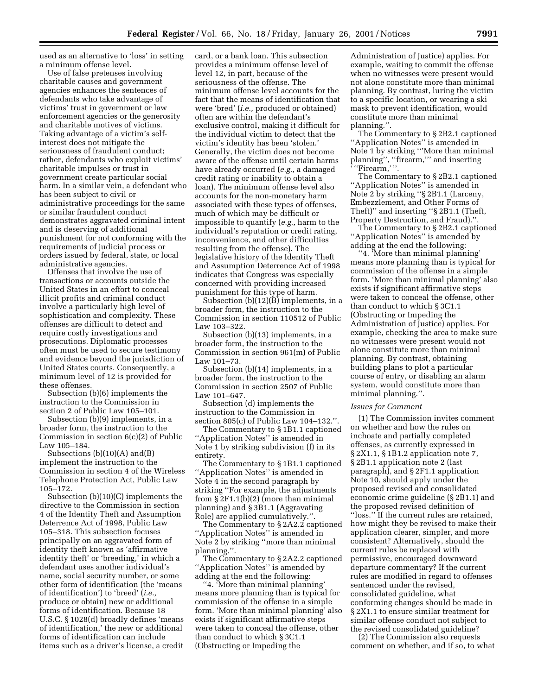used as an alternative to 'loss' in setting a minimum offense level.

Use of false pretenses involving charitable causes and government agencies enhances the sentences of defendants who take advantage of victims' trust in government or law enforcement agencies or the generosity and charitable motives of victims. Taking advantage of a victim's selfinterest does not mitigate the seriousness of fraudulent conduct; rather, defendants who exploit victims' charitable impulses or trust in government create particular social harm. In a similar vein, a defendant who has been subject to civil or administrative proceedings for the same or similar fraudulent conduct demonstrates aggravated criminal intent and is deserving of additional punishment for not conforming with the requirements of judicial process or orders issued by federal, state, or local administrative agencies.

Offenses that involve the use of transactions or accounts outside the United States in an effort to conceal illicit profits and criminal conduct involve a particularly high level of sophistication and complexity. These offenses are difficult to detect and require costly investigations and prosecutions. Diplomatic processes often must be used to secure testimony and evidence beyond the jurisdiction of United States courts. Consequently, a minimum level of 12 is provided for these offenses.

Subsection (b)(6) implements the instruction to the Commission in section 2 of Public Law 105–101.

Subsection (b)(9) implements, in a broader form, the instruction to the Commission in section 6(c)(2) of Public Law 105–184.

Subsections (b)(10)(A) and(B) implement the instruction to the Commission in section 4 of the Wireless Telephone Protection Act, Public Law 105–172.

Subsection (b)(10)(C) implements the directive to the Commission in section 4 of the Identity Theft and Assumption Deterrence Act of 1998, Public Law 105–318. This subsection focuses principally on an aggravated form of identity theft known as 'affirmative identity theft' or 'breeding,' in which a defendant uses another individual's name, social security number, or some other form of identification (the 'means of identification') to 'breed' (*i.e.,* produce or obtain) new or additional forms of identification. Because 18 U.S.C. § 1028(d) broadly defines 'means of identification,' the new or additional forms of identification can include items such as a driver's license, a credit

card, or a bank loan. This subsection provides a minimum offense level of level 12, in part, because of the seriousness of the offense. The minimum offense level accounts for the fact that the means of identification that were 'bred' (*i.e.,* produced or obtained) often are within the defendant's exclusive control, making it difficult for the individual victim to detect that the victim's identity has been 'stolen.' Generally, the victim does not become aware of the offense until certain harms have already occurred (*e.g.,* a damaged credit rating or inability to obtain a loan). The minimum offense level also accounts for the non-monetary harm associated with these types of offenses, much of which may be difficult or impossible to quantify (*e.g.,* harm to the individual's reputation or credit rating, inconvenience, and other difficulties resulting from the offense). The legislative history of the Identity Theft and Assumption Deterrence Act of 1998 indicates that Congress was especially concerned with providing increased punishment for this type of harm.

Subsection (b)(12)(B) implements, in a broader form, the instruction to the Commission in section 110512 of Public Law 103–322.

Subsection (b)(13) implements, in a broader form, the instruction to the Commission in section 961(m) of Public Law 101–73.

Subsection (b)(14) implements, in a broader form, the instruction to the Commission in section 2507 of Public Law 101–647.

Subsection (d) implements the instruction to the Commission in section 805(c) of Public Law 104–132.''.

The Commentary to § 1B1.1 captioned ''Application Notes'' is amended in Note 1 by striking subdivision (f) in its entirety.

The Commentary to § 1B1.1 captioned ''Application Notes'' is amended in Note 4 in the second paragraph by striking ''For example, the adjustments from § 2F1.1(b)(2) (more than minimal planning) and § 3B1.1 (Aggravating Role) are applied cumulatively.''.

The Commentary to § 2A2.2 captioned ''Application Notes'' is amended in Note 2 by striking ''more than minimal planning,''.

The Commentary to § 2A2.2 captioned ''Application Notes'' is amended by adding at the end the following:

''4. 'More than minimal planning' means more planning than is typical for commission of the offense in a simple form. 'More than minimal planning' also exists if significant affirmative steps were taken to conceal the offense, other than conduct to which § 3C1.1 (Obstructing or Impeding the

Administration of Justice) applies. For example, waiting to commit the offense when no witnesses were present would not alone constitute more than minimal planning. By contrast, luring the victim to a specific location, or wearing a ski mask to prevent identification, would constitute more than minimal planning.''.

The Commentary to § 2B2.1 captioned ''Application Notes'' is amended in Note 1 by striking '''More than minimal planning", "firearm," and inserting "Firearm,'".

The Commentary to § 2B2.1 captioned "Application Notes" is amended in Note 2 by striking ''§ 2B1.1 (Larceny, Embezzlement, and Other Forms of Theft)'' and inserting ''§ 2B1.1 (Theft, Property Destruction, and Fraud).''.

The Commentary to § 2B2.1 captioned ''Application Notes'' is amended by adding at the end the following:

''4. 'More than minimal planning' means more planning than is typical for commission of the offense in a simple form. 'More than minimal planning' also exists if significant affirmative steps were taken to conceal the offense, other than conduct to which § 3C1.1 (Obstructing or Impeding the Administration of Justice) applies. For example, checking the area to make sure no witnesses were present would not alone constitute more than minimal planning. By contrast, obtaining building plans to plot a particular course of entry, or disabling an alarm system, would constitute more than minimal planning.''.

#### *Issues for Comment*

(1) The Commission invites comment on whether and how the rules on inchoate and partially completed offenses, as currently expressed in § 2X1.1, § 1B1.2 application note 7, § 2B1.1 application note 2 (last paragraph), and § 2F1.1 application Note 10, should apply under the proposed revised and consolidated economic crime guideline (§ 2B1.1) and the proposed revised definition of ''loss.'' If the current rules are retained, how might they be revised to make their application clearer, simpler, and more consistent? Alternatively, should the current rules be replaced with permissive, encouraged downward departure commentary? If the current rules are modified in regard to offenses sentenced under the revised, consolidated guideline, what conforming changes should be made in § 2X1.1 to ensure similar treatment for similar offense conduct not subject to the revised consolidated guideline?

(2) The Commission also requests comment on whether, and if so, to what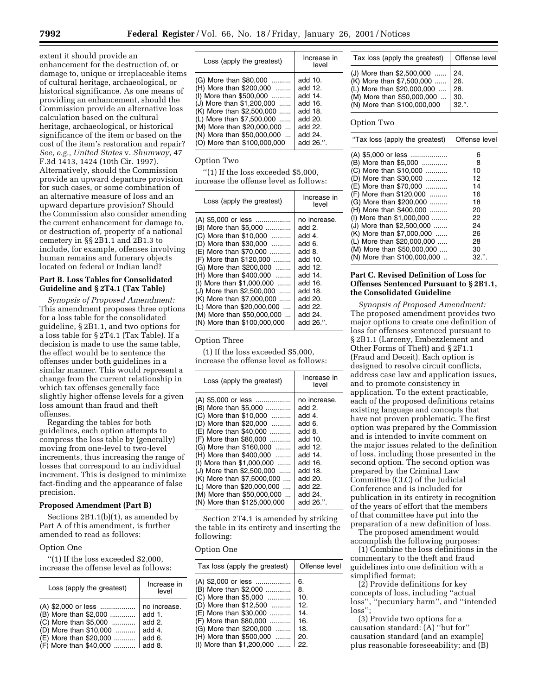extent it should provide an enhancement for the destruction of, or damage to, unique or irreplaceable items of cultural heritage, archaeological, or historical significance. As one means of providing an enhancement, should the Commission provide an alternative loss calculation based on the cultural heritage, archaeological, or historical significance of the item or based on the cost of the item's restoration and repair? *See, e.g., United States* v. *Shumway,* 47 F.3d 1413, 1424 (10th Cir. 1997). Alternatively, should the Commission provide an upward departure provision for such cases, or some combination of an alternative measure of loss and an upward departure provision? Should the Commission also consider amending the current enhancement for damage to, or destruction of, property of a national cemetery in §§ 2B1.1 and 2B1.3 to include, for example, offenses involving human remains and funerary objects located on federal or Indian land?

#### **Part B. Loss Tables for Consolidated Guideline and § 2T4.1 (Tax Table)**

*Synopsis of Proposed Amendment:* This amendment proposes three options for a loss table for the consolidated guideline, § 2B1.1, and two options for a loss table for § 2T4.1 (Tax Table). If a decision is made to use the same table, the effect would be to sentence the offenses under both guidelines in a similar manner. This would represent a change from the current relationship in which tax offenses generally face slightly higher offense levels for a given loss amount than fraud and theft offenses.

Regarding the tables for both guidelines, each option attempts to compress the loss table by (generally) moving from one-level to two-level increments, thus increasing the range of losses that correspond to an individual increment. This is designed to minimize fact-finding and the appearance of false precision.

#### **Proposed Amendment (Part B)**

Sections 2B1.1(b)(1), as amended by Part A of this amendment, is further amended to read as follows:

#### Option One

''(1) If the loss exceeded \$2,000, increase the offense level as follows:

| Loss (apply the greatest)                                                                                                                   | Increase in<br>level             |
|---------------------------------------------------------------------------------------------------------------------------------------------|----------------------------------|
| (A) \$2,000 or less<br>(B) More than \$2,000<br>(C) More than \$5,000<br>(D) More than \$10,000    add 4.<br>(E) More than \$20,000  add 6. | no increase.<br>add 1.<br>add 2. |
| (F) More than \$40,000  add 8.                                                                                                              |                                  |

| Loss (apply the greatest)                                                                                                                                                                                                                                      | Increase in<br>level                                                                              |
|----------------------------------------------------------------------------------------------------------------------------------------------------------------------------------------------------------------------------------------------------------------|---------------------------------------------------------------------------------------------------|
| (G) More than \$80,000<br>(H) More than \$200,000<br>(I) More than \$500,000<br>(J) More than \$1,200,000<br>(K) More than \$2,500,000<br>(L) More than \$7,500,000<br>(M) More than \$20,000,000<br>(N) More than \$50,000,000<br>(O) More than \$100,000,000 | add 10.<br>add 12.<br>add 14.<br>add 16.<br>add 18.<br>add 20.<br>add 22.<br>add 24.<br>add 26.". |
|                                                                                                                                                                                                                                                                |                                                                                                   |

#### Option Two

''(1) If the loss exceeded \$5,000, increase the offense level as follows:

| Loss (apply the greatest)   | Increase in<br>level |
|-----------------------------|----------------------|
| (A) \$5,000 or less         | no increase.         |
| (B) More than \$5,000       | add 2.               |
| (C) More than \$10,000      | add 4.               |
| (D) More than \$30,000      | add 6.               |
| (E) More than \$70,000      | add 8.               |
| (F) More than \$120,000     | add 10.              |
| (G) More than \$200,000     | add 12.              |
| (H) More than \$400,000     | add 14.              |
| (I) More than \$1,000,000   | add 16.              |
| (J) More than \$2,500,000   | add 18.              |
| (K) More than \$7,000,000   | add 20.              |
| (L) More than \$20,000,000  | add 22.              |
| (M) More than \$50,000,000  | add 24.              |
| (N) More than \$100,000,000 | add 26.".            |

#### Option Three

(1) If the loss exceeded \$5,000, increase the offense level as follows:

| Loss (apply the greatest)   | Increase in<br>level |
|-----------------------------|----------------------|
| (A) \$5,000 or less         | no increase.         |
| (B) More than \$5,000       | add 2.               |
| (C) More than \$10,000      | add 4.               |
| (D) More than \$20,000      | add 6.               |
| (E) More than \$40,000      | add 8.               |
| (F) More than \$80,000      | add 10.              |
| (G) More than \$160,000     | add 12.              |
| (H) More than \$400,000     | add 14.              |
| (I) More than \$1,000,000   | add 16.              |
| (J) More than \$2,500,000   | add 18.              |
| (K) More than \$7,5000,000  | add 20.              |
| (L) More than \$20,000,000  | add 22.              |
| (M) More than \$50,000,000  | add 24.              |
| (N) More than \$125,000,000 | add 26.".            |

Section 2T4.1 is amended by striking the table in its entirety and inserting the following:

#### Option One

| Offense level |
|---------------|
| 6.            |
| 8.            |
| 10.           |
| 12.           |
| 14.           |
| 16.           |
| 18.           |
| 20.           |
| 22.           |
|               |

| Tax loss (apply the greatest) |                                                                                                                                                                                                            | Offense level |
|-------------------------------|------------------------------------------------------------------------------------------------------------------------------------------------------------------------------------------------------------|---------------|
|                               | (J) More than \$2,500,000    24.<br>(K) More than \$7,500,000  26.<br>(L) More than \$20,000,000  26.<br>(L) More than \$20,000,000  38.<br>(M) More than \$50,000,000  30.<br>(N) More than \$100,000,000 | 32."          |

#### Option Two

| "Tax loss (apply the greatest) | Offense level |
|--------------------------------|---------------|
| (A) \$5,000 or less            | 6             |
| (B) More than \$5,000          | 8             |
| (C) More than \$10,000         | 10            |
| (D) More than \$30,000         | 12            |
| (E) More than \$70,000         | 14            |
| (F) More than \$120,000        | 16            |
| (G) More than \$200,000        | 18            |
| (H) More than \$400,000        | 20            |
| (I) More than \$1,000,000      | 22            |
| (J) More than \$2,500,000      | 24            |
| (K) More than \$7,000,000      | 26            |
| (L) More than \$20,000,000     | 28            |
| (M) More than \$50,000,000     | 30            |
| (N) More than \$100,000,000    | 32."          |
|                                |               |

#### **Part C. Revised Definition of Loss for Offenses Sentenced Pursuant to § 2B1.1, the Consolidated Guideline**

*Synopsis of Proposed Amendment:* The proposed amendment provides two major options to create one definition of loss for offenses sentenced pursuant to § 2B1.1 (Larceny, Embezzlement and Other Forms of Theft) and § 2F1.1 (Fraud and Deceit). Each option is designed to resolve circuit conflicts, address case law and application issues, and to promote consistency in application. To the extent practicable, each of the proposed definitions retains existing language and concepts that have not proven problematic. The first option was prepared by the Commission and is intended to invite comment on the major issues related to the definition of loss, including those presented in the second option. The second option was prepared by the Criminal Law Committee (CLC) of the Judicial Conference and is included for publication in its entirety in recognition of the years of effort that the members of that committee have put into the preparation of a new definition of loss.

The proposed amendment would accomplish the following purposes:

(1) Combine the loss definitions in the commentary to the theft and fraud guidelines into one definition with a simplified format;

(2) Provide definitions for key concepts of loss, including ''actual loss'', ''pecuniary harm'', and ''intended loss'';

(3) Provide two options for a causation standard: (A) ''but for'' causation standard (and an example) plus reasonable foreseeability; and (B)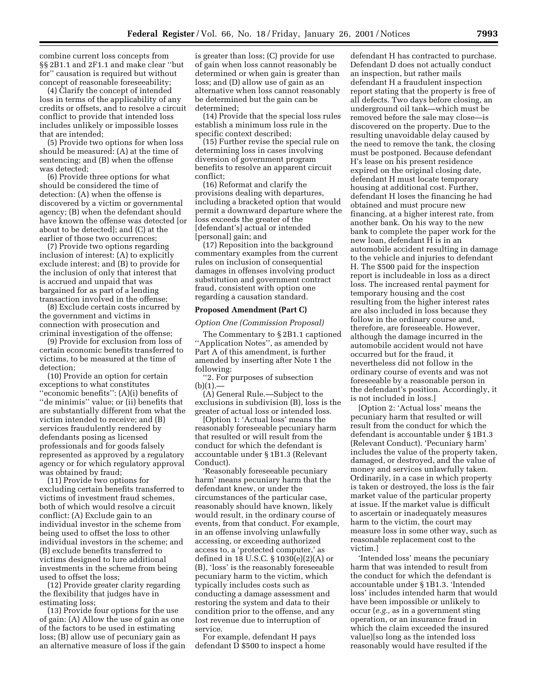combine current loss concepts from §§ 2B1.1 and 2F1.1 and make clear ''but for'' causation is required but without concept of reasonable foreseeability;

(4) Clarify the concept of intended loss in terms of the applicability of any credits or offsets, and to resolve a circuit conflict to provide that intended loss includes unlikely or impossible losses that are intended;

(5) Provide two options for when loss should be measured: (A) at the time of sentencing; and (B) when the offense was detected;

(6) Provide three options for what should be considered the time of detection: (A) when the offense is discovered by a victim or governmental agency; (B) when the defendant should have known the offense was detected [or about to be detected]; and (C) at the earlier of those two occurrences;

(7) Provide two options regarding inclusion of interest: (A) to explicitly exclude interest; and (B) to provide for the inclusion of only that interest that is accrued and unpaid that was bargained for as part of a lending transaction involved in the offense;

(8) Exclude certain costs incurred by the government and victims in connection with prosecution and criminal investigation of the offense;

(9) Provide for exclusion from loss of certain economic benefits transferred to victims, to be measured at the time of detection;

(10) Provide an option for certain exceptions to what constitutes ''economic benefits'': (A)(i) benefits of "de minimis" value; or (ii) benefits that are substantially different from what the victim intended to receive; and (B) services fraudulently rendered by defendants posing as licensed professionals and for goods falsely represented as approved by a regulatory agency or for which regulatory approval was obtained by fraud;

(11) Provide two options for excluding certain benefits transferred to victims of investment fraud schemes, both of which would resolve a circuit conflict: (A) Exclude gain to an individual investor in the scheme from being used to offset the loss to other individual investors in the scheme; and (B) exclude benefits transferred to victims designed to lure additional investments in the scheme from being used to offset the loss;

(12) Provide greater clarity regarding the flexibility that judges have in estimating loss;

(13) Provide four options for the use of gain: (A) Allow the use of gain as one of the factors to be used in estimating loss; (B) allow use of pecuniary gain as an alternative measure of loss if the gain is greater than loss; (C) provide for use of gain when loss cannot reasonably be determined or when gain is greater than loss; and (D) allow use of gain as an alternative when loss cannot reasonably be determined but the gain can be determined;

(14) Provide that the special loss rules establish a minimum loss rule in the specific context described;

(15) Further revise the special rule on determining loss in cases involving diversion of government program benefits to resolve an apparent circuit conflict;

(16) Reformat and clarify the provisions dealing with departures, including a bracketed option that would permit a downward departure where the loss exceeds the greater of the [defendant's] actual or intended [personal] gain; and

(17) Reposition into the background commentary examples from the current rules on inclusion of consequential damages in offenses involving product substitution and government contract fraud, consistent with option one regarding a causation standard.

#### **Proposed Amendment (Part C)**

#### *Option One (Commission Proposal)*

The Commentary to § 2B1.1 captioned ''Application Notes'', as amended by Part A of this amendment, is further amended by inserting after Note 1 the following:

''2. For purposes of subsection  $(b)(1)$ .

(A) General Rule.—Subject to the exclusions in subdivision (B), loss is the greater of actual loss or intended loss.

[Option 1: 'Actual loss' means the reasonably foreseeable pecuniary harm that resulted or will result from the conduct for which the defendant is accountable under § 1B1.3 (Relevant Conduct).

'Reasonably foreseeable pecuniary harm' means pecuniary harm that the defendant knew, or under the circumstances of the particular case, reasonably should have known, likely would result, in the ordinary course of events, from that conduct. For example, in an offense involving unlawfully accessing, or exceeding authorized access to, a 'protected computer,' as defined in 18 U.S.C. § 1030(e)(2)(A) or (B), 'loss' is the reasonably foreseeable pecuniary harm to the victim, which typically includes costs such as conducting a damage assessment and restoring the system and data to their condition prior to the offense, and any lost revenue due to interruption of service.

For example, defendant H pays defendant D \$500 to inspect a home

defendant H has contracted to purchase. Defendant D does not actually conduct an inspection, but rather mails defendant H a fraudulent inspection report stating that the property is free of all defects. Two days before closing, an underground oil tank—which must be removed before the sale may close—is discovered on the property. Due to the resulting unavoidable delay caused by the need to remove the tank, the closing must be postponed. Because defendant H's lease on his present residence expired on the original closing date, defendant H must locate temporary housing at additional cost. Further, defendant H loses the financing he had obtained and must procure new financing, at a higher interest rate, from another bank. On his way to the new bank to complete the paper work for the new loan, defendant H is in an automobile accident resulting in damage to the vehicle and injuries to defendant H. The \$500 paid for the inspection report is includeable in loss as a direct loss. The increased rental payment for temporary housing and the cost resulting from the higher interest rates are also included in loss because they follow in the ordinary course and, therefore, are foreseeable. However, although the damage incurred in the automobile accident would not have occurred but for the fraud, it nevertheless did not follow in the ordinary course of events and was not foreseeable by a reasonable person in the defendant's position. Accordingly, it is not included in loss.]

[Option 2: 'Actual loss' means the pecuniary harm that resulted or will result from the conduct for which the defendant is accountable under § 1B1.3 (Relevant Conduct). 'Pecuniary harm' includes the value of the property taken, damaged, or destroyed, and the value of money and services unlawfully taken. Ordinarily, in a case in which property is taken or destroyed, the loss is the fair market value of the particular property at issue. If the market value is difficult to ascertain or inadequately measures harm to the victim, the court may measure loss in some other way, such as reasonable replacement cost to the victim.]

'Intended loss' means the pecuniary harm that was intended to result from the conduct for which the defendant is accountable under § 1B1.3. 'Intended loss' includes intended harm that would have been impossible or unlikely to occur (*e.g.,* as in a government sting operation, or an insurance fraud in which the claim exceeded the insured value)[so long as the intended loss reasonably would have resulted if the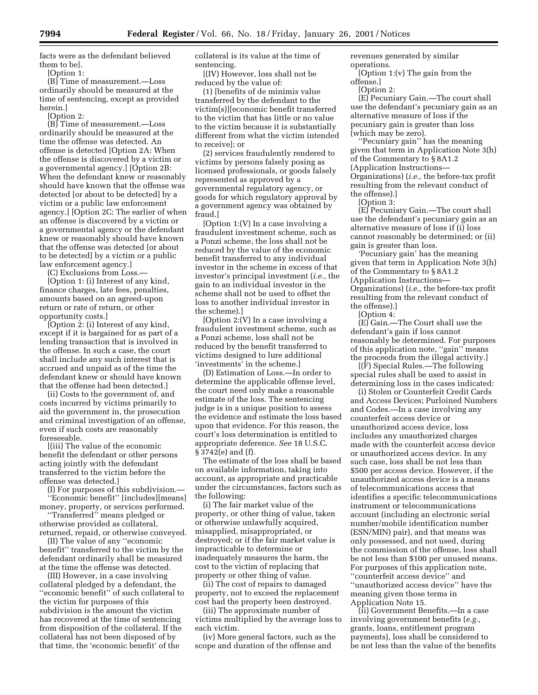facts were as the defendant believed them to be].

[Option 1:

(B) Time of measurement.—Loss ordinarily should be measured at the time of sentencing, except as provided herein.]

[Option 2:

(B) Time of measurement.—Loss ordinarily should be measured at the time the offense was detected. An offense is detected [Option 2A: When the offense is discovered by a victim or a governmental agency.] [Option 2B: When the defendant knew or reasonably should have known that the offense was detected [or about to be detected] by a victim or a public law enforcement agency.] [Option 2C: The earlier of when an offense is discovered by a victim or a governmental agency or the defendant knew or reasonably should have known that the offense was detected [or about to be detected] by a victim or a public law enforcement agency.]

(C) Exclusions from Loss.—

[Option 1: (i) Interest of any kind, finance charges, late fees, penalties, amounts based on an agreed-upon return or rate of return, or other opportunity costs.]

[Option 2: (i) Interest of any kind, except if it is bargained for as part of a lending transaction that is involved in the offense. In such a case, the court shall include any such interest that is accrued and unpaid as of the time the defendant knew or should have known that the offense had been detected.]

(ii) Costs to the government of, and costs incurred by victims primarily to aid the government in, the prosecution and criminal investigation of an offense, even if such costs are reasonably foreseeable.

[(iii) The value of the economic benefit the defendant or other persons acting jointly with the defendant transferred to the victim before the offense was detected.]

(I) For purposes of this subdivision.— ''Economic benefit'' [includes][means] money, property, or services performed.

''Transferred'' means pledged or otherwise provided as collateral, returned, repaid, or otherwise conveyed.

(II) The value of any ''economic benefit'' transferred to the victim by the defendant ordinarily shall be measured at the time the offense was detected.

(III) However, in a case involving collateral pledged by a defendant, the ''economic benefit'' of such collateral to the victim for purposes of this subdivision is the amount the victim has recovered at the time of sentencing from disposition of the collateral. If the collateral has not been disposed of by that time, the 'economic benefit' of the

collateral is its value at the time of sentencing.

[(IV) However, loss shall not be reduced by the value of:

(1) [benefits of de minimis value transferred by the defendant to the victim(s)][economic benefit transferred to the victim that has little or no value to the victim because it is substantially different from what the victim intended to receive]; or

(2) services fraudulently rendered to victims by persons falsely posing as licensed professionals, or goods falsely represented as approved by a governmental regulatory agency, or goods for which regulatory approval by a government agency was obtained by fraud.]

[Option 1:(V) In a case involving a fraudulent investment scheme, such as a Ponzi scheme, the loss shall not be reduced by the value of the economic benefit transferred to any individual investor in the scheme in excess of that investor's principal investment (*i.e.,* the gain to an individual investor in the scheme shall not be used to offset the loss to another individual investor in the scheme).]

[Option 2:(V) In a case involving a fraudulent investment scheme, such as a Ponzi scheme, loss shall not be reduced by the benefit transferred to victims designed to lure additional 'investments' in the scheme.]

(D) Estimation of Loss.—In order to determine the applicable offense level, the court need only make a reasonable estimate of the loss. The sentencing judge is in a unique position to assess the evidence and estimate the loss based upon that evidence. For this reason, the court's loss determination is entitled to appropriate deference. *See* 18 U.S.C. § 3742(e) and (f).

The estimate of the loss shall be based on available information, taking into account, as appropriate and practicable under the circumstances, factors such as the following:

(i) The fair market value of the property, or other thing of value, taken or otherwise unlawfully acquired, misapplied, misappropriated, or destroyed; or if the fair market value is impracticable to determine or inadequately measures the harm, the cost to the victim of replacing that property or other thing of value.

(ii) The cost of repairs to damaged property, not to exceed the replacement cost had the property been destroyed.

(iii) The approximate number of victims multiplied by the average loss to each victim.

(iv) More general factors, such as the scope and duration of the offense and

revenues generated by similar operations.

[Option 1:(v) The gain from the offense.]

[Option 2:

(E) Pecuniary Gain.—The court shall use the defendant's pecuniary gain as an alternative measure of loss if the pecuniary gain is greater than loss (which may be zero).

''Pecuniary gain'' has the meaning given that term in Application Note 3(h) of the Commentary to § 8A1.2 (Application Instructions— Organizations) (*i.e.,* the before-tax profit resulting from the relevant conduct of the offense).]

[Option 3:

(E) Pecuniary Gain.—The court shall use the defendant's pecuniary gain as an alternative measure of loss if (i) loss cannot reasonably be determined; or (ii) gain is greater than loss.

'Pecuniary gain' has the meaning given that term in Application Note 3(h) of the Commentary to § 8A1.2 (Application Instructions— Organizations) (*i.e.,* the before-tax profit resulting from the relevant conduct of the offense).]

[Option 4:

(E) Gain.—The Court shall use the defendant's gain if loss cannot reasonably be determined. For purposes of this application note, ''gain'' means the proceeds from the illegal activity.]

[(F) Special Rules.—The following special rules shall be used to assist in determining loss in the cases indicated:

(i) Stolen or Counterfeit Credit Cards and Access Devices; Purloined Numbers and Codes.—In a case involving any counterfeit access device or unauthorized access device, loss includes any unauthorized charges made with the counterfeit access device or unauthorized access device. In any such case, loss shall be not less than \$500 per access device. However, if the unauthorized access device is a means of telecommunications access that identifies a specific telecommunications instrument or telecommunications account (including an electronic serial number/mobile identification number (ESN/MIN) pair), and that means was only possessed, and not used, during the commission of the offense, loss shall be not less than \$100 per unused means. For purposes of this application note, ''counterfeit access device'' and ''unauthorized access device'' have the meaning given those terms in Application Note 15.

(ii) Government Benefits.—In a case involving government benefits (*e.g.,* grants, loans, entitlement program payments), loss shall be considered to be not less than the value of the benefits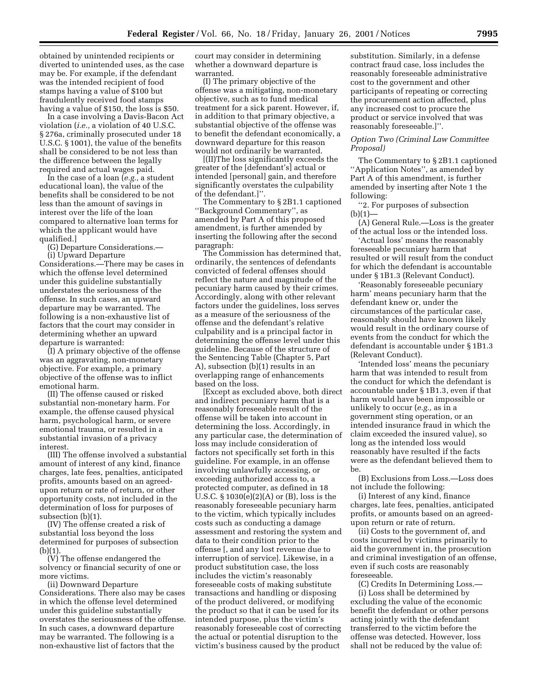obtained by unintended recipients or diverted to unintended uses, as the case may be. For example, if the defendant was the intended recipient of food stamps having a value of \$100 but fraudulently received food stamps having a value of \$150, the loss is \$50.

In a case involving a Davis-Bacon Act violation (*i.e.,* a violation of 40 U.S.C. § 276a, criminally prosecuted under 18 U.S.C. § 1001), the value of the benefits shall be considered to be not less than the difference between the legally required and actual wages paid.

In the case of a loan (*e.g.,* a student educational loan), the value of the benefits shall be considered to be not less than the amount of savings in interest over the life of the loan compared to alternative loan terms for which the applicant would have qualified.]

(G) Departure Considerations.— (i) Upward Departure

Considerations.—There may be cases in which the offense level determined under this guideline substantially understates the seriousness of the offense. In such cases, an upward departure may be warranted. The following is a non-exhaustive list of factors that the court may consider in determining whether an upward departure is warranted:

(I) A primary objective of the offense was an aggravating, non-monetary objective. For example, a primary objective of the offense was to inflict emotional harm.

(II) The offense caused or risked substantial non-monetary harm. For example, the offense caused physical harm, psychological harm, or severe emotional trauma, or resulted in a substantial invasion of a privacy interest.

(III) The offense involved a substantial amount of interest of any kind, finance charges, late fees, penalties, anticipated profits, amounts based on an agreedupon return or rate of return, or other opportunity costs, not included in the determination of loss for purposes of subsection (b)(1).

(IV) The offense created a risk of substantial loss beyond the loss determined for purposes of subsection (b)(1).

(V) The offense endangered the solvency or financial security of one or more victims.

(ii) Downward Departure Considerations. There also may be cases in which the offense level determined under this guideline substantially overstates the seriousness of the offense. In such cases, a downward departure may be warranted. The following is a non-exhaustive list of factors that the

court may consider in determining whether a downward departure is warranted.

(I) The primary objective of the offense was a mitigating, non-monetary objective, such as to fund medical treatment for a sick parent. However, if, in addition to that primary objective, a substantial objective of the offense was to benefit the defendant economically, a downward departure for this reason would not ordinarily be warranted.

[(II)The loss significantly exceeds the greater of the [defendant's] actual or intended [personal] gain, and therefore significantly overstates the culpability of the defendant.]''.

The Commentary to § 2B1.1 captioned ''Background Commentary'', as amended by Part A of this proposed amendment, is further amended by inserting the following after the second paragraph:

The Commission has determined that, ordinarily, the sentences of defendants convicted of federal offenses should reflect the nature and magnitude of the pecuniary harm caused by their crimes. Accordingly, along with other relevant factors under the guidelines, loss serves as a measure of the seriousness of the offense and the defendant's relative culpability and is a principal factor in determining the offense level under this guideline. Because of the structure of the Sentencing Table (Chapter 5, Part A), subsection (b)(1) results in an overlapping range of enhancements based on the loss.

[Except as excluded above, both direct and indirect pecuniary harm that is a reasonably foreseeable result of the offense will be taken into account in determining the loss. Accordingly, in any particular case, the determination of loss may include consideration of factors not specifically set forth in this guideline. For example, in an offense involving unlawfully accessing, or exceeding authorized access to, a protected computer, as defined in 18 U.S.C. § 1030(e)(2)(A) or (B), loss is the reasonably foreseeable pecuniary harm to the victim, which typically includes costs such as conducting a damage assessment and restoring the system and data to their condition prior to the offense [, and any lost revenue due to interruption of service]. Likewise, in a product substitution case, the loss includes the victim's reasonably foreseeable costs of making substitute transactions and handling or disposing of the product delivered, or modifying the product so that it can be used for its intended purpose, plus the victim's reasonably foreseeable cost of correcting the actual or potential disruption to the victim's business caused by the product

substitution. Similarly, in a defense contract fraud case, loss includes the reasonably foreseeable administrative cost to the government and other participants of repeating or correcting the procurement action affected, plus any increased cost to procure the product or service involved that was reasonably foreseeable.]''.

#### *Option Two (Criminal Law Committee Proposal)*

The Commentary to § 2B1.1 captioned ''Application Notes'', as amended by Part A of this amendment, is further amended by inserting after Note 1 the following:

''2. For purposes of subsection  $(b)(1)$ —

(A) General Rule.—Loss is the greater of the actual loss or the intended loss.

'Actual loss' means the reasonably foreseeable pecuniary harm that resulted or will result from the conduct for which the defendant is accountable under § 1B1.3 (Relevant Conduct).

'Reasonably foreseeable pecuniary harm' means pecuniary harm that the defendant knew or, under the circumstances of the particular case, reasonably should have known likely would result in the ordinary course of events from the conduct for which the defendant is accountable under § 1B1.3 (Relevant Conduct).

'Intended loss' means the pecuniary harm that was intended to result from the conduct for which the defendant is accountable under § 1B1.3, even if that harm would have been impossible or unlikely to occur (*e.g.,* as in a government sting operation, or an intended insurance fraud in which the claim exceeded the insured value), so long as the intended loss would reasonably have resulted if the facts were as the defendant believed them to be.

(B) Exclusions from Loss.—Loss does not include the following:

(i) Interest of any kind, finance charges, late fees, penalties, anticipated profits, or amounts based on an agreedupon return or rate of return.

(ii) Costs to the government of, and costs incurred by victims primarily to aid the government in, the prosecution and criminal investigation of an offense, even if such costs are reasonably foreseeable.

(C) Credits In Determining Loss.— (i) Loss shall be determined by excluding the value of the economic benefit the defendant or other persons acting jointly with the defendant transferred to the victim before the offense was detected. However, loss shall not be reduced by the value of: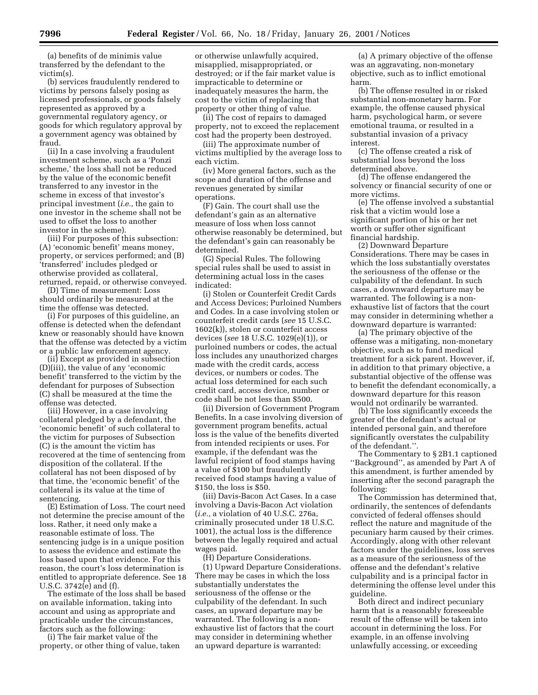(a) benefits of de minimis value transferred by the defendant to the victim(s).

(b) services fraudulently rendered to victims by persons falsely posing as licensed professionals, or goods falsely represented as approved by a governmental regulatory agency, or goods for which regulatory approval by a government agency was obtained by fraud.

(ii) In a case involving a fraudulent investment scheme, such as a 'Ponzi scheme,' the loss shall not be reduced by the value of the economic benefit transferred to any investor in the scheme in excess of that investor's principal investment (*i.e.,* the gain to one investor in the scheme shall not be used to offset the loss to another investor in the scheme).

(iii) For purposes of this subsection: (A) 'economic benefit' means money, property, or services performed; and (B) 'transferred' includes pledged or otherwise provided as collateral, returned, repaid, or otherwise conveyed.

(D) Time of measurement: Loss should ordinarily be measured at the time the offense was detected.

(i) For purposes of this guideline, an offense is detected when the defendant knew or reasonably should have known that the offense was detected by a victim or a public law enforcement agency.

(ii) Except as provided in subsection (D)(iii), the value of any 'economic benefit' transferred to the victim by the defendant for purposes of Subsection (C) shall be measured at the time the offense was detected.

(iii) However, in a case involving collateral pledged by a defendant, the 'economic benefit' of such collateral to the victim for purposes of Subsection (C) is the amount the victim has recovered at the time of sentencing from disposition of the collateral. If the collateral has not been disposed of by that time, the 'economic benefit' of the collateral is its value at the time of sentencing.

(E) Estimation of Loss. The court need not determine the precise amount of the loss. Rather, it need only make a reasonable estimate of loss. The sentencing judge is in a unique position to assess the evidence and estimate the loss based upon that evidence. For this reason, the court's loss determination is entitled to appropriate deference. See 18 U.S.C. 3742(e) and (f).

The estimate of the loss shall be based on available information, taking into account and using as appropriate and practicable under the circumstances, factors such as the following:

(i) The fair market value of the property, or other thing of value, taken

or otherwise unlawfully acquired, misapplied, misappropriated, or destroyed; or if the fair market value is impracticable to determine or inadequately measures the harm, the cost to the victim of replacing that property or other thing of value.

(ii) The cost of repairs to damaged property, not to exceed the replacement cost had the property been destroyed.

(iii) The approximate number of victims multiplied by the average loss to each victim.

(iv) More general factors, such as the scope and duration of the offense and revenues generated by similar operations.

(F) Gain. The court shall use the defendant's gain as an alternative measure of loss when loss cannot otherwise reasonably be determined, but the defendant's gain can reasonably be determined.

(G) Special Rules. The following special rules shall be used to assist in determining actual loss in the cases indicated:

(i) Stolen or Counterfeit Credit Cards and Access Devices; Purloined Numbers and Codes. In a case involving stolen or counterfeit credit cards (*see* 15 U.S.C. 1602(k)), stolen or counterfeit access devices (*see* 18 U.S.C. 1029(e)(1)), or purloined numbers or codes, the actual loss includes any unauthorized charges made with the credit cards, access devices, or numbers or codes. The actual loss determined for each such credit card, access device, number or code shall be not less than \$500.

(ii) Diversion of Government Program Benefits. In a case involving diversion of government program benefits, actual loss is the value of the benefits diverted from intended recipients or uses. For example, if the defendant was the lawful recipient of food stamps having a value of \$100 but fraudulently received food stamps having a value of \$150, the loss is \$50.

(iii) Davis-Bacon Act Cases. In a case involving a Davis-Bacon Act violation (*i.e.,* a violation of 40 U.S.C. 276a, criminally prosecuted under 18 U.S.C. 1001), the actual loss is the difference between the legally required and actual wages paid.

(H) Departure Considerations.

(1) Upward Departure Considerations. There may be cases in which the loss substantially understates the seriousness of the offense or the culpability of the defendant. In such cases, an upward departure may be warranted. The following is a nonexhaustive list of factors that the court may consider in determining whether an upward departure is warranted:

(a) A primary objective of the offense was an aggravating, non-monetary objective, such as to inflict emotional harm.

(b) The offense resulted in or risked substantial non-monetary harm. For example, the offense caused physical harm, psychological harm, or severe emotional trauma, or resulted in a substantial invasion of a privacy interest.

(c) The offense created a risk of substantial loss beyond the loss determined above.

(d) The offense endangered the solvency or financial security of one or more victims.

(e) The offense involved a substantial risk that a victim would lose a significant portion of his or her net worth or suffer other significant financial hardship.

(2) Downward Departure Considerations. There may be cases in which the loss substantially overstates the seriousness of the offense or the culpability of the defendant. In such cases, a downward departure may be warranted. The following is a nonexhaustive list of factors that the court may consider in determining whether a downward departure is warranted:

(a) The primary objective of the offense was a mitigating, non-monetary objective, such as to fund medical treatment for a sick parent. However, if, in addition to that primary objective, a substantial objective of the offense was to benefit the defendant economically, a downward departure for this reason would not ordinarily be warranted.

(b) The loss significantly exceeds the greater of the defendant's actual or intended personal gain, and therefore significantly overstates the culpability of the defendant.''.

The Commentary to § 2B1.1 captioned ''Background'', as amended by Part A of this amendment, is further amended by inserting after the second paragraph the following:

The Commission has determined that, ordinarily, the sentences of defendants convicted of federal offenses should reflect the nature and magnitude of the pecuniary harm caused by their crimes. Accordingly, along with other relevant factors under the guidelines, loss serves as a measure of the seriousness of the offense and the defendant's relative culpability and is a principal factor in determining the offense level under this guideline.

Both direct and indirect pecuniary harm that is a reasonably foreseeable result of the offense will be taken into account in determining the loss. For example, in an offense involving unlawfully accessing, or exceeding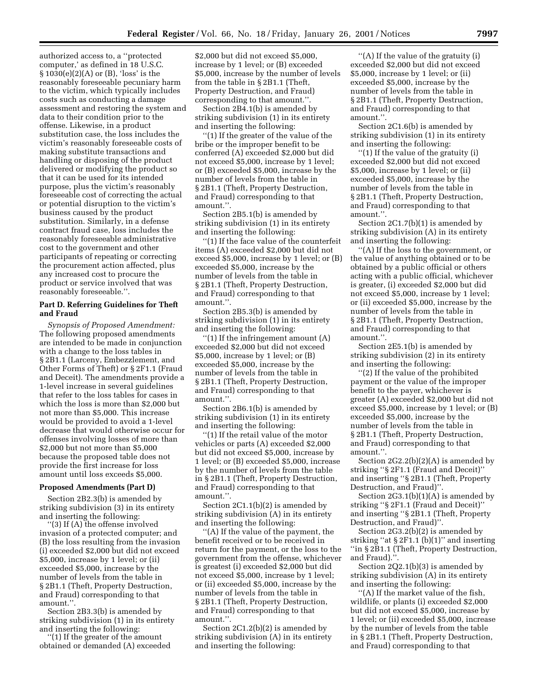authorized access to, a ''protected computer,' as defined in 18 U.S.C. § 1030(e)(2)(A) or (B), 'loss' is the reasonably foreseeable pecuniary harm to the victim, which typically includes costs such as conducting a damage assessment and restoring the system and data to their condition prior to the offense. Likewise, in a product substitution case, the loss includes the victim's reasonably foreseeable costs of making substitute transactions and handling or disposing of the product delivered or modifying the product so that it can be used for its intended purpose, plus the victim's reasonably foreseeable cost of correcting the actual or potential disruption to the victim's business caused by the product substitution. Similarly, in a defense contract fraud case, loss includes the reasonably foreseeable administrative cost to the government and other participants of repeating or correcting the procurement action affected, plus any increased cost to procure the product or service involved that was reasonably foreseeable.''.

#### **Part D. Referring Guidelines for Theft and Fraud**

*Synopsis of Proposed Amendment:* The following proposed amendments are intended to be made in conjunction with a change to the loss tables in § 2B1.1 (Larceny, Embezzlement, and Other Forms of Theft) or § 2F1.1 (Fraud and Deceit). The amendments provide a 1-level increase in several guidelines that refer to the loss tables for cases in which the loss is more than \$2,000 but not more than \$5,000. This increase would be provided to avoid a 1-level decrease that would otherwise occur for offenses involving losses of more than \$2,000 but not more than \$5,000 because the proposed table does not provide the first increase for loss amount until loss exceeds \$5,000.

#### **Proposed Amendments (Part D)**

Section 2B2.3(b) is amended by striking subdivision (3) in its entirety and inserting the following:

''(3) If (A) the offense involved invasion of a protected computer; and (B) the loss resulting from the invasion (i) exceeded \$2,000 but did not exceed \$5,000, increase by 1 level; or (ii) exceeded \$5,000, increase by the number of levels from the table in § 2B1.1 (Theft, Property Destruction, and Fraud) corresponding to that amount.''.

Section 2B3.3(b) is amended by striking subdivision (1) in its entirety and inserting the following:

''(1) If the greater of the amount obtained or demanded (A) exceeded

\$2,000 but did not exceed \$5,000, increase by 1 level; or (B) exceeded \$5,000, increase by the number of levels from the table in § 2B1.1 (Theft, Property Destruction, and Fraud) corresponding to that amount.''.

Section 2B4.1(b) is amended by striking subdivision (1) in its entirety and inserting the following:

''(1) If the greater of the value of the bribe or the improper benefit to be conferred (A) exceeded \$2,000 but did not exceed \$5,000, increase by 1 level; or (B) exceeded \$5,000, increase by the number of levels from the table in § 2B1.1 (Theft, Property Destruction, and Fraud) corresponding to that amount.''.

Section 2B5.1(b) is amended by striking subdivision (1) in its entirety and inserting the following:

''(1) If the face value of the counterfeit items (A) exceeded \$2,000 but did not exceed \$5,000, increase by 1 level; or (B) exceeded \$5,000, increase by the number of levels from the table in § 2B1.1 (Theft, Property Destruction, and Fraud) corresponding to that amount.''.

Section 2B5.3(b) is amended by striking subdivision (1) in its entirety and inserting the following:

 $'(1)$  If the infringement amount  $(A)$ exceeded \$2,000 but did not exceed \$5,000, increase by 1 level; or (B) exceeded \$5,000, increase by the number of levels from the table in § 2B1.1 (Theft, Property Destruction, and Fraud) corresponding to that amount.''.

Section 2B6.1(b) is amended by striking subdivision (1) in its entirety and inserting the following:

''(1) If the retail value of the motor vehicles or parts (A) exceeded \$2,000 but did not exceed \$5,000, increase by 1 level; or (B) exceeded \$5,000, increase by the number of levels from the table in § 2B1.1 (Theft, Property Destruction, and Fraud) corresponding to that amount.''.

Section 2C1.1(b)(2) is amended by striking subdivision (A) in its entirety and inserting the following:

''(A) If the value of the payment, the benefit received or to be received in return for the payment, or the loss to the government from the offense, whichever is greatest (i) exceeded \$2,000 but did not exceed \$5,000, increase by 1 level; or (ii) exceeded \$5,000, increase by the number of levels from the table in § 2B1.1 (Theft, Property Destruction, and Fraud) corresponding to that amount.''.

Section 2C1.2(b)(2) is amended by striking subdivision (A) in its entirety and inserting the following:

''(A) If the value of the gratuity (i) exceeded \$2,000 but did not exceed \$5,000, increase by 1 level; or (ii) exceeded \$5,000, increase by the number of levels from the table in § 2B1.1 (Theft, Property Destruction, and Fraud) corresponding to that amount.''.

Section 2C1.6(b) is amended by striking subdivision (1) in its entirety and inserting the following:

''(1) If the value of the gratuity (i) exceeded \$2,000 but did not exceed \$5,000, increase by 1 level; or (ii) exceeded \$5,000, increase by the number of levels from the table in § 2B1.1 (Theft, Property Destruction, and Fraud) corresponding to that amount.''.

Section 2C1.7(b)(1) is amended by striking subdivision (A) in its entirety and inserting the following:

''(A) If the loss to the government, or the value of anything obtained or to be obtained by a public official or others acting with a public official, whichever is greater, (i) exceeded \$2,000 but did not exceed \$5,000, increase by 1 level; or (ii) exceeded \$5,000, increase by the number of levels from the table in § 2B1.1 (Theft, Property Destruction, and Fraud) corresponding to that amount.''.

Section 2E5.1(b) is amended by striking subdivision (2) in its entirety and inserting the following:

''(2) If the value of the prohibited payment or the value of the improper benefit to the payer, whichever is greater (A) exceeded \$2,000 but did not exceed \$5,000, increase by 1 level; or (B) exceeded \$5,000, increase by the number of levels from the table in § 2B1.1 (Theft, Property Destruction, and Fraud) corresponding to that amount.''.

Section 2G2.2(b)(2)(A) is amended by striking ''§ 2F1.1 (Fraud and Deceit)'' and inserting ''§ 2B1.1 (Theft, Property Destruction, and Fraud)''.

Section 2G3.1(b)(1)(A) is amended by striking ''§ 2F1.1 (Fraud and Deceit)'' and inserting ''§ 2B1.1 (Theft, Property Destruction, and Fraud)''.

Section 2G3.2(b)(2) is amended by striking ''at § 2F1.1 (b)(1)'' and inserting ''in § 2B1.1 (Theft, Property Destruction, and Fraud)."

Section 2Q2.1(b)(3) is amended by striking subdivision (A) in its entirety and inserting the following:

''(A) If the market value of the fish, wildlife, or plants (i) exceeded \$2,000 but did not exceed \$5,000, increase by 1 level; or (ii) exceeded \$5,000, increase by the number of levels from the table in § 2B1.1 (Theft, Property Destruction, and Fraud) corresponding to that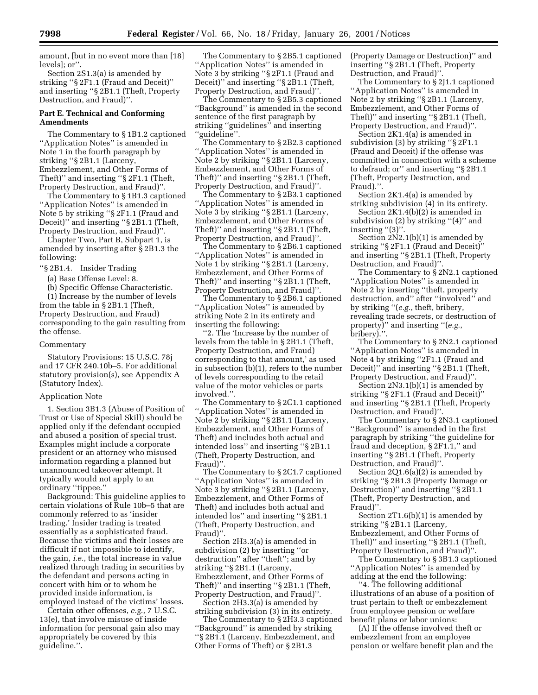amount, [but in no event more than [18] levels]; or''.

Section 2S1.3(a) is amended by striking ''§ 2F1.1 (Fraud and Deceit)'' and inserting ''§ 2B1.1 (Theft, Property Destruction, and Fraud)''.

#### **Part E. Technical and Conforming Amendments**

The Commentary to § 1B1.2 captioned ''Application Notes'' is amended in Note 1 in the fourth paragraph by striking ''§ 2B1.1 (Larceny, Embezzlement, and Other Forms of Theft)'' and inserting ''§ 2F1.1 (Theft, Property Destruction, and Fraud)''.

The Commentary to § 1B1.3 captioned ''Application Notes'' is amended in Note 5 by striking ''§ 2F1.1 (Fraud and Deceit)'' and inserting ''§ 2B1.1 (Theft, Property Destruction, and Fraud)''.

Chapter Two, Part B, Subpart 1, is amended by inserting after § 2B1.3 the following:

''§ 2B1.4. Insider Trading

(a) Base Offense Level: 8.

(b) Specific Offense Characteristic. (1) Increase by the number of levels from the table in § 2B1.1 (Theft, Property Destruction, and Fraud) corresponding to the gain resulting from the offense.

#### Commentary

Statutory Provisions: 15 U.S.C. 78j and 17 CFR 240.10b–5. For additional statutory provision(s), see Appendix A (Statutory Index).

#### Application Note

1. Section 3B1.3 (Abuse of Position of Trust or Use of Special Skill) should be applied only if the defendant occupied and abused a position of special trust. Examples might include a corporate president or an attorney who misused information regarding a planned but unannounced takeover attempt. It typically would not apply to an ordinary ''tippee.''

Background: This guideline applies to certain violations of Rule 10b–5 that are commonly referred to as 'insider trading.' Insider trading is treated essentially as a sophisticated fraud. Because the victims and their losses are difficult if not impossible to identify, the gain, *i.e.*, the total increase in value realized through trading in securities by the defendant and persons acting in concert with him or to whom he provided inside information, is employed instead of the victims' losses.

Certain other offenses, *e.g.*, 7 U.S.C. 13(e), that involve misuse of inside information for personal gain also may appropriately be covered by this guideline.''.

The Commentary to § 2B5.1 captioned ''Application Notes'' is amended in Note 3 by striking ''§ 2F1.1 (Fraud and Deceit)'' and inserting ''§ 2B1.1 (Theft, Property Destruction, and Fraud)''.

The Commentary to § 2B5.3 captioned ''Background'' is amended in the second sentence of the first paragraph by striking ''guidelines'' and inserting ''guideline''.

The Commentary to § 2B2.3 captioned ''Application Notes'' is amended in Note 2 by striking ''§ 2B1.1 (Larceny, Embezzlement, and Other Forms of Theft)'' and inserting ''§ 2B1.1 (Theft, Property Destruction, and Fraud)''.

The Commentary to § 2B3.1 captioned ''Application Notes'' is amended in Note 3 by striking ''§ 2B1.1 (Larceny, Embezzlement, and Other Forms of Theft)'' and inserting ''§ 2B1.1 (Theft, Property Destruction, and Fraud)''.

The Commentary to § 2B6.1 captioned ''Application Notes'' is amended in Note 1 by striking ''§ 2B1.1 (Larceny, Embezzlement, and Other Forms of Theft)'' and inserting ''§ 2B1.1 (Theft, Property Destruction, and Fraud)''.

The Commentary to § 2B6.1 captioned ''Application Notes'' is amended by striking Note 2 in its entirety and inserting the following:

'2. The 'Increase by the number of levels from the table in § 2B1.1 (Theft, Property Destruction, and Fraud) corresponding to that amount,' as used in subsection (b)(1), refers to the number of levels corresponding to the retail value of the motor vehicles or parts involved.''.

The Commentary to § 2C1.1 captioned ''Application Notes'' is amended in Note 2 by striking ''§ 2B1.1 (Larceny, Embezzlement, and Other Forms of Theft) and includes both actual and intended loss'' and inserting ''§ 2B1.1 (Theft, Property Destruction, and Fraud)''.

The Commentary to § 2C1.7 captioned ''Application Notes'' is amended in Note 3 by striking ''§ 2B1.1 (Larceny, Embezzlement, and Other Forms of Theft) and includes both actual and intended los'' and inserting ''§ 2B1.1 (Theft, Property Destruction, and Fraud)''.

Section 2H3.3(a) is amended in subdivision (2) by inserting ''or destruction'' after ''theft''; and by striking ''§ 2B1.1 (Larceny, Embezzlement, and Other Forms of Theft)'' and inserting ''§ 2B1.1 (Theft, Property Destruction, and Fraud)''.

Section 2H3.3(a) is amended by striking subdivision (3) in its entirety.

The Commentary to § 2H3.3 captioned ''Background'' is amended by striking ''§ 2B1.1 (Larceny, Embezzlement, and Other Forms of Theft) or § 2B1.3

(Property Damage or Destruction)'' and inserting ''§ 2B1.1 (Theft, Property Destruction, and Fraud)''.

The Commentary to § 2J1.1 captioned ''Application Notes'' is amended in Note 2 by striking ''§ 2B1.1 (Larceny, Embezzlement, and Other Forms of Theft)'' and inserting ''§ 2B1.1 (Theft, Property Destruction, and Fraud)''.

Section 2K1.4(a) is amended in subdivision (3) by striking ''§ 2F1.1 (Fraud and Deceit) if the offense was committed in connection with a scheme to defraud; or'' and inserting ''§ 2B1.1 (Theft, Property Destruction, and Fraud).''.

Section 2K1.4(a) is amended by striking subdivision (4) in its entirety.

Section 2K1.4(b)(2) is amended in subdivision (2) by striking "(4)" and

inserting  $''(3)$ ".

Section 2N2.1(b)(1) is amended by striking ''§ 2F1.1 (Fraud and Deceit)'' and inserting ''§ 2B1.1 (Theft, Property Destruction, and Fraud)''.

The Commentary to § 2N2.1 captioned ''Application Notes'' is amended in Note 2 by inserting ''theft, property destruction, and'' after ''involved'' and by striking ''(*e.g.*, theft, bribery, revealing trade secrets, or destruction of property)'' and inserting ''(*e.g.*, bribery).''.

The Commentary to § 2N2.1 captioned ''Application Notes'' is amended in Note 4 by striking ''2F1.1 (Fraud and Deceit)'' and inserting ''§ 2B1.1 (Theft, Property Destruction, and Fraud)''.

Section 2N3.1(b)(1) is amended by striking ''§ 2F1.1 (Fraud and Deceit)'' and inserting ''§ 2B1.1 (Theft, Property Destruction, and Fraud)''.

The Commentary to § 2N3.1 captioned ''Background'' is amended in the first paragraph by striking ''the guideline for fraud and deception, § 2F1.1,'' and inserting ''§ 2B1.1 (Theft, Property Destruction, and Fraud)''.

Section 2Q1.6(a)(2) is amended by striking ''§ 2B1.3 (Property Damage or Destruction)'' and inserting ''§ 2B1.1 (Theft, Property Destruction, and Fraud)''.

Section 2T1.6(b)(1) is amended by striking ''§ 2B1.1 (Larceny, Embezzlement, and Other Forms of Theft)'' and inserting ''§ 2B1.1 (Theft, Property Destruction, and Fraud)''.

The Commentary to § 3B1.3 captioned ''Application Notes'' is amended by adding at the end the following:

''4. The following additional illustrations of an abuse of a position of trust pertain to theft or embezzlement from employee pension or welfare benefit plans or labor unions:

(A) If the offense involved theft or embezzlement from an employee pension or welfare benefit plan and the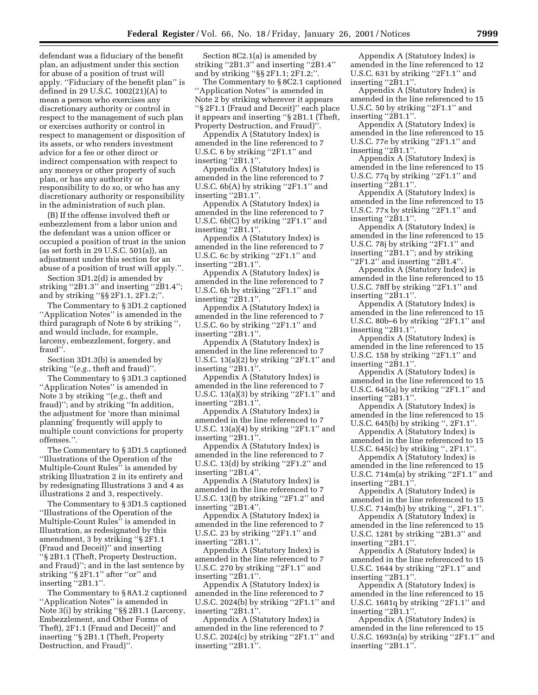defendant was a fiduciary of the benefit plan, an adjustment under this section for abuse of a position of trust will apply. ''Fiduciary of the benefit plan'' is defined in 29 U.S.C. 1002(21)(A) to mean a person who exercises any discretionary authority or control in respect to the management of such plan or exercises authority or control in respect to management or disposition of its assets, or who renders investment advice for a fee or other direct or indirect compensation with respect to any moneys or other property of such plan, or has any authority or responsibility to do so, or who has any discretionary authority or responsibility in the administration of such plan.

(B) If the offense involved theft or embezzlement from a labor union and the defendant was a union officer or occupied a position of trust in the union (as set forth in 29 U.S.C. 501(a)), an adjustment under this section for an abuse of a position of trust will apply.''.

Section 3D1.2(d) is amended by striking ''2B1.3'' and inserting ''2B1.4''; and by striking ''§§ 2F1.1, 2F1.2;''.

The Commentary to § 3D1.2 captioned ''Application Notes'' is amended in the third paragraph of Note 6 by striking '', and would include, for example, larceny, embezzlement, forgery, and fraud''.

Section 3D1.3(b) is amended by striking ''(*e.g.*, theft and fraud)''.

The Commentary to § 3D1.3 captioned ''Application Notes'' is amended in Note 3 by striking ''(*e.g.*, theft and fraud)''; and by striking ''In addition, the adjustment for 'more than minimal planning' frequently will apply to multiple count convictions for property offenses.''.

The Commentary to § 3D1.5 captioned ''Illustrations of the Operation of the Multiple-Count Rules'' is amended by striking Illustration 2 in its entirety and by redesignating Illustrations 3 and 4 as illustrations 2 and 3, respectively.

The Commentary to § 3D1.5 captioned ''Illustrations of the Operation of the Multiple-Count Rules" is amended in Illustration, as redesignated by this amendment, 3 by striking ''§ 2F1.1 (Fraud and Deceit)'' and inserting ''§ 2B1.1 (Theft, Property Destruction, and Fraud)''; and in the last sentence by striking ''§ 2F1.1'' after ''or'' and inserting ''2B1.1''.

The Commentary to § 8A1.2 captioned ''Application Notes'' is amended in Note 3(i) by striking ''§§ 2B1.1 (Larceny, Embezzlement, and Other Forms of Theft), 2F1.1 (Fraud and Deceit)'' and inserting ''§ 2B1.1 (Theft, Property Destruction, and Fraud)''.

Section 8C2.1(a) is amended by striking ''2B1.3'' and inserting ''2B1.4'' and by striking ''§§ 2F1.1; 2F1.2;''.

The Commentary to § 8C2.1 captioned ''Application Notes'' is amended in Note 2 by striking wherever it appears ''§ 2F1.1 (Fraud and Deceit)'' each place it appears and inserting ''§ 2B1.1 (Theft, Property Destruction, and Fraud)''.

Appendix A (Statutory Index) is amended in the line referenced to 7 U.S.C. 6 by striking ''2F1.1'' and inserting ''2B1.1''.

Appendix A (Statutory Index) is amended in the line referenced to 7 U.S.C. 6b(A) by striking ''2F1.1'' and inserting ''2B1.1''.

Appendix A (Statutory Index) is amended in the line referenced to 7 U.S.C. 6b(C) by striking ''2F1.1'' and inserting "2B1.1".

Appendix A (Statutory Index) is amended in the line referenced to 7 U.S.C. 6c by striking ''2F1.1'' and inserting ''2B1.1''.

Appendix A (Statutory Index) is amended in the line referenced to 7 U.S.C. 6h by striking ''2F1.1'' and inserting ''2B1.1''.

Appendix A (Statutory Index) is amended in the line referenced to 7 U.S.C. 6o by striking ''2F1.1'' and inserting ''2B1.1''.

Appendix A (Statutory Index) is amended in the line referenced to 7 U.S.C. 13(a)(2) by striking ''2F1.1'' and inserting "2B1.1"

Appendix A (Statutory Index) is amended in the line referenced to 7 U.S.C.  $13(a)(3)$  by striking "2F1.1" and inserting "2B1.1"

Appendix A (Statutory Index) is amended in the line referenced to 7 U.S.C. 13(a)(4) by striking ''2F1.1'' and inserting "2B1.1"

Appendix A (Statutory Index) is amended in the line referenced to 7 U.S.C. 13(d) by striking "2F1.2" and inserting ''2B1.4''.

Appendix A (Statutory Index) is amended in the line referenced to 7 U.S.C. 13(f) by striking ''2F1.2'' and inserting ''2B1.4''.

Appendix A (Statutory Index) is amended in the line referenced to 7 U.S.C. 23 by striking ''2F1.1'' and inserting "2B1.1"

Appendix A (Statutory Index) is amended in the line referenced to 7 U.S.C. 270 by striking ''2F1.1'' and inserting "2B1.1"

Appendix A (Statutory Index) is amended in the line referenced to 7 U.S.C. 2024(b) by striking ''2F1.1'' and inserting "2B1.1"

Appendix A (Statutory Index) is amended in the line referenced to 7 U.S.C. 2024(c) by striking ''2F1.1'' and inserting "2B1.1".

Appendix A (Statutory Index) is amended in the line referenced to 12 U.S.C. 631 by striking ''2F1.1'' and inserting " $2\overline{B}1.1$ ".

Appendix A (Statutory Index) is amended in the line referenced to 15 U.S.C. 50 by striking "2F1.1" and inserting ''2B1.1''.

Appendix A (Statutory Index) is amended in the line referenced to 15 U.S.C. 77e by striking ''2F1.1'' and inserting "2B1.1".

Appendix A (Statutory Index) is amended in the line referenced to 15 U.S.C. 77q by striking ''2F1.1'' and inserting "2B1.1"

Appendix A (Statutory Index) is amended in the line referenced to 15 U.S.C. 77x by striking ''2F1.1'' and inserting "2B1.1".

Appendix A (Statutory Index) is amended in the line referenced to 15 U.S.C. 78j by striking ''2F1.1'' and inserting ''2B1.1''; and by striking ''2F1.2'' and inserting ''2B1.4''.

Appendix A (Statutory Index) is amended in the line referenced to 15 U.S.C. 78ff by striking ''2F1.1'' and inserting ''2B1.1''.

Appendix A (Statutory Index) is amended in the line referenced to 15 U.S.C. 80b–6 by striking ''2F1.1'' and inserting ''2B1.1''.

Appendix A (Statutory Index) is amended in the line referenced to 15 U.S.C. 158 by striking ''2F1.1'' and inserting ''2B1.1''.

Appendix A (Statutory Index) is amended in the line referenced to 15 U.S.C. 645(a) by striking ''2F1.1'' and inserting "2B1.1"

Appendix A (Statutory Index) is amended in the line referenced to 15 U.S.C. 645(b) by striking '', 2F1.1''.

Appendix A (Statutory Index) is amended in the line referenced to 15

U.S.C. 645(c) by striking '', 2F1.1''. Appendix A (Statutory Index) is amended in the line referenced to 15 U.S.C. 714m(a) by striking ''2F1.1'' and inserting "2B1.1"

Appendix A (Statutory Index) is amended in the line referenced to 15 U.S.C. 714m(b) by striking '', 2F1.1''.

Appendix A (Statutory Index) is amended in the line referenced to 15 U.S.C. 1281 by striking ''2B1.3'' and inserting "2B1.1".

Appendix A (Statutory Index) is amended in the line referenced to 15 U.S.C. 1644 by striking "2F1.1" and inserting "2B1.1".

Appendix A (Statutory Index) is amended in the line referenced to 15 U.S.C. 1681q by striking ''2F1.1'' and inserting "2B1.1"

Appendix A (Statutory Index) is amended in the line referenced to 15 U.S.C. 1693n(a) by striking ''2F1.1'' and inserting "2B1.1".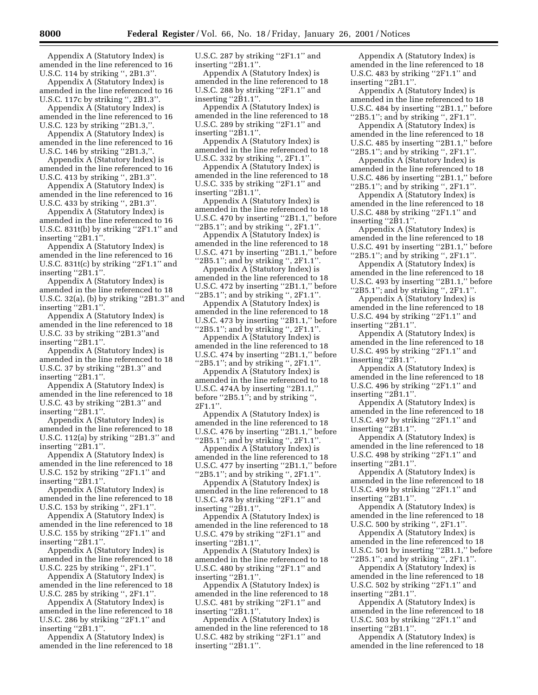Appendix A (Statutory Index) is amended in the line referenced to 16 U.S.C. 114 by striking '', 2B1.3''.

Appendix A (Statutory Index) is amended in the line referenced to 16 U.S.C. 117c by striking '', 2B1.3''.

Appendix A (Statutory Index) is amended in the line referenced to 16 U.S.C. 123 by striking ''2B1.3,''.

Appendix A (Statutory Index) is amended in the line referenced to 16 U.S.C. 146 by striking ''2B1.3,''.

Appendix A (Statutory Index) is amended in the line referenced to 16 U.S.C. 413 by striking '', 2B1.3''.

Appendix A (Statutory Index) is amended in the line referenced to 16 U.S.C. 433 by striking '', 2B1.3''.

Appendix A (Statutory Index) is amended in the line referenced to 16 U.S.C. 831t(b) by striking ''2F1.1'' and inserting ''2B1.1''.

Appendix A (Statutory Index) is amended in the line referenced to 16 U.S.C. 831t(c) by striking ''2F1.1'' and inserting "2B1.1"

Appendix A (Statutory Index) is amended in the line referenced to 18 U.S.C. 32(a), (b) by striking ''2B1.3'' and inserting "2B1.1"

Appendix A (Statutory Index) is amended in the line referenced to 18 U.S.C. 33 by striking "2B1.3" and inserting "2B1.1"

Appendix A (Statutory Index) is amended in the line referenced to 18 U.S.C. 37 by striking ''2B1.3'' and inserting ''2B1.1''.

Appendix A (Statutory Index) is amended in the line referenced to 18 U.S.C. 43 by striking ''2B1.3'' and inserting "2B1.1"

Appendix A (Statutory Index) is amended in the line referenced to 18 U.S.C. 112(a) by striking ''2B1.3'' and inserting "2B1.1".

Appendix A (Statutory Index) is amended in the line referenced to 18 U.S.C. 152 by striking "2F1.1" and inserting "2B1.1"

Appendix A (Statutory Index) is amended in the line referenced to 18 U.S.C. 153 by striking ", 2F1.1"

Appendix A (Statutory Index) is amended in the line referenced to 18 U.S.C. 155 by striking ''2F1.1'' and inserting "2B1.1"

Appendix A (Statutory Index) is amended in the line referenced to 18 U.S.C. 225 by striking '', 2F1.1''.

Appendix A (Statutory Index) is amended in the line referenced to 18 U.S.C. 285 by striking '', 2F1.1''.

Appendix A (Statutory Index) is amended in the line referenced to 18 U.S.C. 286 by striking ''2F1.1'' and inserting "2B1.1".

Appendix A (Statutory Index) is amended in the line referenced to 18 U.S.C. 287 by striking ''2F1.1'' and inserting "2B1.1".

Appendix A (Statutory Index) is amended in the line referenced to 18 U.S.C. 288 by striking "2F1.1" and inserting "2B1.1".

Appendix A (Statutory Index) is amended in the line referenced to 18 U.S.C. 289 by striking ''2F1.1'' and inserting "2B1.1"

Appendix A (Statutory Index) is amended in the line referenced to 18 U.S.C. 332 by striking ", 2F1.1"

Appendix A (Statutory Index) is amended in the line referenced to 18 U.S.C. 335 by striking ''2F1.1'' and inserting "2B1.1".

Appendix A (Statutory Index) is amended in the line referenced to 18 U.S.C. 470 by inserting ''2B1.1,'' before ''2B5.1''; and by striking '', 2F1.1''.

Appendix A (Statutory Index) is amended in the line referenced to 18 U.S.C. 471 by inserting ''2B1.1,'' before ''2B5.1''; and by striking '', 2F1.1''.

Appendix A (Statutory Index) is amended in the line referenced to 18 U.S.C. 472 by inserting ''2B1.1,'' before ''2B5.1''; and by striking '', 2F1.1''.

Appendix A (Statutory Index) is amended in the line referenced to 18 U.S.C. 473 by inserting ''2B1.1,'' before ''2B5.1''; and by striking '', 2F1.1''.

Appendix A (Statutory Index) is amended in the line referenced to 18 U.S.C. 474 by inserting ''2B1.1,'' before ''2B5.1''; and by striking '', 2F1.1''.

Appendix A (Statutory Index) is amended in the line referenced to 18 U.S.C. 474A by inserting "2B1.1," before "2B5.1"; and by striking ", 2F1.1''.

Appendix A (Statutory Index) is amended in the line referenced to 18 U.S.C. 476 by inserting ''2B1.1,'' before ''2B5.1''; and by striking '', 2F1.1''.

Appendix A (Statutory Index) is amended in the line referenced to 18 U.S.C. 477 by inserting ''2B1.1,'' before ''2B5.1''; and by striking '', 2F1.1''.

Appendix A (Statutory Index) is amended in the line referenced to 18 U.S.C. 478 by striking ''2F1.1'' and inserting "2B1.1"

Appendix A (Statutory Index) is amended in the line referenced to 18 U.S.C. 479 by striking ''2F1.1'' and inserting "2B1.1".

Appendix A (Statutory Index) is amended in the line referenced to 18 U.S.C. 480 by striking ''2F1.1'' and inserting "2B1.1"

Appendix A (Statutory Index) is amended in the line referenced to 18 U.S.C. 481 by striking ''2F1.1'' and inserting "2B1.1"

Appendix A (Statutory Index) is amended in the line referenced to 18 U.S.C. 482 by striking ''2F1.1'' and inserting "2B1.1".

Appendix A (Statutory Index) is amended in the line referenced to 18 U.S.C. 483 by striking ''2F1.1'' and inserting  $"2\tilde{B}1.1"$ .

Appendix A (Statutory Index) is amended in the line referenced to 18 U.S.C. 484 by inserting ''2B1.1,'' before ''2B5.1''; and by striking '', 2F1.1''.

Appendix A (Statutory Index) is amended in the line referenced to 18 U.S.C. 485 by inserting ''2B1.1,'' before ''2B5.1''; and by striking '', 2F1.1''.

Appendix A (Statutory Index) is amended in the line referenced to 18 U.S.C. 486 by inserting ''2B1.1,'' before ''2B5.1''; and by striking '', 2F1.1''.

Appendix A (Statutory Index) is amended in the line referenced to 18 U.S.C. 488 by striking ''2F1.1'' and inserting "2B1.1".

Appendix A (Statutory Index) is amended in the line referenced to 18 U.S.C. 491 by inserting ''2B1.1,'' before ''2B5.1''; and by striking '', 2F1.1''.

Appendix A (Statutory Index) is amended in the line referenced to 18 U.S.C. 493 by inserting ''2B1.1,'' before ''2B5.1''; and by striking '', 2F1.1''.

Appendix A (Statutory Index) is amended in the line referenced to 18 U.S.C. 494 by striking ''2F1.1'' and inserting ''2B1.1''.

Appendix A (Statutory Index) is amended in the line referenced to 18 U.S.C. 495 by striking ''2F1.1'' and inserting "2B1.1".

Appendix A (Statutory Index) is amended in the line referenced to 18 U.S.C. 496 by striking ''2F1.1'' and inserting "2B1.1".

Appendix A (Statutory Index) is amended in the line referenced to 18 U.S.C. 497 by striking ''2F1.1'' and inserting "2B1.1".

Appendix A (Statutory Index) is amended in the line referenced to 18 U.S.C. 498 by striking ''2F1.1'' and inserting ''2B1.1''.

Appendix A (Statutory Index) is amended in the line referenced to 18 U.S.C. 499 by striking "2F1.1" and inserting "2B1.1".

Appendix A (Statutory Index) is amended in the line referenced to 18 U.S.C. 500 by striking '', 2F1.1''.

Appendix A (Statutory Index) is amended in the line referenced to 18 U.S.C. 501 by inserting "2B1.1," before ''2B5.1''; and by striking '', 2F1.1''.

Appendix A (Statutory Index) is amended in the line referenced to 18 U.S.C. 502 by striking ''2F1.1'' and inserting "2B1.1".

Appendix A (Statutory Index) is amended in the line referenced to 18 U.S.C. 503 by striking ''2F1.1'' and inserting "2B1.1".

Appendix A (Statutory Index) is amended in the line referenced to 18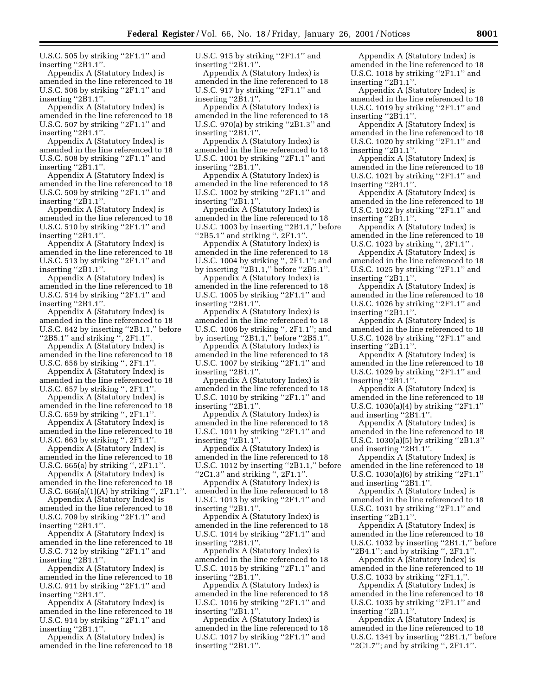U.S.C. 505 by striking ''2F1.1'' and inserting "2B1.1".

Appendix A (Statutory Index) is amended in the line referenced to 18 U.S.C. 506 by striking ''2F1.1'' and inserting "2B1.1".

Appendix A (Statutory Index) is amended in the line referenced to 18 U.S.C. 507 by striking ''2F1.1'' and inserting "2B1.1"

Appendix A (Statutory Index) is amended in the line referenced to 18 U.S.C. 508 by striking ''2F1.1'' and inserting ''2B1.1''.

Appendix A (Statutory Index) is amended in the line referenced to 18 U.S.C. 509 by striking ''2F1.1'' and inserting  $"2\text{B}1.1"$ 

Appendix A (Statutory Index) is amended in the line referenced to 18 U.S.C. 510 by striking ''2F1.1'' and inserting "2B1.1"

Appendix A (Statutory Index) is amended in the line referenced to 18 U.S.C. 513 by striking ''2F1.1'' and inserting "2B1.1"

Appendix A (Statutory Index) is amended in the line referenced to 18 U.S.C. 514 by striking "2F1.1" and inserting ''2B1.1''.

Appendix A (Statutory Index) is amended in the line referenced to 18 U.S.C. 642 by inserting ''2B1.1,'' before ''2B5.1'' and striking '', 2F1.1''.

Appendix A (Statutory Index) is amended in the line referenced to 18 U.S.C. 656 by striking '', 2F1.1''.

Appendix A (Statutory Index) is amended in the line referenced to 18 U.S.C. 657 by striking ", 2F1.1'

Appendix A (Statutory Index) is amended in the line referenced to 18 U.S.C. 659 by striking ", 2F1.1"

Appendix A (Statutory Index) is amended in the line referenced to 18 U.S.C. 663 by striking '', 2F1.1''.

Appendix A (Statutory Index) is amended in the line referenced to 18 U.S.C. 665(a) by striking '', 2F1.1''.

Appendix A (Statutory Index) is amended in the line referenced to 18 U.S.C. 666(a)(1)(A) by striking '', 2F1.1''.

Appendix A (Statutory Index) is amended in the line referenced to 18 U.S.C. 709 by striking ''2F1.1'' and inserting "2B1.1"

Appendix A (Statutory Index) is amended in the line referenced to 18 U.S.C. 712 by striking ''2F1.1'' and inserting "2B1.1"

Appendix A (Statutory Index) is amended in the line referenced to 18 U.S.C. 911 by striking ''2F1.1'' and inserting "2B1.1".

Appendix A (Statutory Index) is amended in the line referenced to 18 U.S.C. 914 by striking ''2F1.1'' and inserting "2B1.1"

Appendix A (Statutory Index) is amended in the line referenced to 18 U.S.C. 915 by striking ''2F1.1'' and inserting "2B1.1".

Appendix A (Statutory Index) is amended in the line referenced to 18 U.S.C. 917 by striking ''2F1.1'' and inserting "2B1.1".

Appendix A (Statutory Index) is amended in the line referenced to 18 U.S.C. 970(a) by striking ''2B1.3'' and inserting "2B1.1"

Appendix A (Statutory Index) is amended in the line referenced to 18 U.S.C. 1001 by striking ''2F1.1'' and inserting ''2B1.1''.

Appendix A (Statutory Index) is amended in the line referenced to 18 U.S.C. 1002 by striking ''2F1.1'' and inserting "2B1.1"

Appendix A (Statutory Index) is amended in the line referenced to 18 U.S.C. 1003 by inserting ''2B1.1,'' before ''2B5.1'' and striking '', 2F1.1''.

Appendix A (Statutory Index) is amended in the line referenced to 18 U.S.C. 1004 by striking '', 2F1.1''; and by inserting ''2B1.1,'' before ''2B5.1''.

Appendix A (Statutory Index) is amended in the line referenced to 18 U.S.C. 1005 by striking ''2F1.1'' and inserting ''2B1.1''.

Appendix A (Statutory Index) is amended in the line referenced to 18 U.S.C. 1006 by striking '', 2F1.1''; and by inserting ''2B1.1,'' before ''2B5.1''.

Appendix A (Statutory Index) is amended in the line referenced to 18 U.S.C. 1007 by striking ''2F1.1'' and inserting "2B1.1".

Appendix A (Statutory Index) is amended in the line referenced to 18 U.S.C. 1010 by striking "2F1.1" and inserting "2B1.1"

Appendix A (Statutory Index) is amended in the line referenced to 18 U.S.C. 1011 by striking ''2F1.1'' and inserting "2B1.1"

Appendix A (Statutory Index) is amended in the line referenced to 18 U.S.C. 1012 by inserting ''2B1.1,'' before  $"2C1.3"$  and striking ",  $2F1.1"$ 

Appendix A (Statutory Index) is amended in the line referenced to 18 U.S.C. 1013 by striking ''2F1.1'' and inserting "2B1.1"

Appendix A (Statutory Index) is amended in the line referenced to 18 U.S.C. 1014 by striking ''2F1.1'' and inserting ''2B1.1''.

Appendix A (Statutory Index) is amended in the line referenced to 18 U.S.C. 1015 by striking ''2F1.1'' and inserting "2B1.1"

Appendix A (Statutory Index) is amended in the line referenced to 18 U.S.C. 1016 by striking ''2F1.1'' and inserting "2B1.1"

Appendix A (Statutory Index) is amended in the line referenced to 18 U.S.C. 1017 by striking ''2F1.1'' and inserting "2B1.1".

Appendix A (Statutory Index) is amended in the line referenced to 18 U.S.C. 1018 by striking ''2F1.1'' and inserting ''2B1.1''.

Appendix A (Statutory Index) is amended in the line referenced to 18 U.S.C. 1019 by striking ''2F1.1'' and inserting ''2B1.1''.

Appendix A (Statutory Index) is amended in the line referenced to 18 U.S.C. 1020 by striking "2F1.1" and inserting "2B1.1".

Appendix A (Statutory Index) is amended in the line referenced to 18 U.S.C. 1021 by striking ''2F1.1'' and inserting "2B1.1"

Appendix A (Statutory Index) is amended in the line referenced to 18 U.S.C. 1022 by striking ''2F1.1'' and inserting ''2B1.1''.

Appendix A (Statutory Index) is amended in the line referenced to 18 U.S.C. 1023 by striking '', 2F1.1'' .

Appendix A (Statutory Index) is amended in the line referenced to 18 U.S.C. 1025 by striking ''2F1.1'' and inserting ''2B1.1''.

Appendix A (Statutory Index) is amended in the line referenced to 18 U.S.C. 1026 by striking ''2F1.1'' and inserting "2B1.1"

Appendix A (Statutory Index) is amended in the line referenced to 18 U.S.C. 1028 by striking ''2F1.1'' and inserting "2B1.1"

Appendix A (Statutory Index) is amended in the line referenced to 18 U.S.C. 1029 by striking ''2F1.1'' and inserting ''2B1.1''.

Appendix A (Statutory Index) is amended in the line referenced to 18 U.S.C. 1030(a)(4) by striking ''2F1.1'' and inserting ''2B1.1''.

Appendix A (Statutory Index) is amended in the line referenced to 18 U.S.C. 1030(a)(5) by striking ''2B1.3'' and inserting "2B1.1"

Appendix A (Statutory Index) is amended in the line referenced to 18 U.S.C. 1030(a)(6) by striking ''2F1.1'' and inserting ''2B1.1''.

Appendix A (Statutory Index) is amended in the line referenced to 18 U.S.C. 1031 by striking "2F1.1" and inserting "2B1.1".

Appendix A (Statutory Index) is amended in the line referenced to 18 U.S.C. 1032 by inserting ''2B1.1,'' before ''2B4.1''; and by striking '', 2F1.1''.

Appendix A (Statutory Index) is amended in the line referenced to 18 U.S.C. 1033 by striking ''2F1.1,''.

Appendix A (Statutory Index) is amended in the line referenced to 18 U.S.C. 1035 by striking ''2F1.1'' and inserting "2B1.1"

Appendix A (Statutory Index) is amended in the line referenced to 18 U.S.C. 1341 by inserting ''2B1.1,'' before ''2C1.7''; and by striking '', 2F1.1''.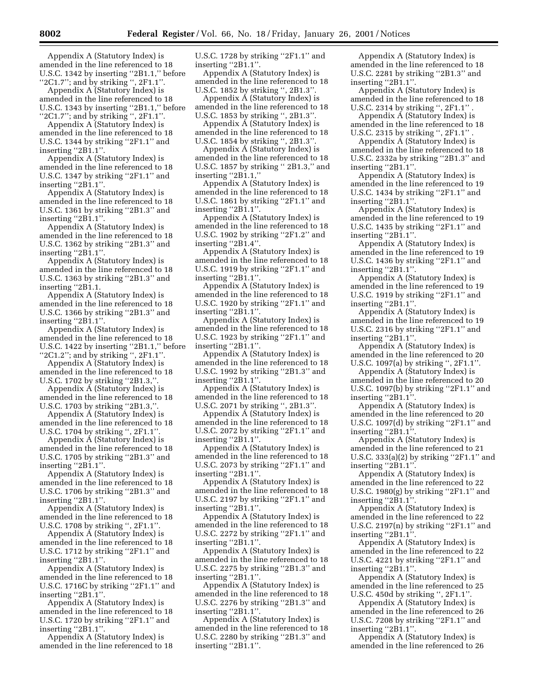Appendix A (Statutory Index) is amended in the line referenced to 18 U.S.C. 1342 by inserting ''2B1.1,'' before ''2C1.7''; and by striking '', 2F1.1''.

Appendix A (Statutory Index) is amended in the line referenced to 18 U.S.C. 1343 by inserting ''2B1.1,'' before

''2C1.7''; and by striking '', 2F1.1''. Appendix A (Statutory Index) is

amended in the line referenced to 18 U.S.C. 1344 by striking ''2F1.1'' and inserting ''2B1.1''.

Appendix A (Statutory Index) is amended in the line referenced to 18 U.S.C. 1347 by striking ''2F1.1'' and inserting "2B1.1"

Appendix A (Statutory Index) is amended in the line referenced to 18 U.S.C. 1361 by striking ''2B1.3'' and inserting "2B1.1".

Appendix A (Statutory Index) is amended in the line referenced to 18 U.S.C. 1362 by striking ''2B1.3'' and inserting ''2B1.1''.

Appendix A (Statutory Index) is amended in the line referenced to 18 U.S.C. 1363 by striking ''2B1.3'' and inserting ''2B1.1.

Appendix A (Statutory Index) is amended in the line referenced to 18 U.S.C. 1366 by striking ''2B1.3'' and inserting ''2B1.1''.

Appendix A (Statutory Index) is amended in the line referenced to 18 U.S.C. 1422 by inserting ''2B1.1,'' before

''2C1.2''; and by striking '', 2F1.1''. Appendix A (Statutory Index) is amended in the line referenced to 18 U.S.C. 1702 by striking ''2B1.3,''.

Appendix A (Statutory Index) is amended in the line referenced to 18 U.S.C. 1703 by striking ''2B1.3,''.

Appendix A (Statutory Index) is amended in the line referenced to 18 U.S.C. 1704 by striking '', 2F1.1''.

Appendix A (Statutory Index) is amended in the line referenced to 18 U.S.C. 1705 by striking ''2B1.3'' and inserting "2B1.1"

Appendix A (Statutory Index) is amended in the line referenced to 18 U.S.C. 1706 by striking ''2B1.3'' and inserting "2B1.1"

Appendix A (Statutory Index) is amended in the line referenced to 18 U.S.C. 1708 by striking ", 2F1.1"

Appendix A (Statutory Index) is amended in the line referenced to 18 U.S.C. 1712 by striking ''2F1.1'' and inserting "2B1.1"

Appendix A (Statutory Index) is amended in the line referenced to 18 U.S.C. 1716C by striking ''2F1.1'' and inserting "2B1.1".

Appendix A (Statutory Index) is amended in the line referenced to 18 U.S.C. 1720 by striking "2F1.1" and inserting "2B1.1"

Appendix A (Statutory Index) is amended in the line referenced to 18 U.S.C. 1728 by striking ''2F1.1'' and inserting "2B1.1".

Appendix A (Statutory Index) is amended in the line referenced to 18 U.S.C. 1852 by striking '', 2B1.3''.

Appendix A (Statutory Index) is amended in the line referenced to 18 U.S.C. 1853 by striking '', 2B1.3''.

Appendix A (Statutory Index) is amended in the line referenced to 18 U.S.C. 1854 by striking '', 2B1.3''.

Appendix A (Statutory Index) is amended in the line referenced to 18 U.S.C. 1857 by striking '' 2B1.3,'' and inserting ''2B1.1,''

Appendix A (Statutory Index) is amended in the line referenced to 18 U.S.C. 1861 by striking "2F1.1" and inserting "2B1.1".

Appendix A (Statutory Index) is amended in the line referenced to 18 U.S.C. 1902 by striking ''2F1.2'' and inserting ''2B1.4''.

Appendix A (Statutory Index) is amended in the line referenced to 18 U.S.C. 1919 by striking ''2F1.1'' and inserting ''2B1.1''.

Appendix A (Statutory Index) is amended in the line referenced to 18 U.S.C. 1920 by striking ''2F1.1'' and inserting ''2B1.1''.

Appendix A (Statutory Index) is amended in the line referenced to 18 U.S.C. 1923 by striking ''2F1.1'' and inserting "2B1.1"

Appendix A (Statutory Index) is amended in the line referenced to 18 U.S.C. 1992 by striking ''2B1.3'' and inserting "2B1.1".

Appendix A (Statutory Index) is amended in the line referenced to 18 U.S.C. 2071 by striking '', 2B1.3''.

Appendix A (Statutory Index) is amended in the line referenced to 18 U.S.C. 2072 by striking ''2F1.1'' and inserting "2B1.1"

Appendix A (Statutory Index) is amended in the line referenced to 18 U.S.C. 2073 by striking ''2F1.1'' and inserting "2B1.1"

Appendix A (Statutory Index) is amended in the line referenced to 18 U.S.C. 2197 by striking ''2F1.1'' and inserting ''2B1.1''.

Appendix A (Statutory Index) is amended in the line referenced to 18 U.S.C. 2272 by striking ''2F1.1'' and inserting ''2B1.1''.

Appendix A (Statutory Index) is amended in the line referenced to 18 U.S.C. 2275 by striking ''2B1.3'' and inserting "2B1.1"

Appendix A (Statutory Index) is amended in the line referenced to 18 U.S.C. 2276 by striking ''2B1.3'' and inserting "2B1.1"

Appendix A (Statutory Index) is amended in the line referenced to 18 U.S.C. 2280 by striking ''2B1.3'' and inserting ''2B1.1''.

Appendix A (Statutory Index) is amended in the line referenced to 18 U.S.C. 2281 by striking ''2B1.3'' and inserting "2B1.1".

Appendix A (Statutory Index) is amended in the line referenced to 18 U.S.C. 2314 by striking ",  $2F1.1$ "

Appendix A (Statutory Index) is amended in the line referenced to 18 U.S.C. 2315 by striking '', 2F1.1'' .

Appendix A (Statutory Index) is amended in the line referenced to 18 U.S.C. 2332a by striking ''2B1.3'' and inserting ''2B1.1''.

Appendix A (Statutory Index) is amended in the line referenced to 19 U.S.C. 1434 by striking "2F1.1" and inserting "2B1.1"

Appendix A (Statutory Index) is amended in the line referenced to 19 U.S.C. 1435 by striking ''2F1.1'' and inserting "2B1.1"

Appendix A (Statutory Index) is amended in the line referenced to 19 U.S.C. 1436 by striking "2F1.1" and inserting "2B1.1".

Appendix A (Statutory Index) is amended in the line referenced to 19 U.S.C. 1919 by striking ''2F1.1'' and inserting ''2B1.1''.

Appendix A (Statutory Index) is amended in the line referenced to 19 U.S.C. 2316 by striking ''2F1.1'' and inserting "2B1.1"

Appendix A (Statutory Index) is amended in the line referenced to 20 U.S.C. 1097(a) by striking '', 2F1.1''.

Appendix A (Statutory Index) is amended in the line referenced to 20 U.S.C. 1097(b) by striking ''2F1.1'' and inserting "2B1.1"

Appendix A (Statutory Index) is amended in the line referenced to 20 U.S.C. 1097(d) by striking ''2F1.1'' and inserting "2B1.1"

Appendix A (Statutory Index) is amended in the line referenced to 21 U.S.C. 333(a)(2) by striking ''2F1.1'' and inserting "2B1.1"

Appendix A (Statutory Index) is amended in the line referenced to 22 U.S.C. 1980(g) by striking ''2F1.1'' and inserting "2B1.1"

Appendix A (Statutory Index) is amended in the line referenced to 22 U.S.C. 2197(n) by striking ''2F1.1'' and inserting ''2B1.1''.

Appendix A (Statutory Index) is amended in the line referenced to 22 U.S.C. 4221 by striking ''2F1.1'' and inserting "2B1.1"

Appendix A (Statutory Index) is amended in the line referenced to 25 U.S.C. 450d by striking '', 2F1.1''.

Appendix A (Statutory Index) is amended in the line referenced to 26 U.S.C. 7208 by striking "2F1.1" and inserting "2B1.1".

Appendix A (Statutory Index) is amended in the line referenced to 26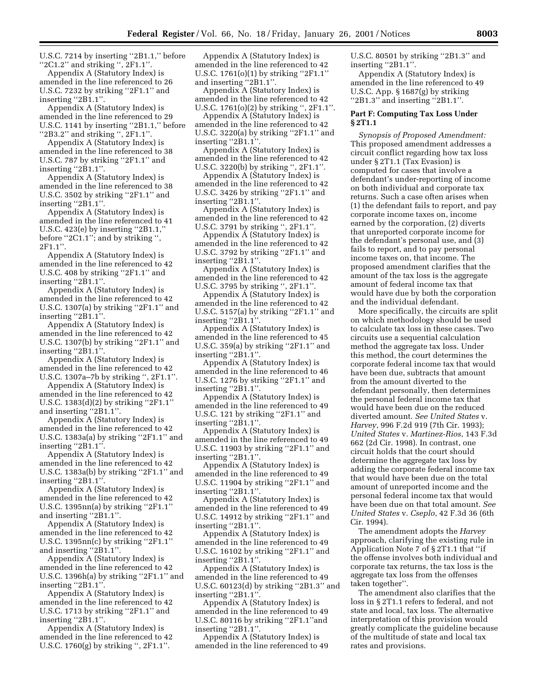U.S.C. 7214 by inserting ''2B1.1,'' before ''2C1.2'' and striking '', 2F1.1''.

Appendix A (Statutory Index) is amended in the line referenced to 26 U.S.C. 7232 by striking ''2F1.1'' and inserting ''2B1.1''.

Appendix A (Statutory Index) is amended in the line referenced to 29 U.S.C. 1141 by inserting ''2B1.1,'' before ''2B3.2'' and striking '', 2F1.1''.

Appendix A (Statutory Index) is amended in the line referenced to 38 U.S.C. 787 by striking ''2F1.1'' and inserting "2B1.1"

Appendix A (Statutory Index) is amended in the line referenced to 38 U.S.C. 3502 by striking ''2F1.1'' and inserting "2B1.1"

Appendix A (Statutory Index) is amended in the line referenced to 41 U.S.C. 423(e) by inserting ''2B1.1,'' before ''2C1.1''; and by striking '', 2F1.1''.

Appendix A (Statutory Index) is amended in the line referenced to 42 U.S.C. 408 by striking ''2F1.1'' and inserting "2B1.1"

Appendix A (Statutory Index) is amended in the line referenced to 42 U.S.C. 1307(a) by striking ''2F1.1'' and inserting "2B1.1"

Appendix A (Statutory Index) is amended in the line referenced to 42 U.S.C. 1307(b) by striking ''2F1.1'' and inserting "2B1.1"

Appendix A (Statutory Index) is amended in the line referenced to 42 U.S.C. 1307a–7b by striking '', 2F1.1''.

Appendix A (Statutory Index) is amended in the line referenced to 42 U.S.C. 1383(d)(2) by striking ''2F1.1'' and inserting "2B1.1"

Appendix A (Statutory Index) is amended in the line referenced to 42 U.S.C. 1383a(a) by striking ''2F1.1'' and inserting ''2B1.1''.

Appendix A (Statutory Index) is amended in the line referenced to 42 U.S.C. 1383a(b) by striking ''2F1.1'' and inserting "2B1.1"

Appendix A (Statutory Index) is amended in the line referenced to 42 U.S.C. 1395nn(a) by striking ''2F1.1'' and inserting ''2B1.1''.

Appendix A (Statutory Index) is amended in the line referenced to 42 U.S.C. 1395nn(c) by striking ''2F1.1'' and inserting "2B1.1"

Appendix A (Statutory Index) is amended in the line referenced to 42 U.S.C. 1396h(a) by striking ''2F1.1'' and inserting "2B1.1"

Appendix A (Statutory Index) is amended in the line referenced to 42 U.S.C. 1713 by striking ''2F1.1'' and inserting "2B1.1"

Appendix A (Statutory Index) is amended in the line referenced to 42 U.S.C. 1760(g) by striking '', 2F1.1''.

Appendix A (Statutory Index) is amended in the line referenced to 42 U.S.C. 1761(o)(1) by striking ''2F1.1'' and inserting "2B1.1"

Appendix A (Statutory Index) is amended in the line referenced to 42 U.S.C. 1761(o)(2) by striking '', 2F1.1''.

Appendix A (Statutory Index) is amended in the line referenced to 42 U.S.C. 3220(a) by striking ''2F1.1'' and inserting ''2B1.1''.

Appendix A (Statutory Index) is amended in the line referenced to 42 U.S.C. 3220(b) by striking '', 2F1.1''.

Appendix A (Statutory Index) is amended in the line referenced to 42 U.S.C. 3426 by striking ''2F1.1'' and inserting "2B1.1"

Appendix A (Statutory Index) is amended in the line referenced to 42 U.S.C. 3791 by striking ", 2F1.1"

Appendix A (Statutory Index) is amended in the line referenced to 42 U.S.C. 3792 by striking ''2F1.1'' and inserting ''2B1.1''.

Appendix A (Statutory Index) is amended in the line referenced to 42 U.S.C. 3795 by striking ", 2F1.1"

Appendix A (Statutory Index) is amended in the line referenced to 42 U.S.C. 5157(a) by striking ''2F1.1'' and inserting "2B1.1"

Appendix A (Statutory Index) is amended in the line referenced to 45 U.S.C. 359(a) by striking ''2F1.1'' and inserting "2B1.1"

Appendix A (Statutory Index) is amended in the line referenced to 46 U.S.C. 1276 by striking ''2F1.1'' and inserting "2B1.1".

Appendix A (Statutory Index) is amended in the line referenced to 49 U.S.C. 121 by striking ''2F1.1'' and inserting "2B1.1".

Appendix A (Statutory Index) is amended in the line referenced to 49 U.S.C. 11903 by striking ''2F1.1'' and inserting "2B1.1"

Appendix A (Statutory Index) is amended in the line referenced to 49 U.S.C. 11904 by striking ''2F1.1'' and inserting "2B1.1".

Appendix A (Statutory Index) is amended in the line referenced to 49 U.S.C. 14912 by striking ''2F1.1'' and inserting "2B1.1"

Appendix A (Statutory Index) is amended in the line referenced to 49 U.S.C. 16102 by striking ''2F1.1'' and inserting "2B1.1"

Appendix A (Statutory Index) is amended in the line referenced to 49 U.S.C. 60123(d) by striking ''2B1.3'' and inserting "2B1.1"

Appendix A (Statutory Index) is amended in the line referenced to 49 U.S.C. 80116 by striking ''2F1.1''and inserting "2B1.1"

Appendix A (Statutory Index) is amended in the line referenced to 49 U.S.C. 80501 by striking ''2B1.3'' and inserting "2B1.1".

Appendix A (Statutory Index) is amended in the line referenced to 49 U.S.C. App. § 1687(g) by striking ''2B1.3'' and inserting ''2B1.1''.

#### **Part F: Computing Tax Loss Under § 2T1.1**

*Synopsis of Proposed Amendment:* This proposed amendment addresses a circuit conflict regarding how tax loss under § 2T1.1 (Tax Evasion) is computed for cases that involve a defendant's under-reporting of income on both individual and corporate tax returns. Such a case often arises when (1) the defendant fails to report, and pay corporate income taxes on, income earned by the corporation, (2) diverts that unreported corporate income for the defendant's personal use, and (3) fails to report, and to pay personal income taxes on, that income. The proposed amendment clarifies that the amount of the tax loss is the aggregate amount of federal income tax that would have due by both the corporation and the individual defendant.

More specifically, the circuits are split on which methodology should be used to calculate tax loss in these cases. Two circuits use a sequential calculation method the aggregate tax loss. Under this method, the court determines the corporate federal income tax that would have been due, subtracts that amount from the amount diverted to the defendant personally, then determines the personal federal income tax that would have been due on the reduced diverted amount. *See United States* v. *Harvey*, 996 F.2d 919 (7th Cir. 1993); *United States* v. *Martinez-Rios*, 143 F.3d 662 (2d Cir. 1998). In contrast, one circuit holds that the court should determine the aggregate tax loss by adding the corporate federal income tax that would have been due on the total amount of unreported income and the personal federal income tax that would have been due on that total amount. *See United States* v. *Cseplo*, 42 F.3d 36 (6th Cir. 1994).

The amendment adopts the *Harvey* approach, clarifying the existing rule in Application Note 7 of § 2T1.1 that ''if the offense involves both individual and corporate tax returns, the tax loss is the aggregate tax loss from the offenses taken together''.

The amendment also clarifies that the loss in § 2T1.1 refers to federal, and not state and local, tax loss. The alternative interpretation of this provision would greatly complicate the guideline because of the multitude of state and local tax rates and provisions.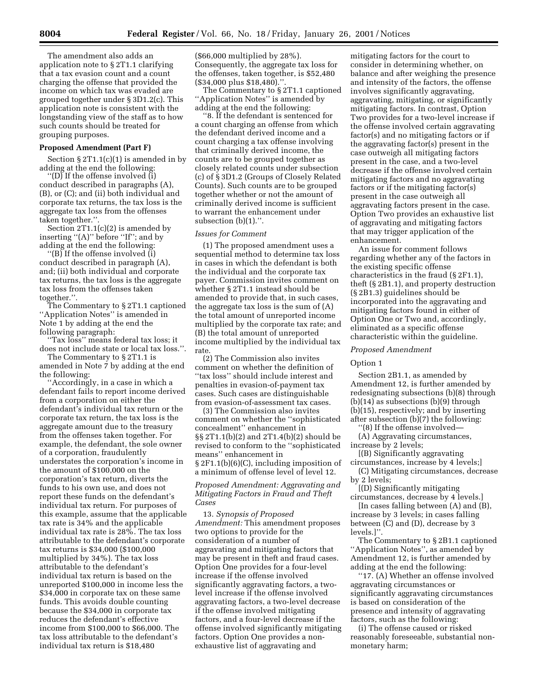The amendment also adds an application note to § 2T1.1 clarifying that a tax evasion count and a count charging the offense that provided the income on which tax was evaded are grouped together under § 3D1.2(c). This application note is consistent with the longstanding view of the staff as to how such counts should be treated for grouping purposes.

#### **Proposed Amendment (Part F)**

Section  $\S 2T1.1(c)(1)$  is amended in by adding at the end the following:

''(D) If the offense involved (i) conduct described in paragraphs (A), (B), or (C); and (ii) both individual and corporate tax returns, the tax loss is the aggregate tax loss from the offenses taken together.''.

Section 2T1.1(c)(2) is amended by inserting "(A)" before "If"; and by adding at the end the following:

''(B) If the offense involved (i) conduct described in paragraph (A), and; (ii) both individual and corporate tax returns, the tax loss is the aggregate tax loss from the offenses taken together.''.

The Commentary to § 2T1.1 captioned ''Application Notes'' is amended in Note 1 by adding at the end the following paragraph:

''Tax loss'' means federal tax loss; it does not include state or local tax loss.''.

The Commentary to § 2T1.1 is amended in Note 7 by adding at the end the following:

''Accordingly, in a case in which a defendant fails to report income derived from a corporation on either the defendant's individual tax return or the corporate tax return, the tax loss is the aggregate amount due to the treasury from the offenses taken together. For example, the defendant, the sole owner of a corporation, fraudulently understates the corporation's income in the amount of \$100,000 on the corporation's tax return, diverts the funds to his own use, and does not report these funds on the defendant's individual tax return. For purposes of this example, assume that the applicable tax rate is 34% and the applicable individual tax rate is 28%. The tax loss attributable to the defendant's corporate tax returns is \$34,000 (\$100,000 multiplied by 34%). The tax loss attributable to the defendant's individual tax return is based on the unreported \$100,000 in income less the \$34,000 in corporate tax on these same funds. This avoids double counting because the \$34,000 in corporate tax reduces the defendant's effective income from \$100,000 to \$66,000. The tax loss attributable to the defendant's individual tax return is \$18,480

(\$66,000 multiplied by 28%). Consequently, the aggregate tax loss for the offenses, taken together, is \$52,480 (\$34,000 plus \$18,480)."

The Commentary to § 2T1.1 captioned ''Application Notes'' is amended by adding at the end the following:

'8. If the defendant is sentenced for a count charging an offense from which the defendant derived income and a count charging a tax offense involving that criminally derived income, the counts are to be grouped together as closely related counts under subsection (c) of § 3D1.2 (Groups of Closely Related Counts). Such counts are to be grouped together whether or not the amount of criminally derived income is sufficient to warrant the enhancement under subsection (b)(1).''.

#### *Issues for Comment*

(1) The proposed amendment uses a sequential method to determine tax loss in cases in which the defendant is both the individual and the corporate tax payer. Commission invites comment on whether § 2T1.1 instead should be amended to provide that, in such cases, the aggregate tax loss is the sum of (A) the total amount of unreported income multiplied by the corporate tax rate; and (B) the total amount of unreported income multiplied by the individual tax rate

(2) The Commission also invites comment on whether the definition of ''tax loss'' should include interest and penalties in evasion-of-payment tax cases. Such cases are distinguishable from evasion-of-assessment tax cases.

(3) The Commission also invites comment on whether the ''sophisticated concealment'' enhancement in §§ 2T1.1(b)(2) and 2T1.4(b)(2) should be revised to conform to the ''sophisticated means'' enhancement in § 2F1.1(b)(6)(C), including imposition of a minimum of offense level of level 12.

#### *Proposed Amendment: Aggravating and Mitigating Factors in Fraud and Theft Cases*

13. *Synopsis of Proposed Amendment:* This amendment proposes two options to provide for the consideration of a number of aggravating and mitigating factors that may be present in theft and fraud cases. Option One provides for a four-level increase if the offense involved significantly aggravating factors, a twolevel increase if the offense involved aggravating factors, a two-level decrease if the offense involved mitigating factors, and a four-level decrease if the offense involved significantly mitigating factors. Option One provides a nonexhaustive list of aggravating and

mitigating factors for the court to consider in determining whether, on balance and after weighing the presence and intensity of the factors, the offense involves significantly aggravating, aggravating, mitigating, or significantly mitigating factors. In contrast, Option Two provides for a two-level increase if the offense involved certain aggravating factor(s) and no mitigating factors or if the aggravating factor(s) present in the case outweigh all mitigating factors present in the case, and a two-level decrease if the offense involved certain mitigating factors and no aggravating factors or if the mitigating factor(s) present in the case outweigh all aggravating factors present in the case. Option Two provides an exhaustive list of aggravating and mitigating factors that may trigger application of the enhancement.

An issue for comment follows regarding whether any of the factors in the existing specific offense characteristics in the fraud (§ 2F1.1), theft (§ 2B1.1), and property destruction (§ 2B1.3) guidelines should be incorporated into the aggravating and mitigating factors found in either of Option One or Two and, accordingly, eliminated as a specific offense characteristic within the guideline.

#### *Proposed Amendment*

#### Option 1

Section 2B1.1, as amended by Amendment 12, is further amended by redesignating subsections (b)(8) through  $(b)(14)$  as subsections  $(b)(9)$  through (b)(15), respectively; and by inserting after subsection (b)(7) the following:

''(8) If the offense involved—

(A) Aggravating circumstances, increase by 2 levels;

[(B) Significantly aggravating circumstances, increase by 4 levels;]

(C) Mitigating circumstances, decrease by 2 levels;

[(D) Significantly mitigating circumstances, decrease by 4 levels.]

[In cases falling between (A) and (B), increase by 3 levels; in cases falling between (C) and (D), decrease by 3 levels.]''.

The Commentary to § 2B1.1 captioned ''Application Notes'', as amended by Amendment 12, is further amended by adding at the end the following:

''17. (A) Whether an offense involved aggravating circumstances or significantly aggravating circumstances is based on consideration of the presence and intensity of aggravating factors, such as the following:

(i) The offense caused or risked reasonably foreseeable, substantial nonmonetary harm;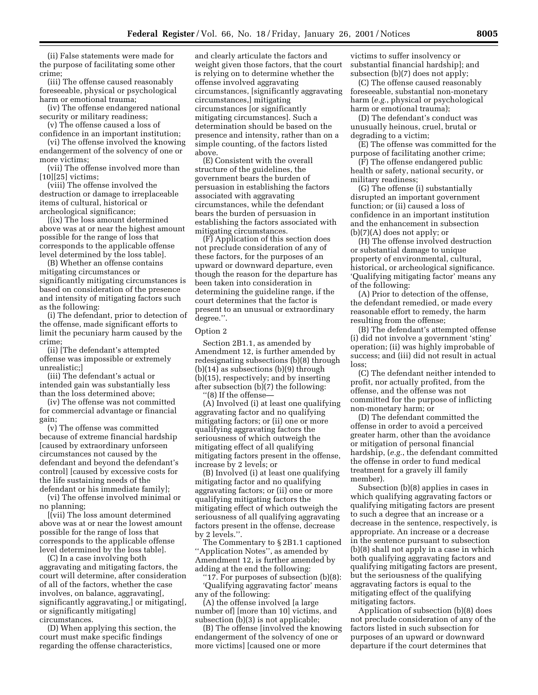(ii) False statements were made for the purpose of facilitating some other crime;

(iii) The offense caused reasonably foreseeable, physical or psychological harm or emotional trauma;

(iv) The offense endangered national security or military readiness;

(v) The offense caused a loss of confidence in an important institution;

(vi) The offense involved the knowing endangerment of the solvency of one or more victims;

(vii) The offense involved more than [10][25] victims;

(viii) The offense involved the destruction or damage to irreplaceable items of cultural, historical or archeological significance;

[(ix) The loss amount determined above was at or near the highest amount possible for the range of loss that corresponds to the applicable offense level determined by the loss table].

(B) Whether an offense contains mitigating circumstances or significantly mitigating circumstances is based on consideration of the presence and intensity of mitigating factors such as the following:

(i) The defendant, prior to detection of the offense, made significant efforts to limit the pecuniary harm caused by the crime;

(ii) [The defendant's attempted offense was impossible or extremely unrealistic;]

(iii) The defendant's actual or intended gain was substantially less than the loss determined above;

(iv) The offense was not committed for commercial advantage or financial gain;

(v) The offense was committed because of extreme financial hardship [caused by extraordinary unforseen circumstances not caused by the defendant and beyond the defendant's control] [caused by excessive costs for the life sustaining needs of the defendant or his immediate family];

(vi) The offense involved minimal or no planning;

[(vii) The loss amount determined above was at or near the lowest amount possible for the range of loss that corresponds to the applicable offense level determined by the loss table].

(C) In a case involving both aggravating and mitigating factors, the court will determine, after consideration of all of the factors, whether the case involves, on balance, aggravating[, significantly aggravating,] or mitigating[, or significantly mitigating] circumstances.

(D) When applying this section, the court must make specific findings regarding the offense characteristics,

and clearly articulate the factors and weight given those factors, that the court is relying on to determine whether the offense involved aggravating circumstances, [significantly aggravating circumstances,] mitigating circumstances [or significantly mitigating circumstances]. Such a determination should be based on the presence and intensity, rather than on a simple counting, of the factors listed above.

(E) Consistent with the overall structure of the guidelines, the government bears the burden of persuasion in establishing the factors associated with aggravating circumstances, while the defendant bears the burden of persuasion in establishing the factors associated with mitigating circumstances.

(F) Application of this section does not preclude consideration of any of these factors, for the purposes of an upward or downward departure, even though the reason for the departure has been taken into consideration in determining the guideline range, if the court determines that the factor is present to an unusual or extraordinary degree.''.

#### Option 2

Section 2B1.1, as amended by Amendment 12, is further amended by redesignating subsections (b)(8) through (b)(14) as subsections (b)(9) through (b)(15), respectively; and by inserting after subsection (b)(7) the following:

''(8) If the offense—

(A) Involved (i) at least one qualifying aggravating factor and no qualifying mitigating factors; or (ii) one or more qualifying aggravating factors the seriousness of which outweigh the mitigating effect of all qualifying mitigating factors present in the offense, increase by 2 levels; or

(B) Involved (i) at least one qualifying mitigating factor and no qualifying aggravating factors; or (ii) one or more qualifying mitigating factors the mitigating effect of which outweigh the seriousness of all qualifying aggravating factors present in the offense, decrease by 2 levels.''.

The Commentary to § 2B1.1 captioned ''Application Notes'', as amended by Amendment 12, is further amended by adding at the end the following:

''17. For purposes of subsection (b)(8): 'Qualifying aggravating factor' means any of the following:

(A) the offense involved [a large number of] [more than 10] victims, and subsection (b)(3) is not applicable;

(B) The offense [involved the knowing endangerment of the solvency of one or more victims] [caused one or more

victims to suffer insolvency or substantial financial hardship]; and subsection (b)(7) does not apply;

(C) The offense caused reasonably foreseeable, substantial non-monetary harm (*e.g.*, physical or psychological harm or emotional trauma);

(D) The defendant's conduct was unusually heinous, cruel, brutal or degrading to a victim;

(E) The offense was committed for the purpose of facilitating another crime;

(F) The offense endangered public health or safety, national security, or military readiness;

(G) The offense (i) substantially disrupted an important government function; or (ii) caused a loss of confidence in an important institution and the enhancement in subsection (b)(7)(A) does not apply; or

(H) The offense involved destruction or substantial damage to unique property of environmental, cultural, historical, or archeological significance. 'Qualifying mitigating factor' means any of the following:

(A) Prior to detection of the offense, the defendant remedied, or made every reasonable effort to remedy, the harm resulting from the offense;

(B) The defendant's attempted offense (i) did not involve a government 'sting' operation; (ii) was highly improbable of success; and (iii) did not result in actual loss;

(C) The defendant neither intended to profit, nor actually profited, from the offense, and the offense was not committed for the purpose of inflicting non-monetary harm; or

(D) The defendant committed the offense in order to avoid a perceived greater harm, other than the avoidance or mitigation of personal financial hardship, (*e.g.*, the defendant committed the offense in order to fund medical treatment for a gravely ill family member).

Subsection (b)(8) applies in cases in which qualifying aggravating factors or qualifying mitigating factors are present to such a degree that an increase or a decrease in the sentence, respectively, is appropriate. An increase or a decrease in the sentence pursuant to subsection (b)(8) shall not apply in a case in which both qualifying aggravating factors and qualifying mitigating factors are present, but the seriousness of the qualifying aggravating factors is equal to the mitigating effect of the qualifying mitigating factors.

Application of subsection (b)(8) does not preclude consideration of any of the factors listed in such subsection for purposes of an upward or downward departure if the court determines that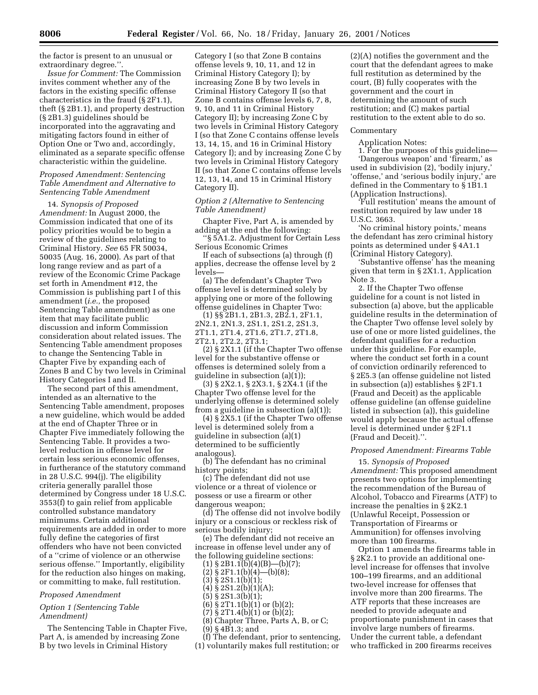the factor is present to an unusual or extraordinary degree.''.

*Issue for Comment:* The Commission invites comment whether any of the factors in the existing specific offense characteristics in the fraud (§ 2F1.1), theft (§ 2B1.1), and property destruction (§ 2B1.3) guidelines should be incorporated into the aggravating and mitigating factors found in either of Option One or Two and, accordingly, eliminated as a separate specific offense characteristic within the guideline.

#### *Proposed Amendment: Sentencing Table Amendment and Alternative to Sentencing Table Amendment*

14. *Synopsis of Proposed Amendment:* In August 2000, the Commission indicated that one of its policy priorities would be to begin a review of the guidelines relating to Criminal History. *See* 65 FR 50034, 50035 (Aug. 16, 2000). As part of that long range review and as part of a review of the Economic Crime Package set forth in Amendment #12, the Commission is publishing part I of this amendment (*i.e.,* the proposed Sentencing Table amendment) as one item that may facilitate public discussion and inform Commission consideration about related issues. The Sentencing Table amendment proposes to change the Sentencing Table in Chapter Five by expanding each of Zones B and C by two levels in Criminal History Categories I and II.

The second part of this amendment, intended as an alternative to the Sentencing Table amendment, proposes a new guideline, which would be added at the end of Chapter Three or in Chapter Five immediately following the Sentencing Table. It provides a twolevel reduction in offense level for certain less serious economic offenses, in furtherance of the statutory command in 28 U.S.C. 994(j). The eligibility criteria generally parallel those determined by Congress under 18 U.S.C. 3553(f) to gain relief from applicable controlled substance mandatory minimums. Certain additional requirements are added in order to more fully define the categories of first offenders who have not been convicted of a ''crime of violence or an otherwise serious offense.'' Importantly, eligibility for the reduction also hinges on making, or committing to make, full restitution.

#### *Proposed Amendment*

#### *Option 1 (Sentencing Table Amendment)*

The Sentencing Table in Chapter Five, Part A, is amended by increasing Zone B by two levels in Criminal History

Category I (so that Zone B contains offense levels 9, 10, 11, and 12 in Criminal History Category I); by increasing Zone B by two levels in Criminal History Category II (so that Zone B contains offense levels 6, 7, 8, 9, 10, and 11 in Criminal History Category II); by increasing Zone C by two levels in Criminal History Category I (so that Zone C contains offense levels 13, 14, 15, and 16 in Criminal History Category I); and by increasing Zone C by two levels in Criminal History Category II (so that Zone C contains offense levels 12, 13, 14, and 15 in Criminal History Category II).

#### *Option 2 (Alternative to Sentencing Table Amendment)*

Chapter Five, Part A, is amended by adding at the end the following:

''§ 5A1.2. Adjustment for Certain Less Serious Economic Crimes

If each of subsections (a) through (f) applies, decrease the offense level by 2 levels—

(a) The defendant's Chapter Two offense level is determined solely by applying one or more of the following offense guidelines in Chapter Two:

(1) §§ 2B1.1, 2B1.3, 2B2.1, 2F1.1, 2N2.1, 2N1.3, 2S1.1, 2S1.2, 2S1.3, 2T1.1, 2T1.4, 2T1.6, 2T1.7, 2T1.8, 2T2.1, 2T2.2, 2T3.1;

(2) § 2X1.1 (if the Chapter Two offense level for the substantive offense or offenses is determined solely from a guideline in subsection (a)(1));

(3) § 2X2.1, § 2X3.1, § 2X4.1 (if the Chapter Two offense level for the underlying offense is determined solely from a guideline in subsection (a)(1));

(4) § 2X5.1 (if the Chapter Two offense level is determined solely from a guideline in subsection (a)(1) determined to be sufficiently analogous).

(b) The defendant has no criminal history points;

(c) The defendant did not use violence or a threat of violence or possess or use a firearm or other dangerous weapon;

(d) The offense did not involve bodily injury or a conscious or reckless risk of serious bodily injury;

(e) The defendant did not receive an increase in offense level under any of the following guideline sections:

 $(1)$  § 2B<sub>1.1</sub>(b)(4)(B)—(b)(7);

 $(2)$  § 2F1.1(b)(4)—(b)(8);

 $(3)$  § 2S1.1(b)(1);

- $(4)$  § 2S1.2(b)(1)(A);
- (5) § 2S1.3(b)(1);
- (6) § 2T1.1(b)(1) or (b)(2);
- $(7)$  § 2T1.4(b)(1) or (b)(2);
- (8) Chapter Three, Parts A, B, or C;
- (9) § 4B1.3; and

(f) The defendant, prior to sentencing, (1) voluntarily makes full restitution; or

(2)(A) notifies the government and the court that the defendant agrees to make full restitution as determined by the court, (B) fully cooperates with the government and the court in determining the amount of such restitution; and (C) makes partial restitution to the extent able to do so.

#### Commentary

Application Notes:

1. For the purposes of this guideline— 'Dangerous weapon' and 'firearm,' as used in subdivision (2), 'bodily injury,' 'offense,' and 'serious bodily injury,' are defined in the Commentary to § 1B1.1 (Application Instructions).

'Full restitution' means the amount of restitution required by law under 18 U.S.C. 3663.

'No criminal history points,' means the defendant has zero criminal history points as determined under § 4A1.1 (Criminal History Category).

'Substantive offense' has the meaning given that term in § 2X1.1, Application Note 3.

2. If the Chapter Two offense guideline for a count is not listed in subsection (a) above, but the applicable guideline results in the determination of the Chapter Two offense level solely by use of one or more listed guidelines, the defendant qualifies for a reduction under this guideline. For example, where the conduct set forth in a count of conviction ordinarily referenced to § 2E5.3 (an offense guideline not listed in subsection (a)) establishes § 2F1.1 (Fraud and Deceit) as the applicable offense guideline (an offense guideline listed in subsection (a)), this guideline would apply because the actual offense level is determined under § 2F1.1 (Fraud and Deceit).''.

#### *Proposed Amendment: Firearms Table*

15. *Synopsis of Proposed Amendment:* This proposed amendment presents two options for implementing the recommendation of the Bureau of Alcohol, Tobacco and Firearms (ATF) to increase the penalties in § 2K2.1 (Unlawful Receipt, Possession or Transportation of Firearms or Ammunition) for offenses involving more than 100 firearms.

Option 1 amends the firearms table in § 2K2.1 to provide an additional onelevel increase for offenses that involve 100–199 firearms, and an additional two-level increase for offenses that involve more than 200 firearms. The ATF reports that these increases are needed to provide adequate and proportionate punishment in cases that involve large numbers of firearms. Under the current table, a defendant who trafficked in 200 firearms receives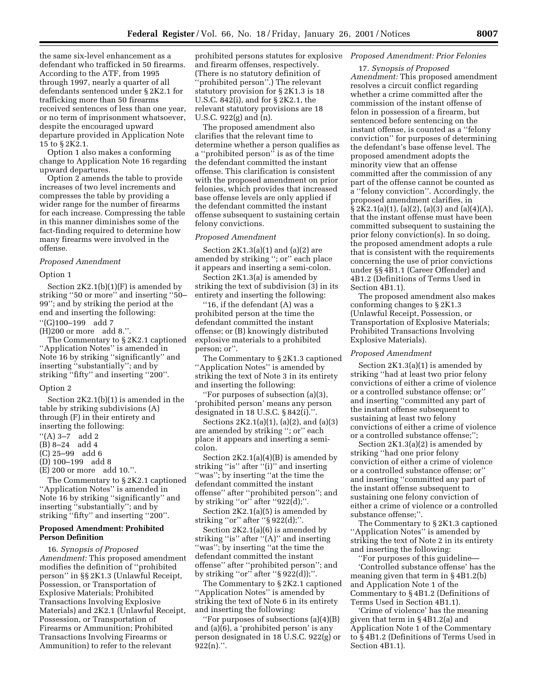the same six-level enhancement as a defendant who trafficked in 50 firearms. According to the ATF, from 1995 through 1997, nearly a quarter of all defendants sentenced under § 2K2.1 for trafficking more than 50 firearms received sentences of less than one year, or no term of imprisonment whatsoever, despite the encouraged upward departure provided in Application Note 15 to § 2K2.1.

Option 1 also makes a conforming change to Application Note 16 regarding upward departures.

Option 2 amends the table to provide increases of two level increments and compresses the table by providing a wider range for the number of firearms for each increase. Compressing the table in this manner diminishes some of the fact-finding required to determine how many firearms were involved in the offense.

#### *Proposed Amendment*

#### Option 1

Section  $2K2.1(b)(1)(F)$  is amended by striking ''50 or more'' and inserting ''50– 99''; and by striking the period at the end and inserting the following: ''(G)100–199 add 7 (H)200 or more add 8.''.

The Commentary to § 2K2.1 captioned ''Application Notes'' is amended in

Note 16 by striking ''significantly'' and inserting ''substantially''; and by striking ''fifty'' and inserting ''200''.

#### Option 2

Section 2K2.1(b)(1) is amended in the table by striking subdivisions (A) through (F) in their entirety and inserting the following:

- ''(A) 3–7 add 2
- (B) 8–24 add 4
- (C) 25–99 add 6
- (D) 100–199 add 8
- (E) 200 or more add 10.''.

The Commentary to § 2K2.1 captioned ''Application Notes'' is amended in Note 16 by striking ''significantly'' and inserting ''substantially''; and by striking ''fifty'' and inserting ''200''.

#### **Proposed Amendment: Prohibited Person Definition**

16. *Synopsis of Proposed Amendment:* This proposed amendment modifies the definition of ''prohibited person'' in §§ 2K1.3 (Unlawful Receipt, Possession, or Transportation of Explosive Materials; Prohibited Transactions Involving Explosive Materials) and 2K2.1 (Unlawful Receipt, Possession, or Transportation of Firearms or Ammunition; Prohibited Transactions Involving Firearms or Ammunition) to refer to the relevant

prohibited persons statutes for explosive *Proposed Amendment: Prior Felonies* and firearm offenses, respectively. (There is no statutory definition of 'prohibited person".) The relevant statutory provision for § 2K1.3 is 18 U.S.C. 842(i), and for § 2K2.1, the relevant statutory provisions are 18 U.S.C. 922(g) and (n).

The proposed amendment also clarifies that the relevant time to determine whether a person qualifies as a ''prohibited person'' is as of the time the defendant committed the instant offense. This clarification is consistent with the proposed amendment on prior felonies, which provides that increased base offense levels are only applied if the defendant committed the instant offense subsequent to sustaining certain felony convictions.

#### *Proposed Amendment*

Section  $2K1.3(a)(1)$  and  $(a)(2)$  are amended by striking ''; or'' each place it appears and inserting a semi-colon.

Section 2K1.3(a) is amended by striking the text of subdivision (3) in its entirety and inserting the following:

''16, if the defendant (A) was a prohibited person at the time the defendant committed the instant offense; or (B) knowingly distributed explosive materials to a prohibited person; or''.

The Commentary to § 2K1.3 captioned ''Application Notes'' is amended by striking the text of Note 3 in its entirety and inserting the following:

''For purposes of subsection (a)(3), 'prohibited person' means any person designated in 18 U.S.C. § 842(i).''.

Sections 2K2.1(a)(1), (a)(2), and (a)(3) are amended by striking ''; or'' each place it appears and inserting a semicolon.

Section 2K2.1(a)(4)(B) is amended by striking ''is'' after ''(i)'' and inserting ''was''; by inserting ''at the time the defendant committed the instant offense'' after ''prohibited person''; and by striking "or" after " $922(d)$ ;".

Section 2K2.1(a)(5) is amended by striking ''or'' after ''§ 922(d);''.

Section 2K2.1(a)(6) is amended by striking ''is'' after ''(A)'' and inserting ''was''; by inserting ''at the time the defendant committed the instant offense'' after ''prohibited person''; and by striking ''or'' after ''§ 922(d));''.

The Commentary to § 2K2.1 captioned "Application Notes" is amended by striking the text of Note 6 in its entirety and inserting the following:

''For purposes of subsections (a)(4)(B) and (a)(6), a 'prohibited person' is any person designated in 18 U.S.C. 922(g) or  $922(n)$ .".

17. *Synopsis of Proposed Amendment:* This proposed amendment resolves a circuit conflict regarding whether a crime committed after the commission of the instant offense of felon in possession of a firearm, but sentenced before sentencing on the instant offense, is counted as a ''felony conviction'' for purposes of determining the defendant's base offense level. The proposed amendment adopts the minority view that an offense committed after the commission of any part of the offense cannot be counted as a ''felony conviction''. Accordingly, the proposed amendment clarifies, in  $\S 2K2.1(a)(1), (a)(2), (a)(3)$  and  $(a)(4)(A),$ that the instant offense must have been committed subsequent to sustaining the prior felony conviction(s). In so doing, the proposed amendment adopts a rule that is consistent with the requirements concerning the use of prior convictions under §§ 4B1.1 (Career Offender) and 4B1.2 (Definitions of Terms Used in Section 4B1.1).

The proposed amendment also makes conforming changes to § 2K1.3 (Unlawful Receipt, Possession, or Transportation of Explosive Materials; Prohibited Transactions Involving Explosive Materials).

#### *Proposed Amendment*

Section 2K1.3(a)(1) is amended by striking ''had at least two prior felony convictions of either a crime of violence or a controlled substance offense; or'' and inserting ''committed any part of the instant offense subsequent to sustaining at least two felony convictions of either a crime of violence or a controlled substance offense;'';

Section 2K1.3(a)(2) is amended by striking ''had one prior felony conviction of either a crime of violence or a controlled substance offense; or'' and inserting ''committed any part of the instant offense subsequent to sustaining one felony conviction of either a crime of violence or a controlled substance offense;''.

The Commentary to § 2K1.3 captioned "Application Notes" is amended by striking the text of Note 2 in its entirety and inserting the following:

''For purposes of this guideline— 'Controlled substance offense' has the meaning given that term in § 4B1.2(b) and Application Note 1 of the Commentary to § 4B1.2 (Definitions of Terms Used in Section 4B1.1).

'Crime of violence' has the meaning given that term in § 4B1.2(a) and Application Note 1 of the Commentary to § 4B1.2 (Definitions of Terms Used in Section 4B1.1).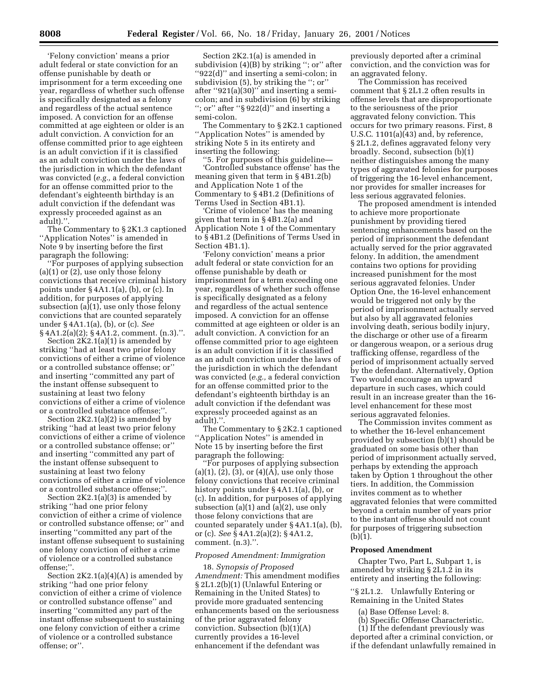'Felony conviction' means a prior adult federal or state conviction for an offense punishable by death or imprisonment for a term exceeding one year, regardless of whether such offense is specifically designated as a felony and regardless of the actual sentence imposed. A conviction for an offense committed at age eighteen or older is an adult conviction. A conviction for an offense committed prior to age eighteen is an adult conviction if it is classified as an adult conviction under the laws of the jurisdiction in which the defendant was convicted (*e.g.,* a federal conviction for an offense committed prior to the defendant's eighteenth birthday is an adult conviction if the defendant was expressly proceeded against as an adult)."

The Commentary to § 2K1.3 captioned ''Application Notes'' is amended in Note 9 by inserting before the first paragraph the following:

''For purposes of applying subsection (a)(1) or (2), use only those felony convictions that receive criminal history points under  $\S 4A1.1(a)$ , (b), or (c). In addition, for purposes of applying subsection (a)(1), use only those felony convictions that are counted separately under § 4A1.1(a), (b), or (c). *See* § 4A1.2(a)(2); § 4A1.2, comment. (n.3).''.

Section 2K2.1(a)(1) is amended by striking ''had at least two prior felony convictions of either a crime of violence or a controlled substance offense; or'' and inserting ''committed any part of the instant offense subsequent to sustaining at least two felony convictions of either a crime of violence or a controlled substance offense;''.

Section 2K2.1(a)(2) is amended by striking ''had at least two prior felony convictions of either a crime of violence or a controlled substance offense; or'' and inserting ''committed any part of the instant offense subsequent to sustaining at least two felony convictions of either a crime of violence or a controlled substance offense;''.

Section 2K2.1(a)(3) is amended by striking ''had one prior felony conviction of either a crime of violence or controlled substance offense; or'' and inserting ''committed any part of the instant offense subsequent to sustaining one felony conviction of either a crime of violence or a controlled substance offense;''.

Section 2K2.1(a)(4)(A) is amended by striking ''had one prior felony conviction of either a crime of violence or controlled substance offense'' and inserting ''committed any part of the instant offense subsequent to sustaining one felony conviction of either a crime of violence or a controlled substance offense; or''.

Section 2K2.1(a) is amended in subdivision (4)(B) by striking ''; or'' after ''922(d)'' and inserting a semi-colon; in subdivision (5), by striking the ''; or'' after "921(a)(30)" and inserting a semicolon; and in subdivision (6) by striking ''; or'' after ''§ 922(d)'' and inserting a semi-colon.

The Commentary to § 2K2.1 captioned ''Application Notes'' is amended by striking Note 5 in its entirety and inserting the following:

''5. For purposes of this guideline— 'Controlled substance offense' has the meaning given that term in § 4B1.2(b) and Application Note 1 of the Commentary to § 4B1.2 (Definitions of Terms Used in Section 4B1.1).

'Crime of violence' has the meaning given that term in § 4B1.2(a) and Application Note 1 of the Commentary to § 4B1.2 (Definitions of Terms Used in Section 4B1.1).

'Felony conviction' means a prior adult federal or state conviction for an offense punishable by death or imprisonment for a term exceeding one year, regardless of whether such offense is specifically designated as a felony and regardless of the actual sentence imposed. A conviction for an offense committed at age eighteen or older is an adult conviction. A conviction for an offense committed prior to age eighteen is an adult conviction if it is classified as an adult conviction under the laws of the jurisdiction in which the defendant was convicted (*e.g.,* a federal conviction for an offense committed prior to the defendant's eighteenth birthday is an adult conviction if the defendant was expressly proceeded against as an adult).''.

The Commentary to § 2K2.1 captioned ''Application Notes'' is amended in Note 15 by inserting before the first paragraph the following:

''For purposes of applying subsection  $(a)(1), (2), (3),$  or  $(4)(A)$ , use only those felony convictions that receive criminal history points under § 4A1.1(a), (b), or (c). In addition, for purposes of applying subsection (a)(1) and (a)(2), use only those felony convictions that are counted separately under § 4A1.1(a), (b), or (c). *See* § 4A1.2(a)(2); § 4A1.2, comment. (n.3).''.

#### *Proposed Amendment: Immigration*

18. *Synopsis of Proposed Amendment:* This amendment modifies § 2L1.2(b)(1) (Unlawful Entering or Remaining in the United States) to provide more graduated sentencing enhancements based on the seriousness of the prior aggravated felony conviction. Subsection (b)(1)(A) currently provides a 16-level enhancement if the defendant was

previously deported after a criminal conviction, and the conviction was for an aggravated felony.

The Commission has received comment that § 2L1.2 often results in offense levels that are disproportionate to the seriousness of the prior aggravated felony conviction. This occurs for two primary reasons. First, 8 U.S.C. 1101(a)(43) and, by reference, § 2L1.2, defines aggravated felony very broadly. Second, subsection (b)(1) neither distinguishes among the many types of aggravated felonies for purposes of triggering the 16-level enhancement, nor provides for smaller increases for less serious aggravated felonies.

The proposed amendment is intended to achieve more proportionate punishment by providing tiered sentencing enhancements based on the period of imprisonment the defendant actually served for the prior aggravated felony. In addition, the amendment contains two options for providing increased punishment for the most serious aggravated felonies. Under Option One, the 16-level enhancement would be triggered not only by the period of imprisonment actually served but also by all aggravated felonies involving death, serious bodily injury, the discharge or other use of a firearm or dangerous weapon, or a serious drug trafficking offense, regardless of the period of imprisonment actually served by the defendant. Alternatively, Option Two would encourage an upward departure in such cases, which could result in an increase greater than the 16 level enhancement for these most serious aggravated felonies.

The Commission invites comment as to whether the 16-level enhancement provided by subsection (b)(1) should be graduated on some basis other than period of imprisonment actually served, perhaps by extending the approach taken by Option 1 throughout the other tiers. In addition, the Commission invites comment as to whether aggravated felonies that were committed beyond a certain number of years prior to the instant offense should not count for purposes of triggering subsection (b)(1).

#### **Proposed Amendment**

Chapter Two, Part L, Subpart 1, is amended by striking § 2L1.2 in its entirety and inserting the following:

''§ 2L1.2. Unlawfully Entering or Remaining in the United States

(a) Base Offense Level: 8.

(b) Specific Offense Characteristic. (1) If the defendant previously was deported after a criminal conviction, or if the defendant unlawfully remained in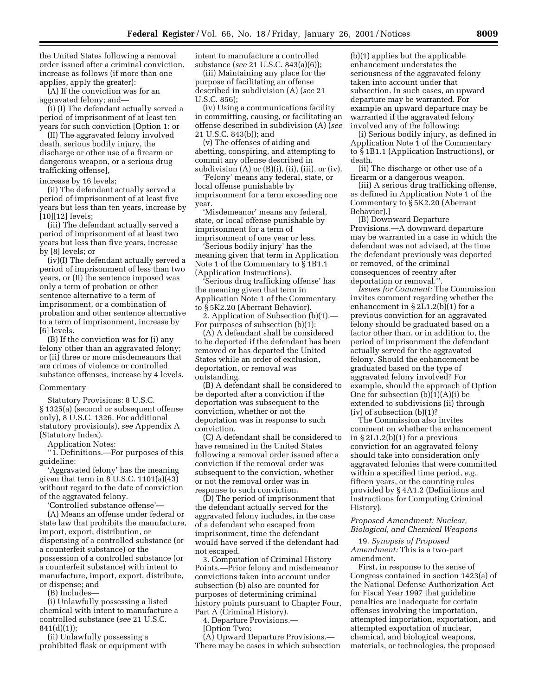the United States following a removal order issued after a criminal conviction, increase as follows (if more than one applies, apply the greater):

(A) If the conviction was for an aggravated felony; and—

(i) (I) The defendant actually served a period of imprisonment of at least ten years for such conviction [Option 1: or

(II) The aggravated felony involved death, serious bodily injury, the discharge or other use of a firearm or dangerous weapon, or a serious drug trafficking offense],

increase by 16 levels;

(ii) The defendant actually served a period of imprisonment of at least five years but less than ten years, increase by [10][12] levels;

(iii) The defendant actually served a period of imprisonment of at least two years but less than five years, increase by [8] levels; or

(iv)(I) The defendant actually served a period of imprisonment of less than two years, or (II) the sentence imposed was only a term of probation or other sentence alternative to a term of imprisonment, or a combination of probation and other sentence alternative to a term of imprisonment, increase by [6] levels.

(B) If the conviction was for (i) any felony other than an aggravated felony; or (ii) three or more misdemeanors that are crimes of violence or controlled substance offenses, increase by 4 levels.

#### Commentary

Statutory Provisions: 8 U.S.C. § 1325(a) (second or subsequent offense only), 8 U.S.C. 1326. For additional statutory provision(s), *see* Appendix A (Statutory Index).

Application Notes:

''1. Definitions.—For purposes of this guideline:

'Aggravated felony' has the meaning given that term in 8 U.S.C.  $1101(a)(43)$ without regard to the date of conviction of the aggravated felony.

'Controlled substance offense'—

(A) Means an offense under federal or state law that prohibits the manufacture, import, export, distribution, or dispensing of a controlled substance (or a counterfeit substance) or the possession of a controlled substance (or a counterfeit substance) with intent to manufacture, import, export, distribute, or dispense; and

(B) Includes—

(i) Unlawfully possessing a listed chemical with intent to manufacture a controlled substance (*see* 21 U.S.C. 841(d)(1));

(ii) Unlawfully possessing a prohibited flask or equipment with intent to manufacture a controlled substance (*see* 21 U.S.C. 843(a)(6));

(iii) Maintaining any place for the purpose of facilitating an offense described in subdivision (A) (*see* 21 U.S.C. 856);

(iv) Using a communications facility in committing, causing, or facilitating an offense described in subdivision (A) (*see* 21 U.S.C. 843(b)); and

(v) The offenses of aiding and abetting, conspiring, and attempting to commit any offense described in subdivision  $(A)$  or  $(B)(i)$ ,  $(ii)$ ,  $(iii)$ , or  $(iv)$ .

'Felony' means any federal, state, or local offense punishable by imprisonment for a term exceeding one year.

'Misdemeanor' means any federal, state, or local offense punishable by imprisonment for a term of imprisonment of one year or less.

'Serious bodily injury' has the meaning given that term in Application Note 1 of the Commentary to § 1B1.1 (Application Instructions).

'Serious drug trafficking offense' has the meaning given that term in Application Note 1 of the Commentary to § 5K2.20 (Aberrant Behavior).

2. Application of Subsection (b)(1).— For purposes of subsection (b)(1):

(A) A defendant shall be considered to be deported if the defendant has been removed or has departed the United States while an order of exclusion, deportation, or removal was outstanding.

(B) A defendant shall be considered to be deported after a conviction if the deportation was subsequent to the conviction, whether or not the deportation was in response to such conviction.

(C) A defendant shall be considered to have remained in the United States following a removal order issued after a conviction if the removal order was subsequent to the conviction, whether or not the removal order was in response to such conviction.

(D) The period of imprisonment that the defendant actually served for the aggravated felony includes, in the case of a defendant who escaped from imprisonment, time the defendant would have served if the defendant had not escaped.

3. Computation of Criminal History Points.—Prior felony and misdemeanor convictions taken into account under subsection (b) also are counted for purposes of determining criminal history points pursuant to Chapter Four, Part A (Criminal History).

4. Departure Provisions.—

[Option Two:

(A) Upward Departure Provisions.— There may be cases in which subsection

(b)(1) applies but the applicable enhancement understates the seriousness of the aggravated felony taken into account under that subsection. In such cases, an upward departure may be warranted. For example an upward departure may be warranted if the aggravated felony involved any of the following:

(i) Serious bodily injury, as defined in Application Note 1 of the Commentary to § 1B1.1 (Application Instructions), or death.

(ii) The discharge or other use of a firearm or a dangerous weapon.

(iii) A serious drug trafficking offense, as defined in Application Note 1 of the Commentary to § 5K2.20 (Aberrant Behavior).]

(B) Downward Departure Provisions.—A downward departure may be warranted in a case in which the defendant was not advised, at the time the defendant previously was deported or removed, of the criminal consequences of reentry after deportation or removal."

*Issues for Comment:* The Commission invites comment regarding whether the enhancement in § 2L1.2(b)(1) for a previous conviction for an aggravated felony should be graduated based on a factor other than, or in addition to, the period of imprisonment the defendant actually served for the aggravated felony. Should the enhancement be graduated based on the type of aggravated felony involved? For example, should the approach of Option One for subsection  $(b)(1)(A)(i)$  be extended to subdivisions (ii) through (iv) of subsection (b)(1)?

The Commission also invites comment on whether the enhancement in § 2L1.2(b)(1) for a previous conviction for an aggravated felony should take into consideration only aggravated felonies that were committed within a specified time period, *e.g.,* fifteen years, or the counting rules provided by § 4A1.2 (Definitions and Instructions for Computing Criminal History).

#### *Proposed Amendment: Nuclear, Biological, and Chemical Weapons*

19. *Synopsis of Proposed Amendment:* This is a two-part amendment.

First, in response to the sense of Congress contained in section 1423(a) of the National Defense Authorization Act for Fiscal Year 1997 that guideline penalties are inadequate for certain offenses involving the importation, attempted importation, exportation, and attempted exportation of nuclear, chemical, and biological weapons, materials, or technologies, the proposed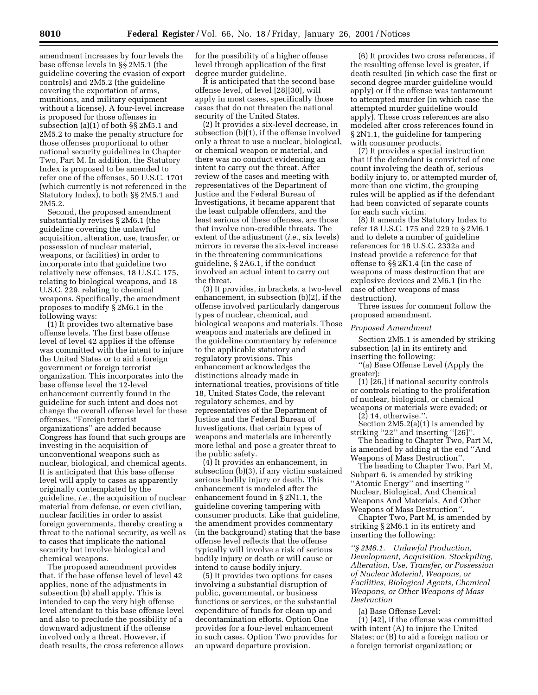amendment increases by four levels the base offense levels in §§ 2M5.1 (the guideline covering the evasion of export controls) and 2M5.2 (the guideline covering the exportation of arms, munitions, and military equipment without a license). A four-level increase is proposed for those offenses in subsection (a)(1) of both §§ 2M5.1 and 2M5.2 to make the penalty structure for those offenses proportional to other national security guidelines in Chapter Two, Part M. In addition, the Statutory Index is proposed to be amended to refer one of the offenses, 50 U.S.C. 1701 (which currently is not referenced in the Statutory Index), to both §§ 2M5.1 and 2M5.2.

Second, the proposed amendment substantially revises § 2M6.1 (the guideline covering the unlawful acquisition, alteration, use, transfer, or possession of nuclear material, weapons, or facilities) in order to incorporate into that guideline two relatively new offenses, 18 U.S.C. 175, relating to biological weapons, and 18 U.S.C. 229, relating to chemical weapons. Specifically, the amendment proposes to modify § 2M6.1 in the following ways:

(1) It provides two alternative base offense levels. The first base offense level of level 42 applies if the offense was committed with the intent to injure the United States or to aid a foreign government or foreign terrorist organization. This incorporates into the base offense level the 12-level enhancement currently found in the guideline for such intent and does not change the overall offense level for these offenses. ''Foreign terrorist organizations'' are added because Congress has found that such groups are investing in the acquisition of unconventional weapons such as nuclear, biological, and chemical agents. It is anticipated that this base offense level will apply to cases as apparently originally contemplated by the guideline, *i.e.,* the acquisition of nuclear material from defense, or even civilian, nuclear facilities in order to assist foreign governments, thereby creating a threat to the national security, as well as to cases that implicate the national security but involve biological and chemical weapons.

The proposed amendment provides that, if the base offense level of level 42 applies, none of the adjustments in subsection (b) shall apply. This is intended to cap the very high offense level attendant to this base offense level and also to preclude the possibility of a downward adjustment if the offense involved only a threat. However, if death results, the cross reference allows for the possibility of a higher offense level through application of the first degree murder guideline.

It is anticipated that the second base offense level, of level [28][30], will apply in most cases, specifically those cases that do not threaten the national security of the United States.

(2) It provides a six-level decrease, in subsection (b)(1), if the offense involved only a threat to use a nuclear, biological, or chemical weapon or material, and there was no conduct evidencing an intent to carry out the threat. After review of the cases and meeting with representatives of the Department of Justice and the Federal Bureau of Investigations, it became apparent that the least culpable offenders, and the least serious of these offenses, are those that involve non-credible threats. The extent of the adjustment (*i.e.,* six levels) mirrors in reverse the six-level increase in the threatening communications guideline, § 2A6.1, if the conduct involved an actual intent to carry out the threat.

(3) It provides, in brackets, a two-level enhancement, in subsection (b)(2), if the offense involved particularly dangerous types of nuclear, chemical, and biological weapons and materials. Those weapons and materials are defined in the guideline commentary by reference to the applicable statutory and regulatory provisions. This enhancement acknowledges the distinctions already made in international treaties, provisions of title 18, United States Code, the relevant regulatory schemes, and by representatives of the Department of Justice and the Federal Bureau of Investigations, that certain types of weapons and materials are inherently more lethal and pose a greater threat to the public safety.

(4) It provides an enhancement, in subsection (b)(3), if any victim sustained serious bodily injury or death. This enhancement is modeled after the enhancement found in § 2N1.1, the guideline covering tampering with consumer products. Like that guideline, the amendment provides commentary (in the background) stating that the base offense level reflects that the offense typically will involve a risk of serious bodily injury or death or will cause or intend to cause bodily injury.

(5) It provides two options for cases involving a substantial disruption of public, governmental, or business functions or services, or the substantial expenditure of funds for clean up and decontamination efforts. Option One provides for a four-level enhancement in such cases. Option Two provides for an upward departure provision.

(6) It provides two cross references, if the resulting offense level is greater, if death resulted (in which case the first or second degree murder guideline would apply) or if the offense was tantamount to attempted murder (in which case the attempted murder guideline would apply). These cross references are also modeled after cross references found in § 2N1.1, the guideline for tampering with consumer products.

(7) It provides a special instruction that if the defendant is convicted of one count involving the death of, serious bodily injury to, or attempted murder of, more than one victim, the grouping rules will be applied as if the defendant had been convicted of separate counts for each such victim.

(8) It amends the Statutory Index to refer 18 U.S.C. 175 and 229 to § 2M6.1 and to delete a number of guideline references for 18 U.S.C. 2332a and instead provide a reference for that offense to §§ 2K1.4 (in the case of weapons of mass destruction that are explosive devices and 2M6.1 (in the case of other weapons of mass destruction).

Three issues for comment follow the proposed amendment.

#### *Proposed Amendment*

Section 2M5.1 is amended by striking subsection (a) in its entirety and inserting the following:

''(a) Base Offense Level (Apply the greater):

(1) [26,] if national security controls or controls relating to the proliferation of nuclear, biological, or chemical weapons or materials were evaded; or  $(2)$  14, otherwise.'

Section 2M5.2(a)(1) is amended by striking ''22'' and inserting ''[26]''.

The heading to Chapter Two, Part M, is amended by adding at the end ''And Weapons of Mass Destruction''.

The heading to Chapter Two, Part M, Subpart 6, is amended by striking ''Atomic Energy'' and inserting '' Nuclear, Biological, And Chemical Weapons And Materials, And Other Weapons of Mass Destruction''.

Chapter Two, Part M, is amended by striking § 2M6.1 in its entirety and inserting the following:

*''§ 2M6.1. Unlawful Production, Development, Acquisition, Stockpiling, Alteration, Use, Transfer, or Possession of Nuclear Material, Weapons, or Facilities, Biological Agents, Chemical Weapons, or Other Weapons of Mass Destruction*

(a) Base Offense Level:

(1) [42], if the offense was committed with intent (A) to injure the United States; or (B) to aid a foreign nation or a foreign terrorist organization; or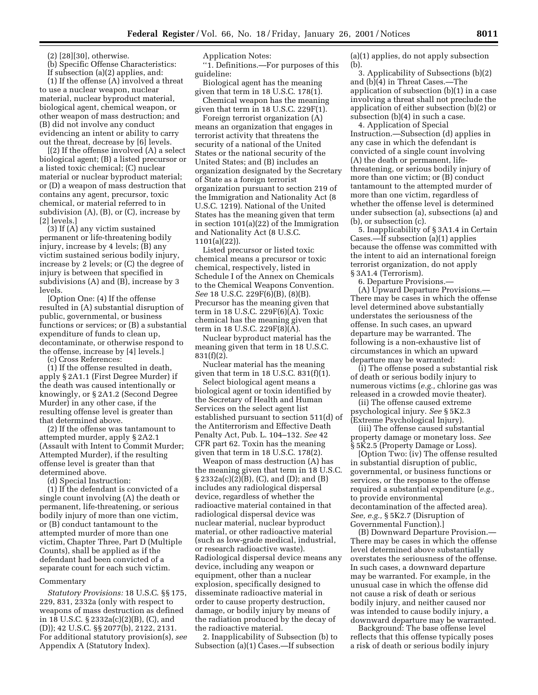(2) [28][30], otherwise.

(b) Specific Offense Characteristics:

If subsection (a)(2) applies, and:

(1) If the offense (A) involved a threat to use a nuclear weapon, nuclear material, nuclear byproduct material, biological agent, chemical weapon, or other weapon of mass destruction; and (B) did not involve any conduct evidencing an intent or ability to carry out the threat, decrease by [6] levels.

[(2) If the offense involved (A) a select biological agent; (B) a listed precursor or a listed toxic chemical; (C) nuclear material or nuclear byproduct material; or (D) a weapon of mass destruction that contains any agent, precursor, toxic chemical, or material referred to in subdivision (A), (B), or (C), increase by [2] levels.]

(3) If (A) any victim sustained permanent or life-threatening bodily injury, increase by 4 levels; (B) any victim sustained serious bodily injury, increase by 2 levels; or (C) the degree of injury is between that specified in subdivisions (A) and (B), increase by 3 levels.

[Option One: (4) If the offense resulted in (A) substantial disruption of public, governmental, or business functions or services; or (B) a substantial expenditure of funds to clean up, decontaminate, or otherwise respond to the offense, increase by [4] levels.]

(c) Cross References:

(1) If the offense resulted in death, apply § 2A1.1 (First Degree Murder) if the death was caused intentionally or knowingly, or § 2A1.2 (Second Degree Murder) in any other case, if the resulting offense level is greater than that determined above.

(2) If the offense was tantamount to attempted murder, apply § 2A2.1 (Assault with Intent to Commit Murder; Attempted Murder), if the resulting offense level is greater than that determined above.

(d) Special Instruction:

(1) If the defendant is convicted of a single count involving (A) the death or permanent, life-threatening, or serious bodily injury of more than one victim, or (B) conduct tantamount to the attempted murder of more than one victim, Chapter Three, Part D (Multiple Counts), shall be applied as if the defendant had been convicted of a separate count for each such victim.

#### Commentary

*Statutory Provisions:* 18 U.S.C. §§ 175, 229, 831, 2332a (only with respect to weapons of mass destruction as defined in 18 U.S.C. § 2332a(c)(2)(B), (C), and (D)); 42 U.S.C. §§ 2077(b), 2122, 2131. For additional statutory provision(s), *see* Appendix A (Statutory Index).

#### Application Notes:

''1. Definitions.—For purposes of this guideline:

Biological agent has the meaning given that term in 18 U.S.C. 178(1).

Chemical weapon has the meaning given that term in 18 U.S.C. 229F(1).

Foreign terrorist organization (A) means an organization that engages in terrorist activity that threatens the security of a national of the United States or the national security of the United States; and (B) includes an organization designated by the Secretary of State as a foreign terrorist organization pursuant to section 219 of the Immigration and Nationality Act (8 U.S.C. 1219). National of the United States has the meaning given that term in section 101(a)(22) of the Immigration and Nationality Act (8 U.S.C. 1101(a)(22)).

Listed precursor or listed toxic chemical means a precursor or toxic chemical, respectively, listed in Schedule I of the Annex on Chemicals to the Chemical Weapons Convention. *See* 18 U.S.C. 229F(6)(B), (8)(B). Precursor has the meaning given that term in 18 U.S.C. 229F(6)(A). Toxic chemical has the meaning given that term in 18 U.S.C. 229F(8)(A).

Nuclear byproduct material has the meaning given that term in 18 U.S.C.  $831(f)(2)$ .

Nuclear material has the meaning given that term in 18 U.S.C.  $831(f)(1)$ .

Select biological agent means a biological agent or toxin identified by the Secretary of Health and Human Services on the select agent list established pursuant to section 511(d) of the Antiterrorism and Effective Death Penalty Act, Pub. L. 104–132. *See* 42 CFR part 62. Toxin has the meaning given that term in 18 U.S.C. 178(2).

Weapon of mass destruction (A) has the meaning given that term in 18 U.S.C. § 2332a(c)(2)(B), (C), and (D); and (B) includes any radiological dispersal device, regardless of whether the radioactive material contained in that radiological dispersal device was nuclear material, nuclear byproduct material, or other radioactive material (such as low-grade medical, industrial, or research radioactive waste). Radiological dispersal device means any device, including any weapon or equipment, other than a nuclear explosion, specifically designed to disseminate radioactive material in order to cause property destruction, damage, or bodily injury by means of the radiation produced by the decay of the radioactive material.

2. Inapplicability of Subsection (b) to Subsection (a)(1) Cases.—If subsection

(a)(1) applies, do not apply subsection (b).

3. Applicability of Subsections (b)(2) and (b)(4) in Threat Cases.—The application of subsection (b)(1) in a case involving a threat shall not preclude the application of either subsection (b)(2) or subsection (b)(4) in such a case.

4. Application of Special Instruction.—Subsection (d) applies in any case in which the defendant is convicted of a single count involving (A) the death or permanent, lifethreatening, or serious bodily injury of more than one victim; or (B) conduct tantamount to the attempted murder of more than one victim, regardless of whether the offense level is determined under subsection (a), subsections (a) and (b), or subsection (c).

5. Inapplicability of § 3A1.4 in Certain Cases.—If subsection (a)(1) applies because the offense was committed with the intent to aid an international foreign terrorist organization, do not apply § 3A1.4 (Terrorism).

6. Departure Provisions.—

(A) Upward Departure Provisions.— There may be cases in which the offense level determined above substantially understates the seriousness of the offense. In such cases, an upward departure may be warranted. The following is a non-exhaustive list of circumstances in which an upward departure may be warranted:

(i) The offense posed a substantial risk of death or serious bodily injury to numerous victims (*e.g.,* chlorine gas was released in a crowded movie theater).

(ii) The offense caused extreme psychological injury. *See* § 5K2.3 (Extreme Psychological Injury).

(iii) The offense caused substantial property damage or monetary loss. *See* § 5K2.5 (Property Damage or Loss).

[Option Two: (iv) The offense resulted in substantial disruption of public, governmental, or business functions or services, or the response to the offense required a substantial expenditure (*e.g.,* to provide environmental decontamination of the affected area). *See, e.g.,* § 5K2.7 (Disruption of Governmental Function).]

(B) Downward Departure Provision.— There may be cases in which the offense level determined above substantially overstates the seriousness of the offense. In such cases, a downward departure may be warranted. For example, in the unusual case in which the offense did not cause a risk of death or serious bodily injury, and neither caused nor was intended to cause bodily injury, a downward departure may be warranted.

Background: The base offense level reflects that this offense typically poses a risk of death or serious bodily injury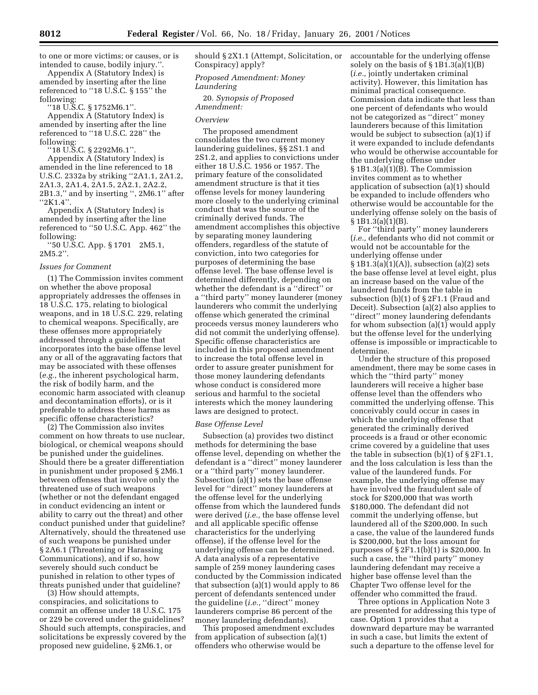to one or more victims; or causes, or is intended to cause, bodily injury.''.

Appendix A (Statutory Index) is amended by inserting after the line referenced to ''18 U.S.C. § 155'' the following:

''18 U.S.C. § 1752M6.1''.

Appendix A (Statutory Index) is amended by inserting after the line referenced to ''18 U.S.C. 228'' the following:

''18 U.S.C. § 2292M6.1''.

Appendix A (Statutory Index) is amended in the line referenced to 18 U.S.C. 2332a by striking ''2A1.1, 2A1.2, 2A1.3, 2A1.4, 2A1.5, 2A2.1, 2A2.2, 2B1.3,'' and by inserting '', 2M6.1'' after ''2K1.4''.

Appendix A (Statutory Index) is amended by inserting after the line referenced to ''50 U.S.C. App. 462'' the following:

''50 U.S.C. App. § 1701 2M5.1, 2M5.2''.

#### *Issues for Comment*

(1) The Commission invites comment on whether the above proposal appropriately addresses the offenses in 18 U.S.C. 175, relating to biological weapons, and in 18 U.S.C. 229, relating to chemical weapons. Specifically, are these offenses more appropriately addressed through a guideline that incorporates into the base offense level any or all of the aggravating factors that may be associated with these offenses (*e.g.,* the inherent psychological harm, the risk of bodily harm, and the economic harm associated with cleanup and decontamination efforts), or is it preferable to address these harms as specific offense characteristics?

(2) The Commission also invites comment on how threats to use nuclear, biological, or chemical weapons should be punished under the guidelines. Should there be a greater differentiation in punishment under proposed § 2M6.1 between offenses that involve only the threatened use of such weapons (whether or not the defendant engaged in conduct evidencing an intent or ability to carry out the threat) and other conduct punished under that guideline? Alternatively, should the threatened use of such weapons be punished under § 2A6.1 (Threatening or Harassing Communications), and if so, how severely should such conduct be punished in relation to other types of threats punished under that guideline?

(3) How should attempts, conspiracies, and solicitations to commit an offense under 18 U.S.C. 175 or 229 be covered under the guidelines? Should such attempts, conspiracies, and solicitations be expressly covered by the proposed new guideline, § 2M6.1, or

should § 2X1.1 (Attempt, Solicitation, or Conspiracy) apply?

*Proposed Amendment: Money Laundering*

20. *Synopsis of Proposed Amendment:*

#### *Overview*

The proposed amendment consolidates the two current money laundering guidelines, §§ 2S1.1 and 2S1.2, and applies to convictions under either 18 U.S.C. 1956 or 1957. The primary feature of the consolidated amendment structure is that it ties offense levels for money laundering more closely to the underlying criminal conduct that was the source of the criminally derived funds. The amendment accomplishes this objective by separating money laundering offenders, regardless of the statute of conviction, into two categories for purposes of determining the base offense level. The base offense level is determined differently, depending on whether the defendant is a ''direct'' or a ''third party'' money launderer (money launderers who commit the underlying offense which generated the criminal proceeds versus money launderers who did not commit the underlying offense). Specific offense characteristics are included in this proposed amendment to increase the total offense level in order to assure greater punishment for those money laundering defendants whose conduct is considered more serious and harmful to the societal interests which the money laundering laws are designed to protect.

#### *Base Offense Level*

Subsection (a) provides two distinct methods for determining the base offense level, depending on whether the defendant is a ''direct'' money launderer or a ''third party'' money launderer. Subsection (a)(1) sets the base offense level for ''direct'' money launderers at the offense level for the underlying offense from which the laundered funds were derived (*i.e.,* the base offense level and all applicable specific offense characteristics for the underlying offense), if the offense level for the underlying offense can be determined. A data analysis of a representative sample of 259 money laundering cases conducted by the Commission indicated that subsection (a)(1) would apply to 86 percent of defendants sentenced under the guideline (*i.e.*, "direct" money launderers comprise 86 percent of the money laundering defendants).

This proposed amendment excludes from application of subsection (a)(1) offenders who otherwise would be

accountable for the underlying offense solely on the basis of § 1B1.3(a)(1)(B) (*i.e.,* jointly undertaken criminal activity). However, this limitation has minimal practical consequence. Commission data indicate that less than one percent of defendants who would not be categorized as ''direct'' money launderers because of this limitation would be subject to subsection (a)(1) if it were expanded to include defendants who would be otherwise accountable for the underlying offense under § 1B1.3(a)(1)(B). The Commission invites comment as to whether application of subsection (a)(1) should be expanded to include offenders who otherwise would be accountable for the underlying offense solely on the basis of  $§ 1B1.3(a)(1)(B).$ 

For ''third party'' money launderers (*i.e.,* defendants who did not commit or would not be accountable for the underlying offense under  $§ 1B1.3(a)(1)(A)),$  subsection  $(a)(2)$  sets the base offense level at level eight, plus an increase based on the value of the laundered funds from the table in subsection (b)(1) of § 2F1.1 (Fraud and Deceit). Subsection (a)(2) also applies to ''direct'' money laundering defendants for whom subsection (a)(1) would apply but the offense level for the underlying offense is impossible or impracticable to determine.

Under the structure of this proposed amendment, there may be some cases in which the "third party" money launderers will receive a higher base offense level than the offenders who committed the underlying offense. This conceivably could occur in cases in which the underlying offense that generated the criminally derived proceeds is a fraud or other economic crime covered by a guideline that uses the table in subsection  $(b)(1)$  of  $\S 2F1.1$ , and the loss calculation is less than the value of the laundered funds. For example, the underlying offense may have involved the fraudulent sale of stock for \$200,000 that was worth \$180,000. The defendant did not commit the underlying offense, but laundered all of the \$200,000. In such a case, the value of the laundered funds is \$200,000, but the loss amount for purposes of § 2F1.1(b)(1) is \$20,000. In such a case, the ''third party'' money laundering defendant may receive a higher base offense level than the Chapter Two offense level for the offender who committed the fraud.

Three options in Application Note 3 are presented for addressing this type of case. Option 1 provides that a downward departure may be warranted in such a case, but limits the extent of such a departure to the offense level for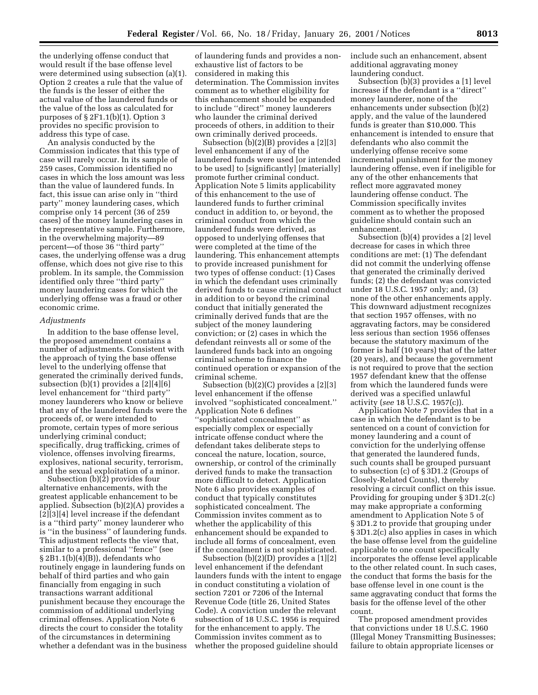the underlying offense conduct that would result if the base offense level were determined using subsection (a)(1). Option 2 creates a rule that the value of the funds is the lesser of either the actual value of the laundered funds or the value of the loss as calculated for purposes of § 2F1.1(b)(1). Option 3 provides no specific provision to address this type of case.

An analysis conducted by the Commission indicates that this type of case will rarely occur. In its sample of 259 cases, Commission identified no cases in which the loss amount was less than the value of laundered funds. In fact, this issue can arise only in ''third party'' money laundering cases, which comprise only 14 percent (36 of 259 cases) of the money laundering cases in the representative sample. Furthermore, in the overwhelming majority—89 percent—of those 36 ''third party'' cases, the underlying offense was a drug offense, which does not give rise to this problem. In its sample, the Commission identified only three ''third party'' money laundering cases for which the underlying offense was a fraud or other economic crime.

#### *Adjustments*

In addition to the base offense level, the proposed amendment contains a number of adjustments. Consistent with the approach of tying the base offense level to the underlying offense that generated the criminally derived funds, subsection (b)(1) provides a [2][4][6] level enhancement for ''third party'' money launderers who know or believe that any of the laundered funds were the proceeds of, or were intended to promote, certain types of more serious underlying criminal conduct; specifically, drug trafficking, crimes of violence, offenses involving firearms, explosives, national security, terrorism, and the sexual exploitation of a minor.

Subsection  $(b)(\overline{2})$  provides four alternative enhancements, with the greatest applicable enhancement to be applied. Subsection (b)(2)(A) provides a [2][3][4] level increase if the defendant is a ''third party'' money launderer who is ''in the business'' of laundering funds. This adjustment reflects the view that, similar to a professional ''fence'' (see  $\S 2B1.1(b)(4)(B)$ , defendants who routinely engage in laundering funds on behalf of third parties and who gain financially from engaging in such transactions warrant additional punishment because they encourage the commission of additional underlying criminal offenses. Application Note 6 directs the court to consider the totality of the circumstances in determining whether a defendant was in the business

of laundering funds and provides a nonexhaustive list of factors to be considered in making this determination. The Commission invites comment as to whether eligibility for this enhancement should be expanded to include ''direct'' money launderers who launder the criminal derived proceeds of others, in addition to their own criminally derived proceeds.

Subsection (b)(2)(B) provides a [2][3] level enhancement if any of the laundered funds were used [or intended to be used] to [significantly] [materially] promote further criminal conduct. Application Note 5 limits applicability of this enhancement to the use of laundered funds to further criminal conduct in addition to, or beyond, the criminal conduct from which the laundered funds were derived, as opposed to underlying offenses that were completed at the time of the laundering. This enhancement attempts to provide increased punishment for two types of offense conduct: (1) Cases in which the defendant uses criminally derived funds to cause criminal conduct in addition to or beyond the criminal conduct that initially generated the criminally derived funds that are the subject of the money laundering conviction; or (2) cases in which the defendant reinvests all or some of the laundered funds back into an ongoing criminal scheme to finance the continued operation or expansion of the criminal scheme.

Subsection (b)(2)(C) provides a [2][3] level enhancement if the offense involved ''sophisticated concealment.'' Application Note 6 defines ''sophisticated concealment'' as especially complex or especially intricate offense conduct where the defendant takes deliberate steps to conceal the nature, location, source, ownership, or control of the criminally derived funds to make the transaction more difficult to detect. Application Note 6 also provides examples of conduct that typically constitutes sophisticated concealment. The Commission invites comment as to whether the applicability of this enhancement should be expanded to include all forms of concealment, even if the concealment is not sophisticated.

Subsection  $(b)(2)(D)$  provides a [1][2] level enhancement if the defendant launders funds with the intent to engage in conduct constituting a violation of section 7201 or 7206 of the Internal Revenue Code (title 26, United States Code). A conviction under the relevant subsection of 18 U.S.C. 1956 is required for the enhancement to apply. The Commission invites comment as to whether the proposed guideline should

include such an enhancement, absent additional aggravating money laundering conduct.

Subsection (b)(3) provides a [1] level increase if the defendant is a ''direct'' money launderer, none of the enhancements under subsection (b)(2) apply, and the value of the laundered funds is greater than \$10,000. This enhancement is intended to ensure that defendants who also commit the underlying offense receive some incremental punishment for the money laundering offense, even if ineligible for any of the other enhancements that reflect more aggravated money laundering offense conduct. The Commission specifically invites comment as to whether the proposed guideline should contain such an enhancement.

Subsection (b)(4) provides a [2] level decrease for cases in which three conditions are met: (1) The defendant did not commit the underlying offense that generated the criminally derived funds; (2) the defendant was convicted under 18 U.S.C. 1957 only; and, (3) none of the other enhancements apply. This downward adjustment recognizes that section 1957 offenses, with no aggravating factors, may be considered less serious than section 1956 offenses because the statutory maximum of the former is half (10 years) that of the latter (20 years), and because the government is not required to prove that the section 1957 defendant knew that the offense from which the laundered funds were derived was a specified unlawful activity (*see* 18 U.S.C. 1957(c)).

Application Note 7 provides that in a case in which the defendant is to be sentenced on a count of conviction for money laundering and a count of conviction for the underlying offense that generated the laundered funds, such counts shall be grouped pursuant to subsection (c) of § 3D1.2 (Groups of Closely-Related Counts), thereby resolving a circuit conflict on this issue. Providing for grouping under § 3D1.2(c) may make appropriate a conforming amendment to Application Note 5 of § 3D1.2 to provide that grouping under § 3D1.2(c) also applies in cases in which the base offense level from the guideline applicable to one count specifically incorporates the offense level applicable to the other related count. In such cases, the conduct that forms the basis for the base offense level in one count is the same aggravating conduct that forms the basis for the offense level of the other count.

The proposed amendment provides that convictions under 18 U.S.C. 1960 (Illegal Money Transmitting Businesses; failure to obtain appropriate licenses or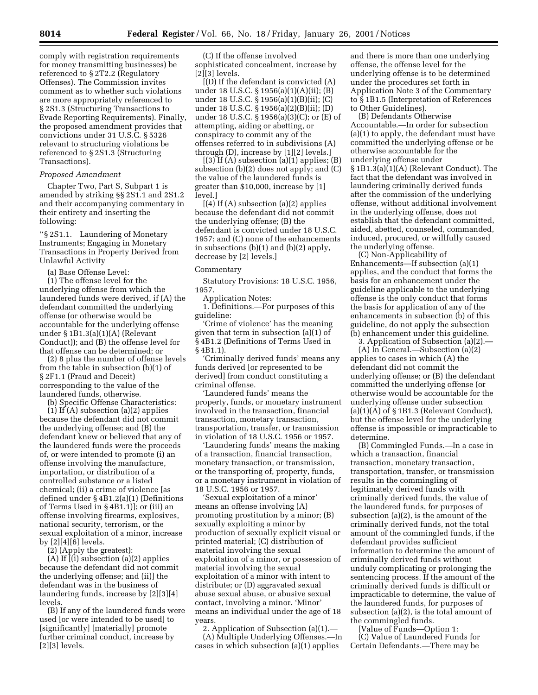comply with registration requirements for money transmitting businesses) be referenced to § 2T2.2 (Regulatory Offenses). The Commission invites comment as to whether such violations are more appropriately referenced to § 2S1.3 (Structuring Transactions to Evade Reporting Requirements). Finally, the proposed amendment provides that convictions under 31 U.S.C. § 5326 relevant to structuring violations be referenced to § 2S1.3 (Structuring Transactions).

#### *Proposed Amendment*

Chapter Two, Part S, Subpart 1 is amended by striking §§ 2S1.1 and 2S1.2 and their accompanying commentary in their entirety and inserting the following:

''§ 2S1.1. Laundering of Monetary Instruments; Engaging in Monetary Transactions in Property Derived from Unlawful Activity

(a) Base Offense Level:

(1) The offense level for the underlying offense from which the laundered funds were derived, if (A) the defendant committed the underlying offense (or otherwise would be accountable for the underlying offense under § 1B1.3(a)(1)(A) (Relevant Conduct)); and (B) the offense level for that offense can be determined; or

(2) 8 plus the number of offense levels from the table in subsection (b)(1) of § 2F1.1 (Fraud and Deceit) corresponding to the value of the laundered funds, otherwise.

(b) Specific Offense Characteristics:

(1) If (A) subsection (a)(2) applies because the defendant did not commit the underlying offense; and (B) the defendant knew or believed that any of the laundered funds were the proceeds of, or were intended to promote (i) an offense involving the manufacture, importation, or distribution of a controlled substance or a listed chemical; (ii) a crime of violence [as defined under § 4B1.2(a)(1) (Definitions of Terms Used in § 4B1.1)]; or (iii) an offense involving firearms, explosives, national security, terrorism, or the sexual exploitation of a minor, increase by [2][4][6] levels.

(2) (Apply the greatest):

(A) If [(i) subsection (a)(2) applies because the defendant did not commit the underlying offense; and (ii)] the defendant was in the business of laundering funds, increase by [2][3][4] levels.

(B) If any of the laundered funds were used [or were intended to be used] to [significantly] [materially] promote further criminal conduct, increase by [2][3] levels.

(C) If the offense involved sophisticated concealment, increase by  $[2][3]$  levels.

[(D) If the defendant is convicted (A) under 18 U.S.C. § 1956(a)(1)(A)(ii); (B) under 18 U.S.C. § 1956(a)(1)(B)(ii); (C) under 18 U.S.C. § 1956(a)(2)(B)(ii); (D) under 18 U.S.C. § 1956(a)(3)(C); or (E) of attempting, aiding or abetting, or conspiracy to commit any of the offenses referred to in subdivisions (A) through (D), increase by [1][2] levels.]

 $[(3)$  If  $(A)$  subsection  $(a)(1)$  applies;  $(B)$ subsection (b)(2) does not apply; and (C) the value of the laundered funds is greater than \$10,000, increase by [1] level.]

 $[(4)$  If  $(A)$  subsection  $(a)(2)$  applies because the defendant did not commit the underlying offense; (B) the defendant is convicted under 18 U.S.C. 1957; and (C) none of the enhancements in subsections (b)(1) and (b)(2) apply, decrease by [2] levels.]

#### Commentary

Statutory Provisions: 18 U.S.C. 1956, 1957.

Application Notes:

1. Definitions.—For purposes of this guideline:

'Crime of violence' has the meaning given that term in subsection (a)(1) of § 4B1.2 (Definitions of Terms Used in § 4B1.1).

'Criminally derived funds' means any funds derived [or represented to be derived] from conduct constituting a criminal offense.

'Laundered funds' means the property, funds, or monetary instrument involved in the transaction, financial transaction, monetary transaction, transportation, transfer, or transmission in violation of 18 U.S.C. 1956 or 1957.

'Laundering funds' means the making of a transaction, financial transaction, monetary transaction, or transmission, or the transporting of, property, funds, or a monetary instrument in violation of 18 U.S.C. 1956 or 1957.

'Sexual exploitation of a minor' means an offense involving (A) promoting prostitution by a minor; (B) sexually exploiting a minor by production of sexually explicit visual or printed material; (C) distribution of material involving the sexual exploitation of a minor, or possession of material involving the sexual exploitation of a minor with intent to distribute; or (D) aggravated sexual abuse sexual abuse, or abusive sexual contact, involving a minor. 'Minor' means an individual under the age of 18 years.

2. Application of Subsection (a)(1).— (A) Multiple Underlying Offenses.—In cases in which subsection (a)(1) applies

and there is more than one underlying offense, the offense level for the underlying offense is to be determined under the procedures set forth in Application Note 3 of the Commentary to § 1B1.5 (Interpretation of References to Other Guidelines).

(B) Defendants Otherwise Accountable.—In order for subsection (a)(1) to apply, the defendant must have committed the underlying offense or be otherwise accountable for the underlying offense under § 1B1.3(a)(1)(A) (Relevant Conduct). The fact that the defendant was involved in laundering criminally derived funds after the commission of the underlying offense, without additional involvement in the underlying offense, does not establish that the defendant committed, aided, abetted, counseled, commanded, induced, procured, or willfully caused the underlying offense.

(C) Non-Applicability of Enhancements—If subsection (a)(1) applies, and the conduct that forms the basis for an enhancement under the guideline applicable to the underlying offense is the only conduct that forms the basis for application of any of the enhancements in subsection (b) of this guideline, do not apply the subsection (b) enhancement under this guideline. 3. Application of Subsection (a)(2).—

(A) In General.—Subsection (a)(2) applies to cases in which (A) the defendant did not commit the underlying offense; or (B) the defendant committed the underlying offense (or otherwise would be accountable for the underlying offense under subsection  $(a)(1)(A)$  of § 1B1.3 (Relevant Conduct), but the offense level for the underlying offense is impossible or impracticable to determine.

(B) Commingled Funds.—In a case in which a transaction, financial transaction, monetary transaction, transportation, transfer, or transmission results in the commingling of legitimately derived funds with criminally derived funds, the value of the laundered funds, for purposes of subsection (a)(2), is the amount of the criminally derived funds, not the total amount of the commingled funds, if the defendant provides sufficient information to determine the amount of criminally derived funds without unduly complicating or prolonging the sentencing process. If the amount of the criminally derived funds is difficult or impracticable to determine, the value of the laundered funds, for purposes of subsection (a)(2), is the total amount of the commingled funds.

[Value of Funds—Option 1: (C) Value of Laundered Funds for Certain Defendants.—There may be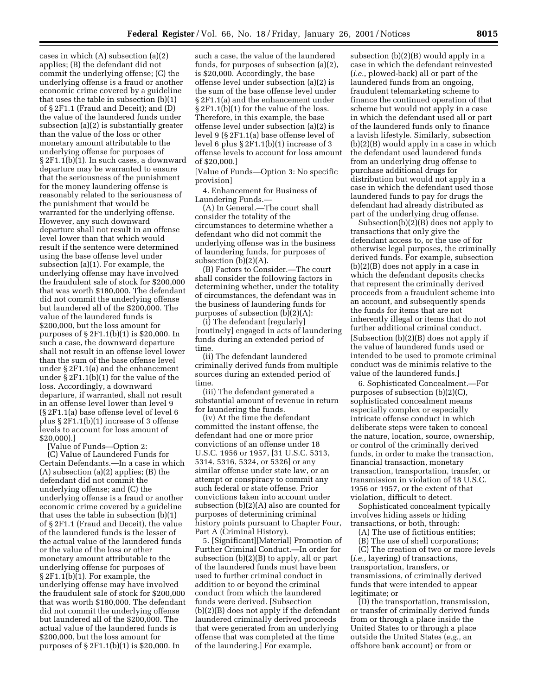cases in which (A) subsection (a)(2) applies; (B) the defendant did not commit the underlying offense; (C) the underlying offense is a fraud or another economic crime covered by a guideline that uses the table in subsection (b)(1) of § 2F1.1 (Fraud and Deceit); and (D) the value of the laundered funds under subsection (a)(2) is substantially greater than the value of the loss or other monetary amount attributable to the underlying offense for purposes of § 2F1.1(b)(1). In such cases, a downward departure may be warranted to ensure that the seriousness of the punishment for the money laundering offense is reasonably related to the seriousness of the punishment that would be warranted for the underlying offense. However, any such downward departure shall not result in an offense level lower than that which would result if the sentence were determined using the base offense level under subsection (a)(1). For example, the underlying offense may have involved the fraudulent sale of stock for \$200,000 that was worth \$180,000. The defendant did not commit the underlying offense but laundered all of the \$200,000. The value of the laundered funds is \$200,000, but the loss amount for purposes of § 2F1.1(b)(1) is \$20,000. In such a case, the downward departure shall not result in an offense level lower than the sum of the base offense level under § 2F1.1(a) and the enhancement under § 2F1.1(b)(1) for the value of the loss. Accordingly, a downward departure, if warranted, shall not result in an offense level lower than level 9 (§ 2F1.1(a) base offense level of level 6 plus § 2F1.1(b)(1) increase of 3 offense levels to account for loss amount of \$20,000).]

[Value of Funds—Option 2: (C) Value of Laundered Funds for Certain Defendants.—In a case in which (A) subsection (a)(2) applies; (B) the defendant did not commit the underlying offense; and (C) the underlying offense is a fraud or another economic crime covered by a guideline that uses the table in subsection (b)(1) of § 2F1.1 (Fraud and Deceit), the value of the laundered funds is the lesser of the actual value of the laundered funds or the value of the loss or other monetary amount attributable to the underlying offense for purposes of § 2F1.1(b)(1). For example, the underlying offense may have involved the fraudulent sale of stock for \$200,000 that was worth \$180,000. The defendant did not commit the underlying offense but laundered all of the \$200,000. The actual value of the laundered funds is \$200,000, but the loss amount for purposes of § 2F1.1(b)(1) is \$20,000. In

such a case, the value of the laundered funds, for purposes of subsection (a)(2), is \$20,000. Accordingly, the base offense level under subsection (a)(2) is the sum of the base offense level under § 2F1.1(a) and the enhancement under § 2F1.1(b)(1) for the value of the loss. Therefore, in this example, the base offense level under subsection (a)(2) is level 9 (§ 2F1.1(a) base offense level of level 6 plus § 2F1.1(b)(1) increase of 3 offense levels to account for loss amount of \$20,000.]

[Value of Funds—Option 3: No specific provision]

4. Enhancement for Business of Laundering Funds.—

(A) In General.—The court shall consider the totality of the circumstances to determine whether a defendant who did not commit the underlying offense was in the business of laundering funds, for purposes of subsection (b)(2)(A).

(B) Factors to Consider.—The court shall consider the following factors in determining whether, under the totality of circumstances, the defendant was in the business of laundering funds for purposes of subsection  $(b)(2)(A)$ :

(i) The defendant [regularly] [routinely] engaged in acts of laundering funds during an extended period of time.

(ii) The defendant laundered criminally derived funds from multiple sources during an extended period of time

(iii) The defendant generated a substantial amount of revenue in return for laundering the funds.

(iv) At the time the defendant committed the instant offense, the defendant had one or more prior convictions of an offense under 18 U.S.C. 1956 or 1957, [31 U.S.C. 5313, 5314, 5316, 5324, or 5326] or any similar offense under state law, or an attempt or conspiracy to commit any such federal or state offense. Prior convictions taken into account under subsection (b)(2)(A) also are counted for purposes of determining criminal history points pursuant to Chapter Four, Part A (Criminal History).

5. [Significant][Material] Promotion of Further Criminal Conduct.—In order for subsection (b)(2)(B) to apply, all or part of the laundered funds must have been used to further criminal conduct in addition to or beyond the criminal conduct from which the laundered funds were derived. [Subsection (b)(2)(B) does not apply if the defendant laundered criminally derived proceeds that were generated from an underlying offense that was completed at the time of the laundering.] For example,

subsection (b)(2)(B) would apply in a case in which the defendant reinvested (*i.e.*, plowed-back) all or part of the laundered funds from an ongoing, fraudulent telemarketing scheme to finance the continued operation of that scheme but would not apply in a case in which the defendant used all or part of the laundered funds only to finance a lavish lifestyle. Similarly, subsection (b)(2)(B) would apply in a case in which the defendant used laundered funds from an underlying drug offense to purchase additional drugs for distribution but would not apply in a case in which the defendant used those laundered funds to pay for drugs the defendant had already distributed as part of the underlying drug offense.

Subsection(b) $(2)$ (B) does not apply to transactions that only give the defendant access to, or the use of for otherwise legal purposes, the criminally derived funds. For example, subsection (b)(2)(B) does not apply in a case in which the defendant deposits checks that represent the criminally derived proceeds from a fraudulent scheme into an account, and subsequently spends the funds for items that are not inherently illegal or items that do not further additional criminal conduct. [Subsection (b)(2)(B) does not apply if the value of laundered funds used or intended to be used to promote criminal conduct was de minimis relative to the value of the laundered funds.]

6. Sophisticated Concealment.—For purposes of subsection (b)(2)(C), sophisticated concealment means especially complex or especially intricate offense conduct in which deliberate steps were taken to conceal the nature, location, source, ownership, or control of the criminally derived funds, in order to make the transaction, financial transaction, monetary transaction, transportation, transfer, or transmission in violation of 18 U.S.C. 1956 or 1957, or the extent of that violation, difficult to detect.

Sophisticated concealment typically involves hiding assets or hiding transactions, or both, through:

(A) The use of fictitious entities;

(B) The use of shell corporations;

(C) The creation of two or more levels (*i.e.,* layering) of transactions, transportation, transfers, or transmissions, of criminally derived funds that were intended to appear legitimate; or

(D) the transportation, transmission, or transfer of criminally derived funds from or through a place inside the United States to or through a place outside the United States (*e.g.,* an offshore bank account) or from or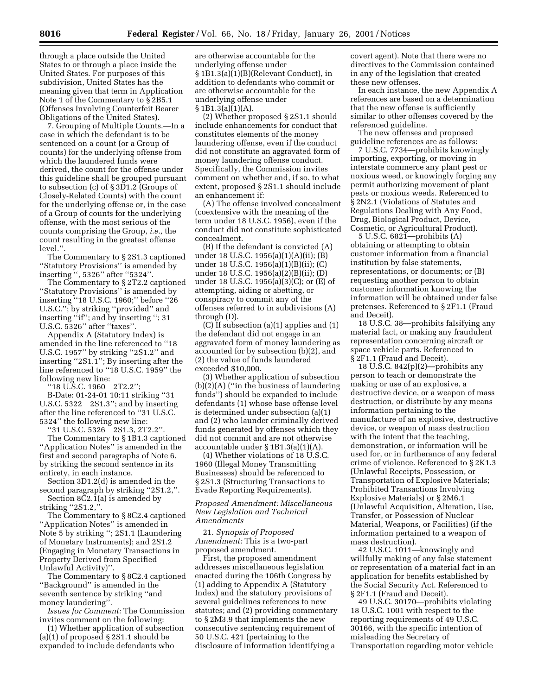through a place outside the United States to or through a place inside the United States. For purposes of this subdivision, United States has the meaning given that term in Application Note 1 of the Commentary to § 2B5.1 (Offenses Involving Counterfeit Bearer Obligations of the United States).

7. Grouping of Multiple Counts.—In a case in which the defendant is to be sentenced on a count (or a Group of counts) for the underlying offense from which the laundered funds were derived, the count for the offense under this guideline shall be grouped pursuant to subsection (c) of § 3D1.2 (Groups of Closely-Related Counts) with the count for the underlying offense or, in the case of a Group of counts for the underlying offense, with the most serious of the counts comprising the Group, *i.e.,* the count resulting in the greatest offense level.''.

The Commentary to § 2S1.3 captioned ''Statutory Provisions'' is amended by inserting '', 5326'' after ''5324''.

The Commentary to § 2T2.2 captioned ''Statutory Provisions'' is amended by inserting ''18 U.S.C. 1960;'' before ''26 U.S.C.''; by striking ''provided'' and inserting "if"; and by inserting "; 31 U.S.C. 5326'' after ''taxes''.

Appendix A (Statutory Index) is amended in the line referenced to ''18 U.S.C. 1957'' by striking ''2S1.2'' and inserting ''2S1.1''; By inserting after the line referenced to ''18 U.S.C. 1959'' the following new line:

''18 U.S.C. 1960 2T2.2'';

B-Date: 01-24-01 10:11 striking ''31 U.S.C. 5322 2S1.3''; and by inserting after the line referenced to ''31 U.S.C. 5324'' the following new line:

''31 U.S.C. 5326 2S1.3, 2T2.2''.

The Commentary to § 1B1.3 captioned ''Application Notes'' is amended in the first and second paragraphs of Note 6, by striking the second sentence in its entirety, in each instance.

Section 3D1.2(d) is amended in the second paragraph by striking ''2S1.2,''.

Section  $8\bar{C}2.1(a)$  is amended by striking ''2S1.2,''.

The Commentary to § 8C2.4 captioned ''Application Notes'' is amended in Note 5 by striking ''; 2S1.1 (Laundering of Monetary Instruments); and 2S1.2 (Engaging in Monetary Transactions in Property Derived from Specified Unlawful Activity)''.

The Commentary to § 8C2.4 captioned ''Background'' is amended in the seventh sentence by striking ''and money laundering''.

*Issues for Comment:* The Commission invites comment on the following:

(1) Whether application of subsection (a)(1) of proposed § 2S1.1 should be expanded to include defendants who

are otherwise accountable for the underlying offense under § 1B1.3(a)(1)(B)(Relevant Conduct), in addition to defendants who commit or are otherwise accountable for the underlying offense under  $§ 1B1.3(a)(1)(A).$ 

(2) Whether proposed § 2S1.1 should include enhancements for conduct that constitutes elements of the money laundering offense, even if the conduct did not constitute an aggravated form of money laundering offense conduct. Specifically, the Commission invites comment on whether and, if so, to what extent, proposed § 2S1.1 should include an enhancement if:

(A) The offense involved concealment (coextensive with the meaning of the term under 18 U.S.C. 1956), even if the conduct did not constitute sophisticated concealment.

(B) If the defendant is convicted (A) under 18 U.S.C. 1956(a)(1)(A)(ii); (B) under 18 U.S.C. 1956(a)(1)(B)(ii); (C) under 18 U.S.C. 1956(a)(2)(B)(ii); (D) under 18 U.S.C. 1956(a)(3)(C); or (E) of attempting, aiding or abetting, or conspiracy to commit any of the offenses referred to in subdivisions (A) through (D).

(C) If subsection (a)(1) applies and (1) the defendant did not engage in an aggravated form of money laundering as accounted for by subsection (b)(2), and (2) the value of funds laundered exceeded \$10,000.

(3) Whether application of subsection (b)(2)(A) (''in the business of laundering funds'') should be expanded to include defendants (1) whose base offense level is determined under subsection (a)(1) and (2) who launder criminally derived funds generated by offenses which they did not commit and are not otherwise accountable under § 1B1.3(a)(1)(A).

(4) Whether violations of 18 U.S.C. 1960 (Illegal Money Transmitting Businesses) should be referenced to § 2S1.3 (Structuring Transactions to Evade Reporting Requirements).

*Proposed Amendment: Miscellaneous New Legislation and Technical Amendments*

21. *Synopsis of Proposed Amendment:* This is a two-part proposed amendment.

First, the proposed amendment addresses miscellaneous legislation enacted during the 106th Congress by (1) adding to Appendix A (Statutory Index) and the statutory provisions of several guidelines references to new statutes; and (2) providing commentary to § 2M3.9 that implements the new consecutive sentencing requirement of 50 U.S.C. 421 (pertaining to the disclosure of information identifying a

covert agent). Note that there were no directives to the Commission contained in any of the legislation that created these new offenses.

In each instance, the new Appendix A references are based on a determination that the new offense is sufficiently similar to other offenses covered by the referenced guideline.

The new offenses and proposed guideline references are as follows:

7 U.S.C. 7734—prohibits knowingly importing, exporting, or moving in interstate commerce any plant pest or noxious weed, or knowingly forging any permit authorizing movement of plant pests or noxious weeds. Referenced to § 2N2.1 (Violations of Statutes and Regulations Dealing with Any Food, Drug, Biological Product, Device, Cosmetic, or Agricultural Product).

5 U.S.C. 6821—prohibits (A) obtaining or attempting to obtain customer information from a financial institution by false statements, representations, or documents; or (B) requesting another person to obtain customer information knowing the information will be obtained under false pretenses. Referenced to § 2F1.1 (Fraud and Deceit).

18 U.S.C. 38—prohibits falsifying any material fact, or making any fraudulent representation concerning aircraft or space vehicle parts. Referenced to § 2F1.1 (Fraud and Deceit).

18 U.S.C. 842(p)(2)—prohibits any person to teach or demonstrate the making or use of an explosive, a destructive device, or a weapon of mass destruction, or distribute by any means information pertaining to the manufacture of an explosive, destructive device, or weapon of mass destruction with the intent that the teaching, demonstration, or information will be used for, or in furtherance of any federal crime of violence. Referenced to § 2K1.3 (Unlawful Receipts, Possession, or Transportation of Explosive Materials; Prohibited Transactions Involving Explosive Materials) or § 2M6.1 (Unlawful Acquisition, Alteration, Use, Transfer, or Possession of Nuclear Material, Weapons, or Facilities) (if the information pertained to a weapon of mass destruction).

42 U.S.C. 1011—knowingly and willfully making of any false statement or representation of a material fact in an application for benefits established by the Social Security Act. Referenced to § 2F1.1 (Fraud and Deceit).

49 U.S.C. 30170—prohibits violating 18 U.S.C. 1001 with respect to the reporting requirements of 49 U.S.C. 30166, with the specific intention of misleading the Secretary of Transportation regarding motor vehicle